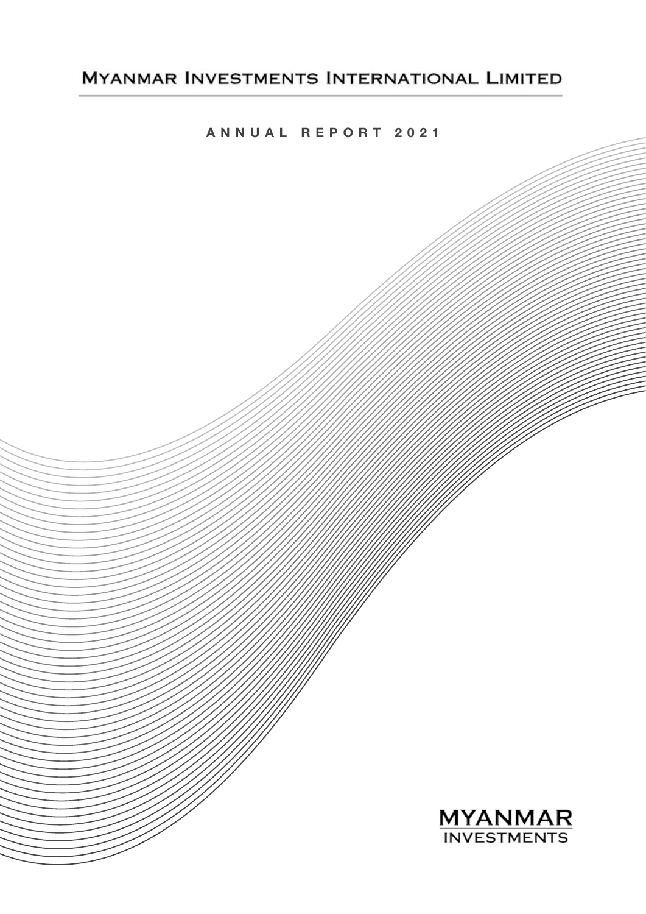### **MYANMAR INVESTMENTS INTERNATIONAL LIMITED**

ANNUAL REPORT 2021

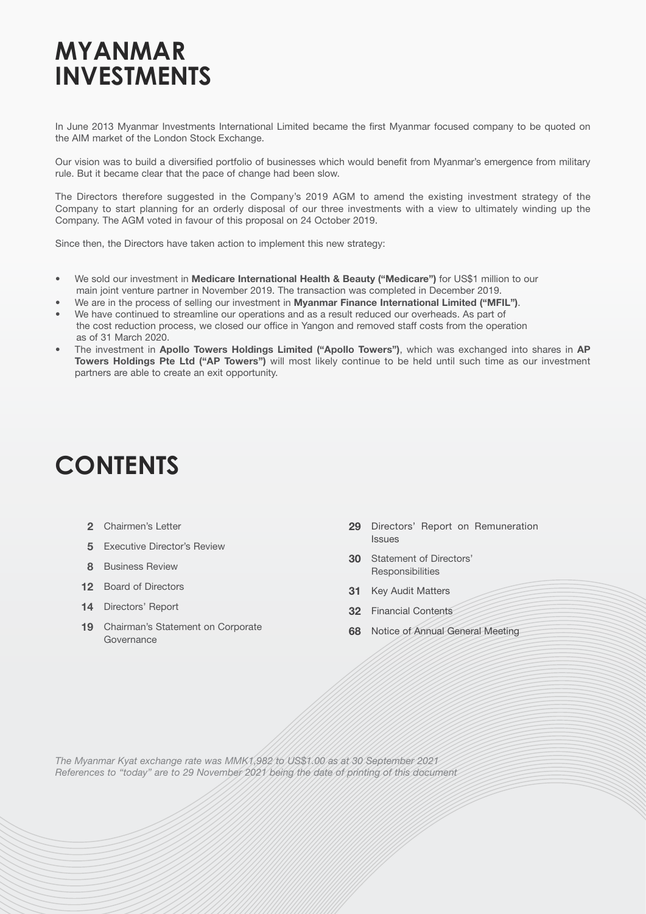# **MYANMAR INVESTMENTS**

In June 2013 Myanmar Investments International Limited became the first Myanmar focused company to be quoted on the AIM market of the London Stock Exchange.

Our vision was to build a diversified portfolio of businesses which would benefit from Myanmar's emergence from military rule. But it became clear that the pace of change had been slow.

The Directors therefore suggested in the Company's 2019 AGM to amend the existing investment strategy of the Company to start planning for an orderly disposal of our three investments with a view to ultimately winding up the Company. The AGM voted in favour of this proposal on 24 October 2019.

Since then, the Directors have taken action to implement this new strategy:

- We sold our investment in Medicare International Health & Beauty ("Medicare") for US\$1 million to our main joint venture partner in November 2019. The transaction was completed in December 2019.
- We are in the process of selling our investment in Myanmar Finance International Limited ("MFIL").
- We have continued to streamline our operations and as a result reduced our overheads. As part of the cost reduction process, we closed our office in Yangon and removed staff costs from the operation as of 31 March 2020.
- The investment in Apollo Towers Holdings Limited ("Apollo Towers"), which was exchanged into shares in AP Towers Holdings Pte Ltd ("AP Towers") will most likely continue to be held until such time as our investment partners are able to create an exit opportunity.

# **CONTENTS**

- 2 Chairmen's Letter
- **5** Executive Director's Review
- 8 Business Review
- 12 Board of Directors
- 14 Directors' Report
- 19 Chairman's Statement on Corporate Governance
- 29 Directors' Report on Remuneration Issues
- 30 Statement of Directors' **Responsibilities**
- 31 Key Audit Matters
- 32 Financial Contents
- 68 Notice of Annual General Meeting

*The Myanmar Kyat exchange rate was MMK1,982 to US\$1.00 as at 30 September 2021 References to "today" are to 29 November 2021 being the date of printing of this document*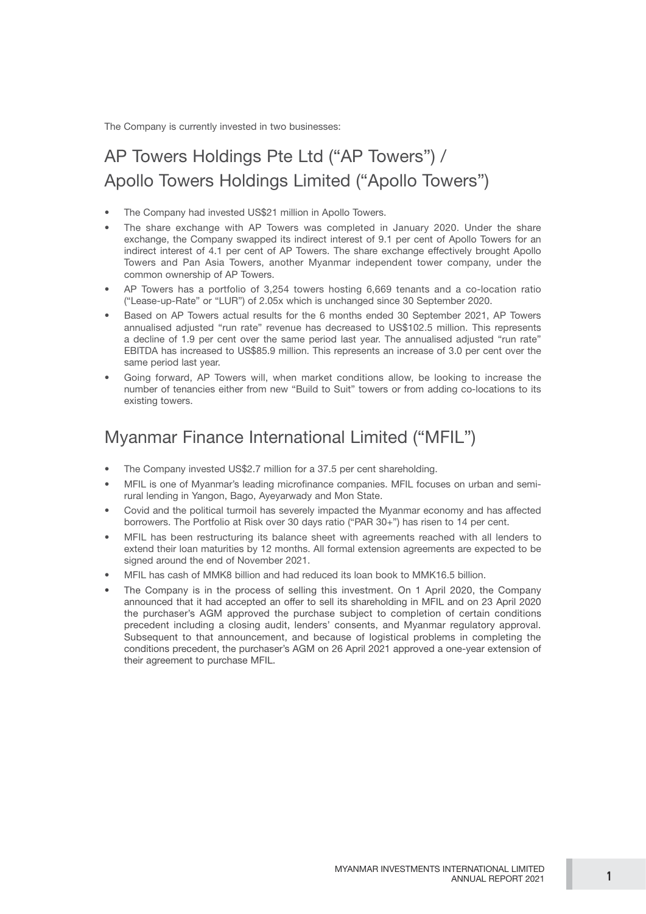The Company is currently invested in two businesses:

### AP Towers Holdings Pte Ltd ("AP Towers") / Apollo Towers Holdings Limited ("Apollo Towers")

- The Company had invested US\$21 million in Apollo Towers.
- The share exchange with AP Towers was completed in January 2020. Under the share exchange, the Company swapped its indirect interest of 9.1 per cent of Apollo Towers for an indirect interest of 4.1 per cent of AP Towers. The share exchange effectively brought Apollo Towers and Pan Asia Towers, another Myanmar independent tower company, under the common ownership of AP Towers.
- AP Towers has a portfolio of 3,254 towers hosting 6,669 tenants and a co-location ratio ("Lease-up-Rate" or "LUR") of 2.05x which is unchanged since 30 September 2020.
- Based on AP Towers actual results for the 6 months ended 30 September 2021, AP Towers annualised adjusted "run rate" revenue has decreased to US\$102.5 million. This represents a decline of 1.9 per cent over the same period last year. The annualised adjusted "run rate" EBITDA has increased to US\$85.9 million. This represents an increase of 3.0 per cent over the same period last year.
- Going forward, AP Towers will, when market conditions allow, be looking to increase the number of tenancies either from new "Build to Suit" towers or from adding co-locations to its existing towers.

### Myanmar Finance International Limited ("MFIL")

- The Company invested US\$2.7 million for a 37.5 per cent shareholding.
- MFIL is one of Myanmar's leading microfinance companies. MFIL focuses on urban and semirural lending in Yangon, Bago, Ayeyarwady and Mon State.
- Covid and the political turmoil has severely impacted the Myanmar economy and has affected borrowers. The Portfolio at Risk over 30 days ratio ("PAR 30+") has risen to 14 per cent.
- MFIL has been restructuring its balance sheet with agreements reached with all lenders to extend their loan maturities by 12 months. All formal extension agreements are expected to be signed around the end of November 2021.
- MFIL has cash of MMK8 billion and had reduced its loan book to MMK16.5 billion.
- The Company is in the process of selling this investment. On 1 April 2020, the Company announced that it had accepted an offer to sell its shareholding in MFIL and on 23 April 2020 the purchaser's AGM approved the purchase subject to completion of certain conditions precedent including a closing audit, lenders' consents, and Myanmar regulatory approval. Subsequent to that announcement, and because of logistical problems in completing the conditions precedent, the purchaser's AGM on 26 April 2021 approved a one-year extension of their agreement to purchase MFIL.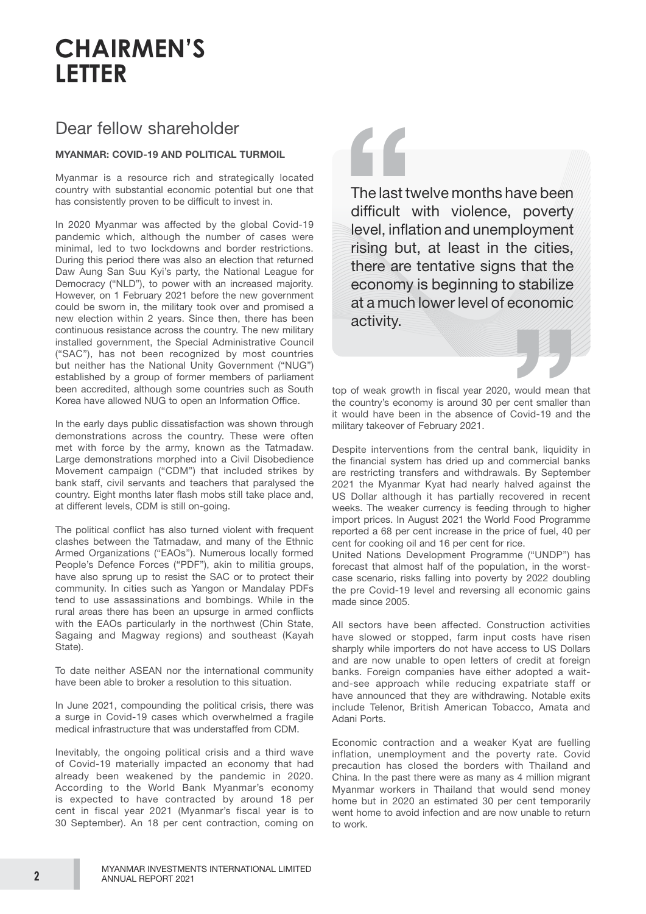### **CHAIRMEN'S LETTER**

### Dear fellow shareholder

#### MYANMAR: COVID-19 AND POLITICAL TURMOIL

Myanmar is a resource rich and strategically located country with substantial economic potential but one that has consistently proven to be difficult to invest in.

In 2020 Myanmar was affected by the global Covid-19 pandemic which, although the number of cases were minimal, led to two lockdowns and border restrictions. During this period there was also an election that returned Daw Aung San Suu Kyi's party, the National League for Democracy ("NLD"), to power with an increased majority. However, on 1 February 2021 before the new government could be sworn in, the military took over and promised a new election within 2 years. Since then, there has been continuous resistance across the country. The new military installed government, the Special Administrative Council ("SAC"), has not been recognized by most countries but neither has the National Unity Government ("NUG") established by a group of former members of parliament been accredited, although some countries such as South Korea have allowed NUG to open an Information Office.

In the early days public dissatisfaction was shown through demonstrations across the country. These were often met with force by the army, known as the Tatmadaw. Large demonstrations morphed into a Civil Disobedience Movement campaign ("CDM") that included strikes by bank staff, civil servants and teachers that paralysed the country. Eight months later flash mobs still take place and, at different levels, CDM is still on-going.

The political conflict has also turned violent with frequent clashes between the Tatmadaw, and many of the Ethnic Armed Organizations ("EAOs"). Numerous locally formed People's Defence Forces ("PDF"), akin to militia groups, have also sprung up to resist the SAC or to protect their community. In cities such as Yangon or Mandalay PDFs tend to use assassinations and bombings. While in the rural areas there has been an upsurge in armed conflicts with the EAOs particularly in the northwest (Chin State, Sagaing and Magway regions) and southeast (Kayah State).

To date neither ASEAN nor the international community have been able to broker a resolution to this situation.

In June 2021, compounding the political crisis, there was a surge in Covid-19 cases which overwhelmed a fragile medical infrastructure that was understaffed from CDM.

Inevitably, the ongoing political crisis and a third wave of Covid-19 materially impacted an economy that had already been weakened by the pandemic in 2020. According to the World Bank Myanmar's economy is expected to have contracted by around 18 per cent in fiscal year 2021 (Myanmar's fiscal year is to 30 September). An 18 per cent contraction, coming on

The last tv<br>difficult<br>level, infla<br>rising but The last twelve months have been difficult with violence, poverty level, inflation and unemployment rising but, at least in the cities, there are tentative signs that the economy is beginning to stabilize at a much lower level of economic activity.

top of weak growth in fiscal year 2020, would mean that the country's economy is around 30 per cent smaller than it would have been in the absence of Covid-19 and the military takeover of February 2021. Walletter<br>
The Walletter<br>
The Covid-19 and the Covid-19 and the Covid-19 and the Covid-19 and the Covid-19 and the Covid-19 and the Covid-19 and the Covid-19 and the Covid-19 and the Covid-19 and the Covid-19 and the Covid

Despite interventions from the central bank, liquidity in the financial system has dried up and commercial banks are restricting transfers and withdrawals. By September 2021 the Myanmar Kyat had nearly halved against the US Dollar although it has partially recovered in recent weeks. The weaker currency is feeding through to higher import prices. In August 2021 the World Food Programme reported a 68 per cent increase in the price of fuel, 40 per cent for cooking oil and 16 per cent for rice.

United Nations Development Programme ("UNDP") has forecast that almost half of the population, in the worstcase scenario, risks falling into poverty by 2022 doubling the pre Covid-19 level and reversing all economic gains made since 2005.

All sectors have been affected. Construction activities have slowed or stopped, farm input costs have risen sharply while importers do not have access to US Dollars and are now unable to open letters of credit at foreign banks. Foreign companies have either adopted a waitand-see approach while reducing expatriate staff or have announced that they are withdrawing. Notable exits include Telenor, British American Tobacco, Amata and Adani Ports.

Economic contraction and a weaker Kyat are fuelling inflation, unemployment and the poverty rate. Covid precaution has closed the borders with Thailand and China. In the past there were as many as 4 million migrant Myanmar workers in Thailand that would send money home but in 2020 an estimated 30 per cent temporarily went home to avoid infection and are now unable to return to work.

**2** MYANMAR INVESTMENTS INTERNATIONAL LIMITED ANNUAL REPORT 2021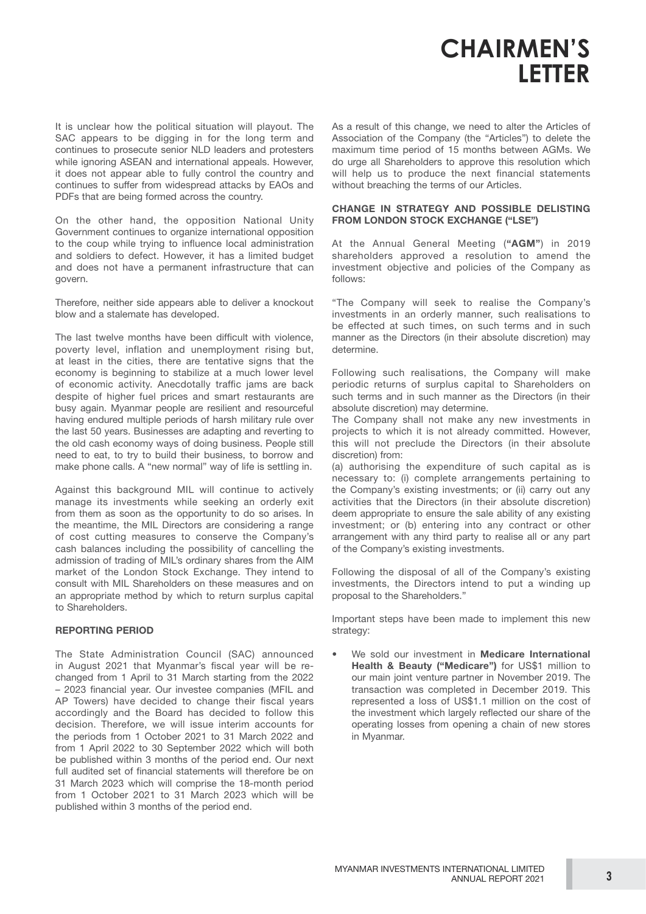# **CHAIRMEN'S LETTER**

It is unclear how the political situation will playout. The SAC appears to be digging in for the long term and continues to prosecute senior NLD leaders and protesters while ignoring ASEAN and international appeals. However, it does not appear able to fully control the country and continues to suffer from widespread attacks by EAOs and PDFs that are being formed across the country.

On the other hand, the opposition National Unity Government continues to organize international opposition to the coup while trying to influence local administration and soldiers to defect. However, it has a limited budget and does not have a permanent infrastructure that can govern.

Therefore, neither side appears able to deliver a knockout blow and a stalemate has developed.

The last twelve months have been difficult with violence, poverty level, inflation and unemployment rising but, at least in the cities, there are tentative signs that the economy is beginning to stabilize at a much lower level of economic activity. Anecdotally traffic jams are back despite of higher fuel prices and smart restaurants are busy again. Myanmar people are resilient and resourceful having endured multiple periods of harsh military rule over the last 50 years. Businesses are adapting and reverting to the old cash economy ways of doing business. People still need to eat, to try to build their business, to borrow and make phone calls. A "new normal" way of life is settling in.

Against this background MIL will continue to actively manage its investments while seeking an orderly exit from them as soon as the opportunity to do so arises. In the meantime, the MIL Directors are considering a range of cost cutting measures to conserve the Company's cash balances including the possibility of cancelling the admission of trading of MIL's ordinary shares from the AIM market of the London Stock Exchange. They intend to consult with MIL Shareholders on these measures and on an appropriate method by which to return surplus capital to Shareholders.

#### REPORTING PERIOD

The State Administration Council (SAC) announced in August 2021 that Myanmar's fiscal year will be rechanged from 1 April to 31 March starting from the 2022 – 2023 financial year. Our investee companies (MFIL and AP Towers) have decided to change their fiscal years accordingly and the Board has decided to follow this decision. Therefore, we will issue interim accounts for the periods from 1 October 2021 to 31 March 2022 and from 1 April 2022 to 30 September 2022 which will both be published within 3 months of the period end. Our next full audited set of financial statements will therefore be on 31 March 2023 which will comprise the 18-month period from 1 October 2021 to 31 March 2023 which will be published within 3 months of the period end.

As a result of this change, we need to alter the Articles of Association of the Company (the "Articles") to delete the maximum time period of 15 months between AGMs. We do urge all Shareholders to approve this resolution which will help us to produce the next financial statements without breaching the terms of our Articles.

#### CHANGE IN STRATEGY AND POSSIBLE DELISTING FROM LONDON STOCK EXCHANGE ("LSE")

At the Annual General Meeting ("AGM") in 2019 shareholders approved a resolution to amend the investment objective and policies of the Company as follows:

"The Company will seek to realise the Company's investments in an orderly manner, such realisations to be effected at such times, on such terms and in such manner as the Directors (in their absolute discretion) may determine.

Following such realisations, the Company will make periodic returns of surplus capital to Shareholders on such terms and in such manner as the Directors (in their absolute discretion) may determine.

The Company shall not make any new investments in projects to which it is not already committed. However, this will not preclude the Directors (in their absolute discretion) from:

(a) authorising the expenditure of such capital as is necessary to: (i) complete arrangements pertaining to the Company's existing investments; or (ii) carry out any activities that the Directors (in their absolute discretion) deem appropriate to ensure the sale ability of any existing investment; or (b) entering into any contract or other arrangement with any third party to realise all or any part of the Company's existing investments.

Following the disposal of all of the Company's existing investments, the Directors intend to put a winding up proposal to the Shareholders."

Important steps have been made to implement this new strategy:

We sold our investment in Medicare International Health & Beauty ("Medicare") for US\$1 million to our main joint venture partner in November 2019. The transaction was completed in December 2019. This represented a loss of US\$1.1 million on the cost of the investment which largely reflected our share of the operating losses from opening a chain of new stores in Myanmar.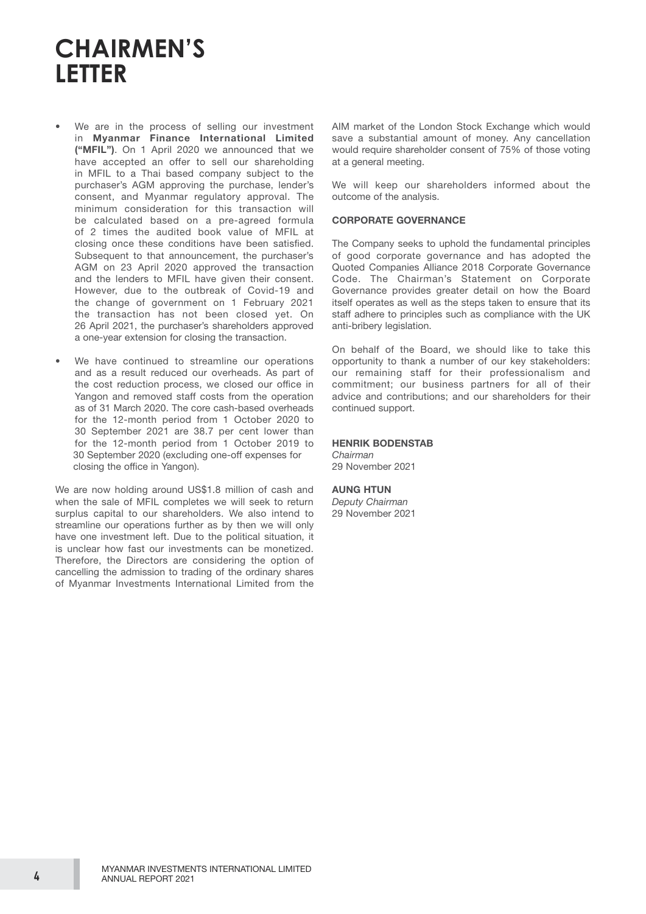# **CHAIRMEN'S LETTER**

- We are in the process of selling our investment in Myanmar Finance International Limited ("MFIL"). On 1 April 2020 we announced that we have accepted an offer to sell our shareholding in MFIL to a Thai based company subject to the purchaser's AGM approving the purchase, lender's consent, and Myanmar regulatory approval. The minimum consideration for this transaction will be calculated based on a pre-agreed formula of 2 times the audited book value of MFIL at closing once these conditions have been satisfied. Subsequent to that announcement, the purchaser's AGM on 23 April 2020 approved the transaction and the lenders to MFIL have given their consent. However, due to the outbreak of Covid-19 and the change of government on 1 February 2021 the transaction has not been closed yet. On 26 April 2021, the purchaser's shareholders approved a one-year extension for closing the transaction.
- We have continued to streamline our operations and as a result reduced our overheads. As part of the cost reduction process, we closed our office in Yangon and removed staff costs from the operation as of 31 March 2020. The core cash-based overheads for the 12-month period from 1 October 2020 to 30 September 2021 are 38.7 per cent lower than for the 12-month period from 1 October 2019 to 30 September 2020 (excluding one-off expenses for closing the office in Yangon).

We are now holding around US\$1.8 million of cash and when the sale of MFIL completes we will seek to return surplus capital to our shareholders. We also intend to streamline our operations further as by then we will only have one investment left. Due to the political situation, it is unclear how fast our investments can be monetized. Therefore, the Directors are considering the option of cancelling the admission to trading of the ordinary shares of Myanmar Investments International Limited from the AIM market of the London Stock Exchange which would save a substantial amount of money. Any cancellation would require shareholder consent of 75% of those voting at a general meeting.

We will keep our shareholders informed about the outcome of the analysis.

#### CORPORATE GOVERNANCE

The Company seeks to uphold the fundamental principles of good corporate governance and has adopted the Quoted Companies Alliance 2018 Corporate Governance Code. The Chairman's Statement on Corporate Governance provides greater detail on how the Board itself operates as well as the steps taken to ensure that its staff adhere to principles such as compliance with the UK anti-bribery legislation.

On behalf of the Board, we should like to take this opportunity to thank a number of our key stakeholders: our remaining staff for their professionalism and commitment; our business partners for all of their advice and contributions; and our shareholders for their continued support.

### HENRIK BODENSTAB

*Chairman* 29 November 2021

#### AUNG HTUN

*Deputy Chairman* 29 November 2021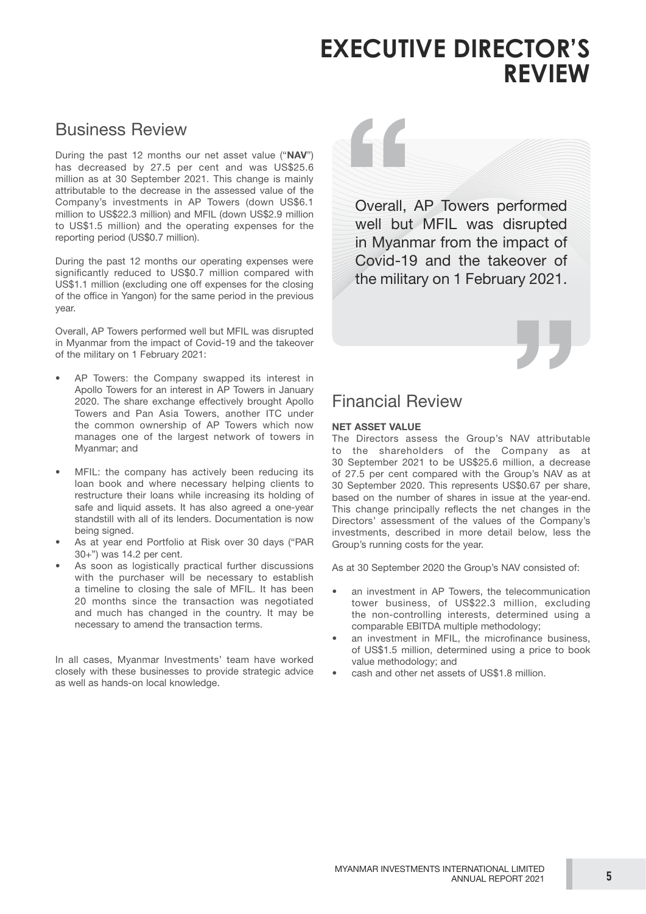# **EXECUTIVE DIRECTOR'S REVIEW**

### Business Review

During the past 12 months our net asset value ("NAV") has decreased by 27.5 per cent and was US\$25.6 million as at 30 September 2021. This change is mainly attributable to the decrease in the assessed value of the Company's investments in AP Towers (down US\$6.1 million to US\$22.3 million) and MFIL (down US\$2.9 million to US\$1.5 million) and the operating expenses for the reporting period (US\$0.7 million).

During the past 12 months our operating expenses were significantly reduced to US\$0.7 million compared with US\$1.1 million (excluding one off expenses for the closing of the office in Yangon) for the same period in the previous year.

Overall, AP Towers performed well but MFIL was disrupted in Myanmar from the impact of Covid-19 and the takeover of the military on 1 February 2021:

- AP Towers: the Company swapped its interest in Apollo Towers for an interest in AP Towers in January 2020. The share exchange effectively brought Apollo Towers and Pan Asia Towers, another ITC under the common ownership of AP Towers which now manages one of the largest network of towers in Myanmar; and
- MFIL: the company has actively been reducing its loan book and where necessary helping clients to restructure their loans while increasing its holding of safe and liquid assets. It has also agreed a one-year standstill with all of its lenders. Documentation is now being signed.
- As at year end Portfolio at Risk over 30 days ("PAR 30+") was 14.2 per cent.
- As soon as logistically practical further discussions with the purchaser will be necessary to establish a timeline to closing the sale of MFIL. It has been 20 months since the transaction was negotiated and much has changed in the country. It may be necessary to amend the transaction terms.

In all cases, Myanmar Investments' team have worked closely with these businesses to provide strategic advice as well as hands-on local knowledge.

Overall,<br>
well but<br>
in Myanr Overall, AP Towers performed well but MFIL was disrupted in Myanmar from the impact of Covid-19 and the takeover of the military on 1 February 2021.

### Financial Review

### NET ASSET VALUE

The Directors assess the Group's NAV attributable to the shareholders of the Company as at 30 September 2021 to be US\$25.6 million, a decrease of 27.5 per cent compared with the Group's NAV as at 30 September 2020. This represents US\$0.67 per share, based on the number of shares in issue at the year-end. This change principally reflects the net changes in the Directors' assessment of the values of the Company's investments, described in more detail below, less the Group's running costs for the year. NAV attributat

As at 30 September 2020 the Group's NAV consisted of:

- an investment in AP Towers, the telecommunication tower business, of US\$22.3 million, excluding the non-controlling interests, determined using a comparable EBITDA multiple methodology;
- an investment in MFIL, the microfinance business, of US\$1.5 million, determined using a price to book value methodology; and
- cash and other net assets of US\$1.8 million.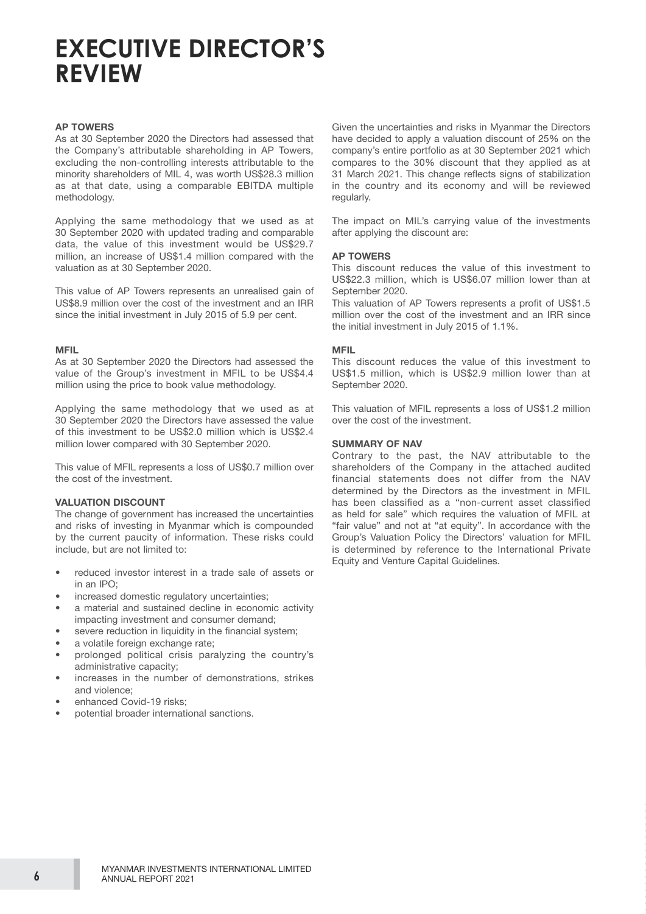# **EXECUTIVE DIRECTOR'S REVIEW**

#### AP TOWERS

As at 30 September 2020 the Directors had assessed that the Company's attributable shareholding in AP Towers, excluding the non-controlling interests attributable to the minority shareholders of MIL 4, was worth US\$28.3 million as at that date, using a comparable EBITDA multiple methodology.

Applying the same methodology that we used as at 30 September 2020 with updated trading and comparable data, the value of this investment would be US\$29.7 million, an increase of US\$1.4 million compared with the valuation as at 30 September 2020.

This value of AP Towers represents an unrealised gain of US\$8.9 million over the cost of the investment and an IRR since the initial investment in July 2015 of 5.9 per cent.

#### MFIL

As at 30 September 2020 the Directors had assessed the value of the Group's investment in MFIL to be US\$4.4 million using the price to book value methodology.

Applying the same methodology that we used as at 30 September 2020 the Directors have assessed the value of this investment to be US\$2.0 million which is US\$2.4 million lower compared with 30 September 2020.

This value of MFIL represents a loss of US\$0.7 million over the cost of the investment.

#### VALUATION DISCOUNT

The change of government has increased the uncertainties and risks of investing in Myanmar which is compounded by the current paucity of information. These risks could include, but are not limited to:

- reduced investor interest in a trade sale of assets or in an IPO;
- increased domestic regulatory uncertainties;
- a material and sustained decline in economic activity impacting investment and consumer demand;
- severe reduction in liquidity in the financial system;
- a volatile foreign exchange rate:
- prolonged political crisis paralyzing the country's administrative capacity;
- increases in the number of demonstrations, strikes and violence;
- enhanced Covid-19 risks:
- potential broader international sanctions.

Given the uncertainties and risks in Myanmar the Directors have decided to apply a valuation discount of 25% on the company's entire portfolio as at 30 September 2021 which compares to the 30% discount that they applied as at 31 March 2021. This change reflects signs of stabilization in the country and its economy and will be reviewed regularly.

The impact on MIL's carrying value of the investments after applying the discount are:

#### AP TOWERS

This discount reduces the value of this investment to US\$22.3 million, which is US\$6.07 million lower than at September 2020.

This valuation of AP Towers represents a profit of US\$1.5 million over the cost of the investment and an IRR since the initial investment in July 2015 of 1.1%.

#### MFIL

This discount reduces the value of this investment to US\$1.5 million, which is US\$2.9 million lower than at September 2020.

This valuation of MFIL represents a loss of US\$1.2 million over the cost of the investment.

#### SUMMARY OF NAV

Contrary to the past, the NAV attributable to the shareholders of the Company in the attached audited financial statements does not differ from the NAV determined by the Directors as the investment in MFIL has been classified as a "non-current asset classified as held for sale" which requires the valuation of MFIL at "fair value" and not at "at equity". In accordance with the Group's Valuation Policy the Directors' valuation for MFIL is determined by reference to the International Private Equity and Venture Capital Guidelines.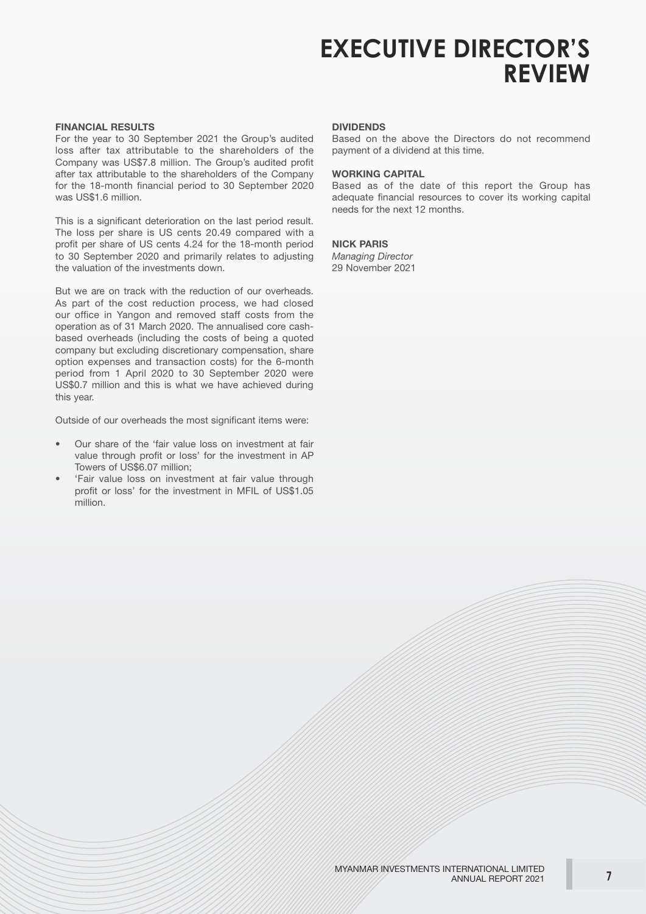# **EXECUTIVE DIRECTOR'S REVIEW**

#### FINANCIAL RESULTS

For the year to 30 September 2021 the Group's audited loss after tax attributable to the shareholders of the Company was US\$7.8 million. The Group's audited profit after tax attributable to the shareholders of the Company for the 18-month financial period to 30 September 2020 was US\$1.6 million.

This is a significant deterioration on the last period result. The loss per share is US cents 20.49 compared with a profit per share of US cents 4.24 for the 18-month period to 30 September 2020 and primarily relates to adjusting the valuation of the investments down.

But we are on track with the reduction of our overheads. As part of the cost reduction process, we had closed our office in Yangon and removed staff costs from the operation as of 31 March 2020. The annualised core cashbased overheads (including the costs of being a quoted company but excluding discretionary compensation, share option expenses and transaction costs) for the 6-month period from 1 April 2020 to 30 September 2020 were US\$0.7 million and this is what we have achieved during this year.

Outside of our overheads the most significant items were:

- Our share of the 'fair value loss on investment at fair value through profit or loss' for the investment in AP Towers of US\$6.07 million;
- 'Fair value loss on investment at fair value through profit or loss' for the investment in MFIL of US\$1.05 million.

#### DIVIDENDS

Based on the above the Directors do not recommend payment of a dividend at this time.

#### WORKING CAPITAL

Based as of the date of this report the Group has adequate financial resources to cover its working capital needs for the next 12 months.

#### NICK PARIS

*Managing Director* 29 November 2021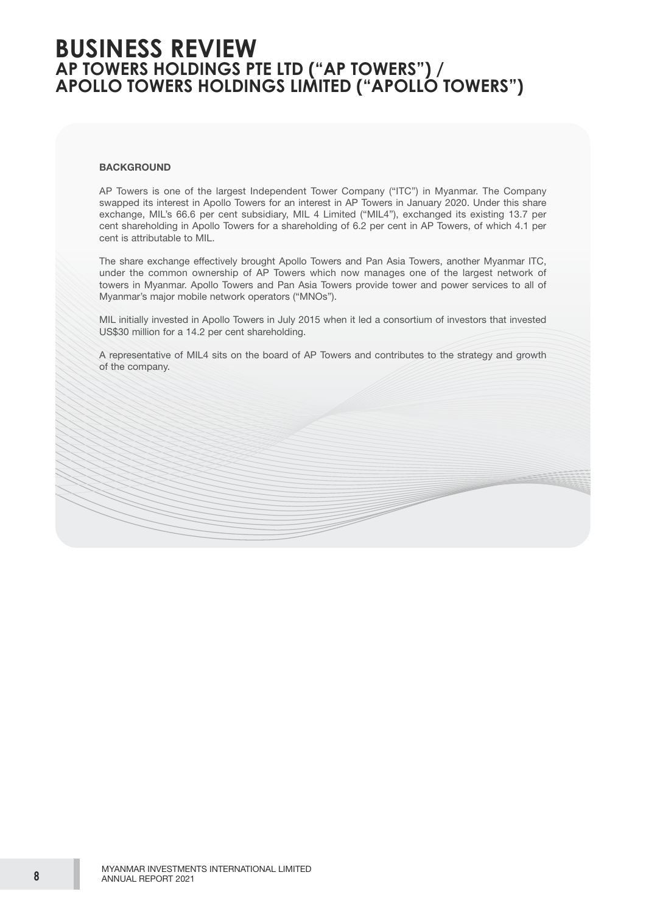### **BUSINESS REVIEW AP TOWERS HOLDINGS PTE LTD ("AP TOWERS") / APOLLO TOWERS HOLDINGS LIMITED ("APOLLO TOWERS")**

#### **BACKGROUND**

AP Towers is one of the largest Independent Tower Company ("ITC") in Myanmar. The Company swapped its interest in Apollo Towers for an interest in AP Towers in January 2020. Under this share exchange, MIL's 66.6 per cent subsidiary, MIL 4 Limited ("MIL4"), exchanged its existing 13.7 per cent shareholding in Apollo Towers for a shareholding of 6.2 per cent in AP Towers, of which 4.1 per cent is attributable to MIL.

The share exchange effectively brought Apollo Towers and Pan Asia Towers, another Myanmar ITC, under the common ownership of AP Towers which now manages one of the largest network of towers in Myanmar. Apollo Towers and Pan Asia Towers provide tower and power services to all of Myanmar's major mobile network operators ("MNOs").

MIL initially invested in Apollo Towers in July 2015 when it led a consortium of investors that invested US\$30 million for a 14.2 per cent shareholding.

A representative of MIL4 sits on the board of AP Towers and contributes to the strategy and growth of the company.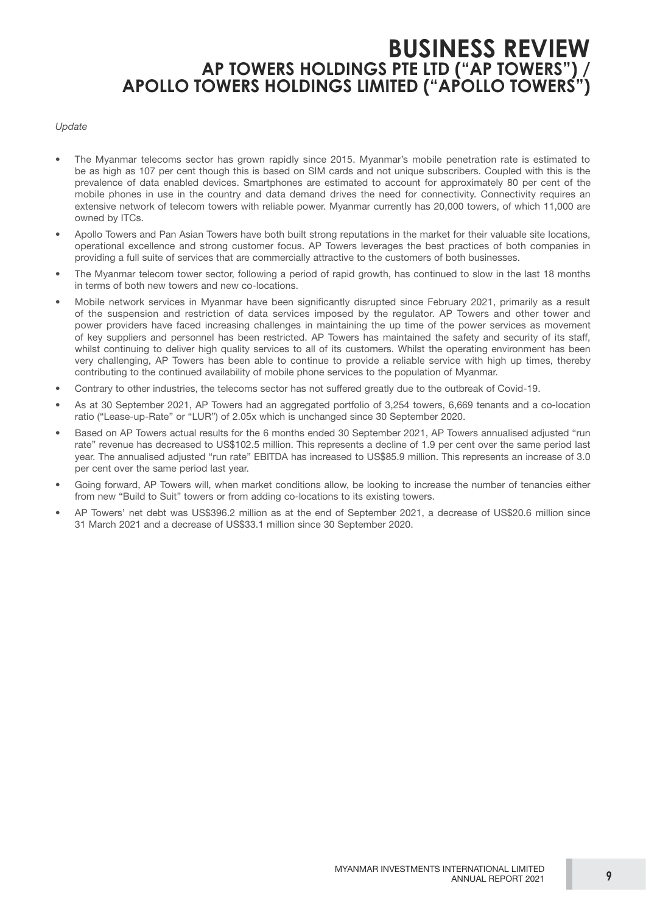### **BUSINESS REVIEW AP TOWERS HOLDINGS PTE LTD ("AP TOWERS") / APOLLO TOWERS HOLDINGS LIMITED ("APOLLO TOWERS")**

#### *Update*

- The Myanmar telecoms sector has grown rapidly since 2015. Myanmar's mobile penetration rate is estimated to be as high as 107 per cent though this is based on SIM cards and not unique subscribers. Coupled with this is the prevalence of data enabled devices. Smartphones are estimated to account for approximately 80 per cent of the mobile phones in use in the country and data demand drives the need for connectivity. Connectivity requires an extensive network of telecom towers with reliable power. Myanmar currently has 20,000 towers, of which 11,000 are owned by ITCs.
- Apollo Towers and Pan Asian Towers have both built strong reputations in the market for their valuable site locations, operational excellence and strong customer focus. AP Towers leverages the best practices of both companies in providing a full suite of services that are commercially attractive to the customers of both businesses.
- The Myanmar telecom tower sector, following a period of rapid growth, has continued to slow in the last 18 months in terms of both new towers and new co-locations.
- Mobile network services in Myanmar have been significantly disrupted since February 2021, primarily as a result of the suspension and restriction of data services imposed by the regulator. AP Towers and other tower and power providers have faced increasing challenges in maintaining the up time of the power services as movement of key suppliers and personnel has been restricted. AP Towers has maintained the safety and security of its staff, whilst continuing to deliver high quality services to all of its customers. Whilst the operating environment has been very challenging, AP Towers has been able to continue to provide a reliable service with high up times, thereby contributing to the continued availability of mobile phone services to the population of Myanmar.
- Contrary to other industries, the telecoms sector has not suffered greatly due to the outbreak of Covid-19.
- As at 30 September 2021, AP Towers had an aggregated portfolio of 3,254 towers, 6,669 tenants and a co-location ratio ("Lease-up-Rate" or "LUR") of 2.05x which is unchanged since 30 September 2020.
- Based on AP Towers actual results for the 6 months ended 30 September 2021, AP Towers annualised adjusted "run rate" revenue has decreased to US\$102.5 million. This represents a decline of 1.9 per cent over the same period last year. The annualised adjusted "run rate" EBITDA has increased to US\$85.9 million. This represents an increase of 3.0 per cent over the same period last year.
- Going forward, AP Towers will, when market conditions allow, be looking to increase the number of tenancies either from new "Build to Suit" towers or from adding co-locations to its existing towers.
- AP Towers' net debt was US\$396.2 million as at the end of September 2021, a decrease of US\$20.6 million since 31 March 2021 and a decrease of US\$33.1 million since 30 September 2020.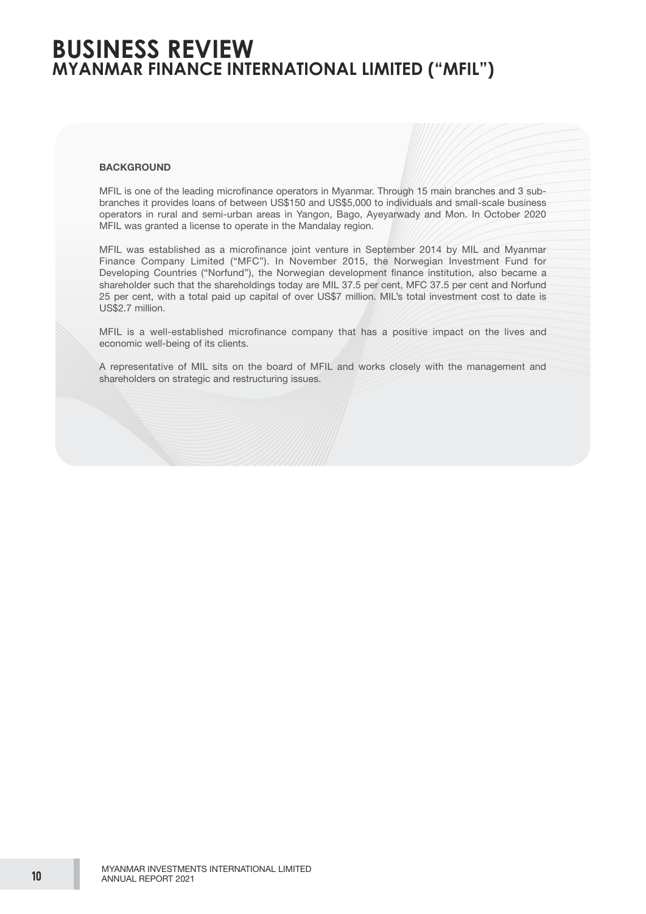### **BUSINESS REVIEW MYANMAR FINANCE INTERNATIONAL LIMITED ("MFIL")**

#### **BACKGROUND**

MFIL is one of the leading microfinance operators in Myanmar. Through 15 main branches and 3 subbranches it provides loans of between US\$150 and US\$5,000 to individuals and small-scale business operators in rural and semi-urban areas in Yangon, Bago, Ayeyarwady and Mon. In October 2020 MFIL was granted a license to operate in the Mandalay region.

MFIL was established as a microfinance joint venture in September 2014 by MIL and Myanmar Finance Company Limited ("MFC"). In November 2015, the Norwegian Investment Fund for Developing Countries ("Norfund"), the Norwegian development finance institution, also became a shareholder such that the shareholdings today are MIL 37.5 per cent, MFC 37.5 per cent and Norfund 25 per cent, with a total paid up capital of over US\$7 million. MIL's total investment cost to date is US\$2.7 million.

MFIL is a well-established microfinance company that has a positive impact on the lives and economic well-being of its clients.

A representative of MIL sits on the board of MFIL and works closely with the management and shareholders on strategic and restructuring issues.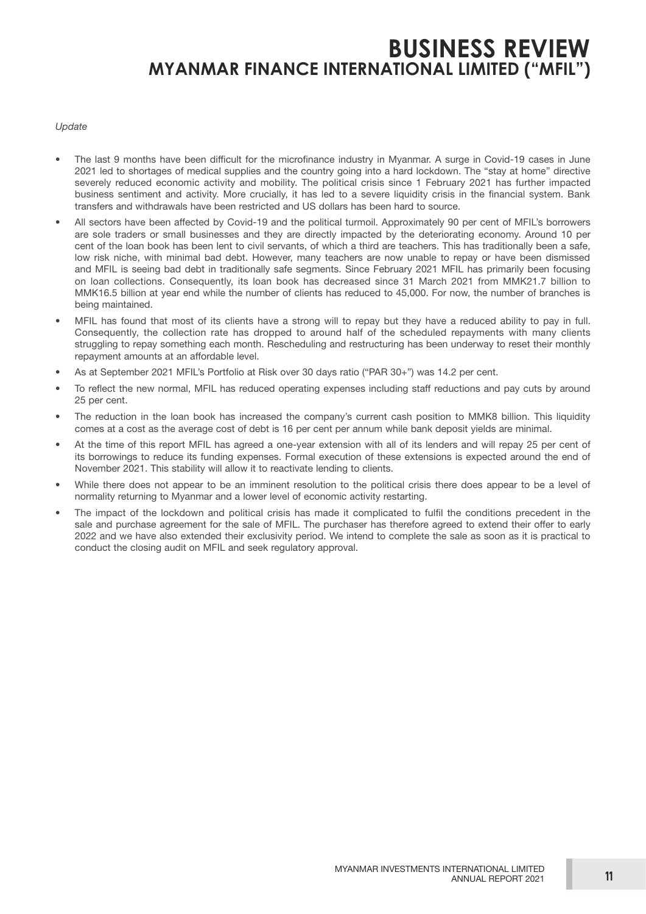### **BUSINESS REVIEW MYANMAR FINANCE INTERNATIONAL LIMITED ("MFIL")**

#### *Update*

- The last 9 months have been difficult for the microfinance industry in Myanmar. A surge in Covid-19 cases in June 2021 led to shortages of medical supplies and the country going into a hard lockdown. The "stay at home" directive severely reduced economic activity and mobility. The political crisis since 1 February 2021 has further impacted business sentiment and activity. More crucially, it has led to a severe liquidity crisis in the financial system. Bank transfers and withdrawals have been restricted and US dollars has been hard to source.
- All sectors have been affected by Covid-19 and the political turmoil. Approximately 90 per cent of MFIL's borrowers are sole traders or small businesses and they are directly impacted by the deteriorating economy. Around 10 per cent of the loan book has been lent to civil servants, of which a third are teachers. This has traditionally been a safe, low risk niche, with minimal bad debt. However, many teachers are now unable to repay or have been dismissed and MFIL is seeing bad debt in traditionally safe segments. Since February 2021 MFIL has primarily been focusing on loan collections. Consequently, its loan book has decreased since 31 March 2021 from MMK21.7 billion to MMK16.5 billion at year end while the number of clients has reduced to 45,000. For now, the number of branches is being maintained.
- MFIL has found that most of its clients have a strong will to repay but they have a reduced ability to pay in full. Consequently, the collection rate has dropped to around half of the scheduled repayments with many clients struggling to repay something each month. Rescheduling and restructuring has been underway to reset their monthly repayment amounts at an affordable level.
- As at September 2021 MFIL's Portfolio at Risk over 30 days ratio ("PAR 30+") was 14.2 per cent.
- To reflect the new normal, MFIL has reduced operating expenses including staff reductions and pay cuts by around 25 per cent.
- The reduction in the loan book has increased the company's current cash position to MMK8 billion. This liquidity comes at a cost as the average cost of debt is 16 per cent per annum while bank deposit yields are minimal.
- At the time of this report MFIL has agreed a one-year extension with all of its lenders and will repay 25 per cent of its borrowings to reduce its funding expenses. Formal execution of these extensions is expected around the end of November 2021. This stability will allow it to reactivate lending to clients.
- While there does not appear to be an imminent resolution to the political crisis there does appear to be a level of normality returning to Myanmar and a lower level of economic activity restarting.
- The impact of the lockdown and political crisis has made it complicated to fulfil the conditions precedent in the sale and purchase agreement for the sale of MFIL. The purchaser has therefore agreed to extend their offer to early 2022 and we have also extended their exclusivity period. We intend to complete the sale as soon as it is practical to conduct the closing audit on MFIL and seek regulatory approval.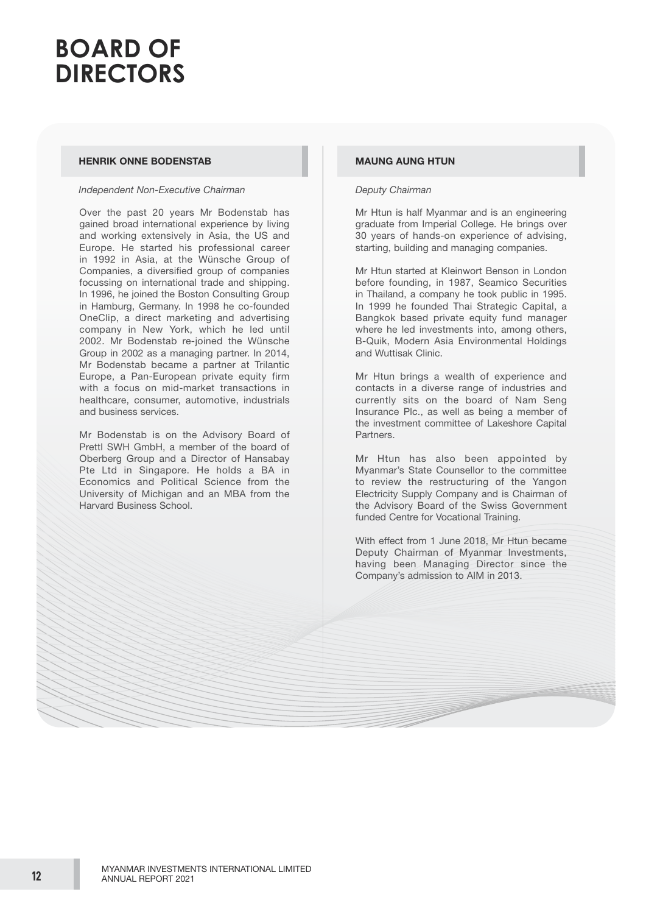# **BOARD OF DIRECTORS**

### HENRIK ONNE BODENSTAB MAUNG AUNG HTUN

#### *Independent Non-Executive Chairman Deputy Chairman*

Over the past 20 years Mr Bodenstab has gained broad international experience by living and working extensively in Asia, the US and Europe. He started his professional career in 1992 in Asia, at the Wünsche Group of Companies, a diversified group of companies focussing on international trade and shipping. In 1996, he joined the Boston Consulting Group in Hamburg, Germany. In 1998 he co-founded OneClip, a direct marketing and advertising company in New York, which he led until 2002. Mr Bodenstab re-joined the Wünsche Group in 2002 as a managing partner. In 2014, Mr Bodenstab became a partner at Trilantic Europe, a Pan-European private equity firm with a focus on mid-market transactions in healthcare, consumer, automotive, industrials and business services.

Mr Bodenstab is on the Advisory Board of Prettl SWH GmbH, a member of the board of Oberberg Group and a Director of Hansabay Pte Ltd in Singapore. He holds a BA in Economics and Political Science from the University of Michigan and an MBA from the Harvard Business School.

Mr Htun is half Myanmar and is an engineering graduate from Imperial College. He brings over 30 years of hands-on experience of advising, starting, building and managing companies.

Mr Htun started at Kleinwort Benson in London before founding, in 1987, Seamico Securities in Thailand, a company he took public in 1995. In 1999 he founded Thai Strategic Capital, a Bangkok based private equity fund manager where he led investments into, among others, B-Quik, Modern Asia Environmental Holdings and Wuttisak Clinic.

Mr Htun brings a wealth of experience and contacts in a diverse range of industries and currently sits on the board of Nam Seng Insurance Plc., as well as being a member of the investment committee of Lakeshore Capital Partners.

Mr Htun has also been appointed by Myanmar's State Counsellor to the committee to review the restructuring of the Yangon Electricity Supply Company and is Chairman of the Advisory Board of the Swiss Government funded Centre for Vocational Training.

With effect from 1 June 2018, Mr Htun became Deputy Chairman of Myanmar Investments, having been Managing Director since the Company's admission to AIM in 2013.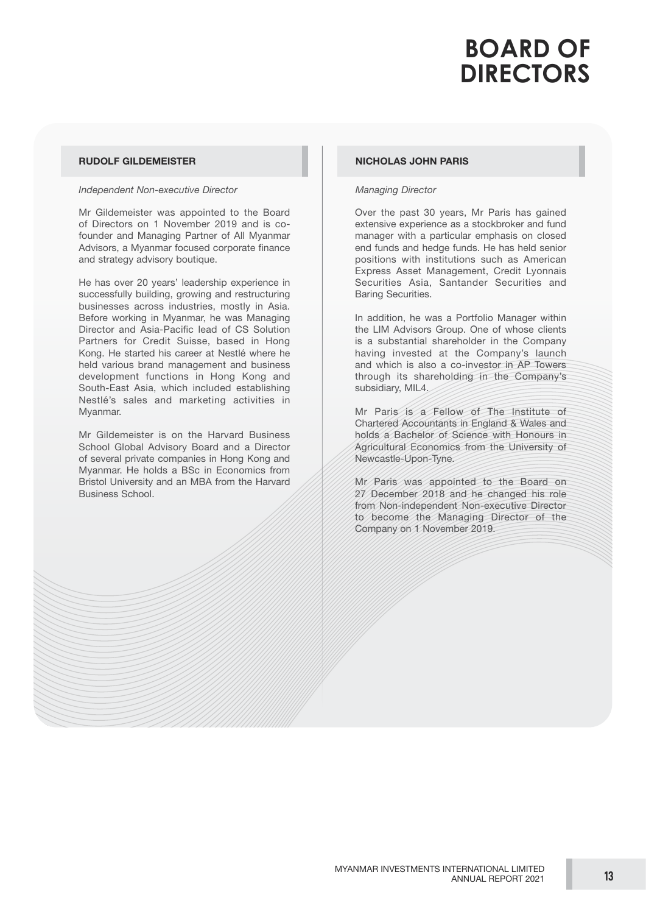# **BOARD OF DIRECTORS**

### RUDOLF GILDEMEISTER NICHOLAS JOHN PARIS

#### *Independent Non-executive Director Managing Director*

Mr Gildemeister was appointed to the Board of Directors on 1 November 2019 and is cofounder and Managing Partner of All Myanmar Advisors, a Myanmar focused corporate finance and strategy advisory boutique.

He has over 20 years' leadership experience in successfully building, growing and restructuring businesses across industries, mostly in Asia. Before working in Myanmar, he was Managing Director and Asia-Pacific lead of CS Solution Partners for Credit Suisse, based in Hong Kong. He started his career at Nestlé where he held various brand management and business development functions in Hong Kong and South-East Asia, which included establishing Nestlé's sales and marketing activities in Myanmar.

Mr Gildemeister is on the Harvard Business School Global Advisory Board and a Director of several private companies in Hong Kong and Myanmar. He holds a BSc in Economics from Bristol University and an MBA from the Harvard Business School.

Over the past 30 years, Mr Paris has gained extensive experience as a stockbroker and fund manager with a particular emphasis on closed end funds and hedge funds. He has held senior positions with institutions such as American Express Asset Management, Credit Lyonnais Securities Asia, Santander Securities and Baring Securities.

In addition, he was a Portfolio Manager within the LIM Advisors Group. One of whose clients is a substantial shareholder in the Company having invested at the Company's launch and which is also a co-investor in AP Towers through its shareholding in the Company's subsidiary, MIL4.

Mr Paris is a Fellow of The Institute of Chartered Accountants in England & Wales and holds a Bachelor of Science with Honours in Agricultural Economics from the University of Newcastle-Upon-Tyne.

Mr Paris was appointed to the Board on 27 December 2018 and he changed his role from Non-independent Non-executive Director to become the Managing Director of the Company on 1 November 2019.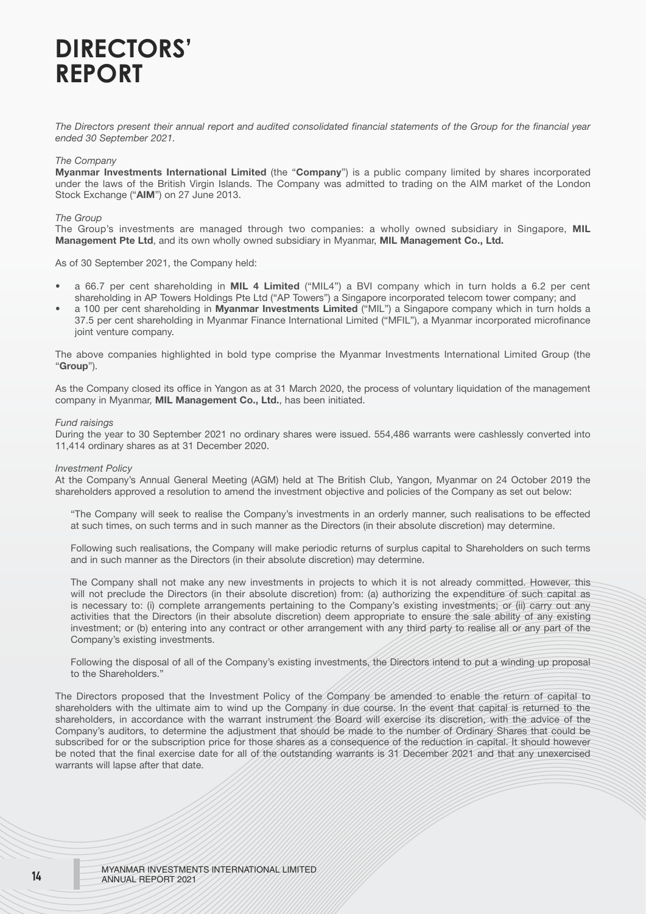*The Directors present their annual report and audited consolidated financial statements of the Group for the financial year ended 30 September 2021.*

#### *The Company*

Myanmar Investments International Limited (the "Company") is a public company limited by shares incorporated under the laws of the British Virgin Islands. The Company was admitted to trading on the AIM market of the London Stock Exchange ("AIM") on 27 June 2013.

#### *The Group*

The Group's investments are managed through two companies: a wholly owned subsidiary in Singapore, MIL Management Pte Ltd, and its own wholly owned subsidiary in Myanmar, MIL Management Co., Ltd.

As of 30 September 2021, the Company held:

- a 66.7 per cent shareholding in MIL 4 Limited ("MIL4") a BVI company which in turn holds a 6.2 per cent shareholding in AP Towers Holdings Pte Ltd ("AP Towers") a Singapore incorporated telecom tower company; and
- a 100 per cent shareholding in Myanmar Investments Limited ("MIL") a Singapore company which in turn holds a 37.5 per cent shareholding in Myanmar Finance International Limited ("MFIL"), a Myanmar incorporated microfinance joint venture company.

The above companies highlighted in bold type comprise the Myanmar Investments International Limited Group (the "Group").

As the Company closed its office in Yangon as at 31 March 2020, the process of voluntary liquidation of the management company in Myanmar, MIL Management Co., Ltd., has been initiated.

#### *Fund raisings*

During the year to 30 September 2021 no ordinary shares were issued. 554,486 warrants were cashlessly converted into 11,414 ordinary shares as at 31 December 2020.

#### *Investment Policy*

At the Company's Annual General Meeting (AGM) held at The British Club, Yangon, Myanmar on 24 October 2019 the shareholders approved a resolution to amend the investment objective and policies of the Company as set out below:

"The Company will seek to realise the Company's investments in an orderly manner, such realisations to be effected at such times, on such terms and in such manner as the Directors (in their absolute discretion) may determine.

Following such realisations, the Company will make periodic returns of surplus capital to Shareholders on such terms and in such manner as the Directors (in their absolute discretion) may determine.

The Company shall not make any new investments in projects to which it is not already committed. However, this will not preclude the Directors (in their absolute discretion) from: (a) authorizing the expenditure of such capital as is necessary to: (i) complete arrangements pertaining to the Company's existing investments; or (ii) carry out any activities that the Directors (in their absolute discretion) deem appropriate to ensure the sale ability of any existing investment; or (b) entering into any contract or other arrangement with any third party to realise all or any part of the Company's existing investments.

Following the disposal of all of the Company's existing investments, the Directors intend to put a winding up proposal to the Shareholders."

The Directors proposed that the Investment Policy of the Company be amended to enable the return of capital to shareholders with the ultimate aim to wind up the Company in due course. In the event that capital is returned to the shareholders, in accordance with the warrant instrument the Board will exercise its discretion, with the advice of the Company's auditors, to determine the adjustment that should be made to the number of Ordinary Shares that could be subscribed for or the subscription price for those shares as a consequence of the reduction in capital. It should however be noted that the final exercise date for all of the outstanding warrants is 31 December 2021 and that any unexercised warrants will lapse after that date.

**14** MYANMAR INVESTMENTS INTERNATIONAL LIMITED ANNUAL REPORT 2021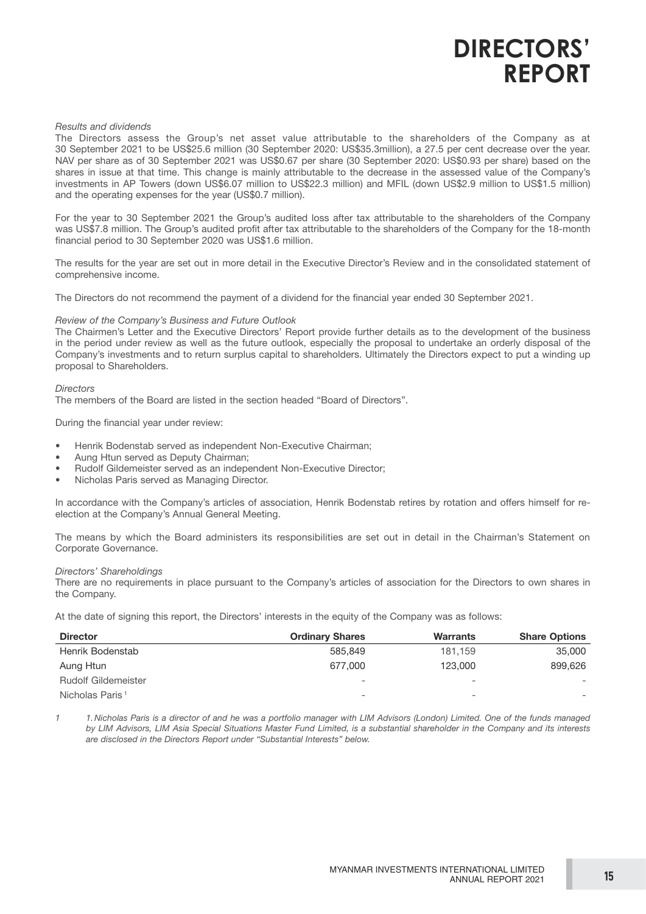#### *Results and dividends*

The Directors assess the Group's net asset value attributable to the shareholders of the Company as at 30 September 2021 to be US\$25.6 million (30 September 2020: US\$35.3million), a 27.5 per cent decrease over the year. NAV per share as of 30 September 2021 was US\$0.67 per share (30 September 2020: US\$0.93 per share) based on the shares in issue at that time. This change is mainly attributable to the decrease in the assessed value of the Company's investments in AP Towers (down US\$6.07 million to US\$22.3 million) and MFIL (down US\$2.9 million to US\$1.5 million) and the operating expenses for the year (US\$0.7 million).

For the year to 30 September 2021 the Group's audited loss after tax attributable to the shareholders of the Company was US\$7.8 million. The Group's audited profit after tax attributable to the shareholders of the Company for the 18-month financial period to 30 September 2020 was US\$1.6 million.

The results for the year are set out in more detail in the Executive Director's Review and in the consolidated statement of comprehensive income.

The Directors do not recommend the payment of a dividend for the financial year ended 30 September 2021.

#### *Review of the Company's Business and Future Outlook*

The Chairmen's Letter and the Executive Directors' Report provide further details as to the development of the business in the period under review as well as the future outlook, especially the proposal to undertake an orderly disposal of the Company's investments and to return surplus capital to shareholders. Ultimately the Directors expect to put a winding up proposal to Shareholders.

#### *Directors*

The members of the Board are listed in the section headed "Board of Directors".

During the financial year under review:

- Henrik Bodenstab served as independent Non-Executive Chairman;
- Aung Htun served as Deputy Chairman;
- Rudolf Gildemeister served as an independent Non-Executive Director;
- Nicholas Paris served as Managing Director.

In accordance with the Company's articles of association, Henrik Bodenstab retires by rotation and offers himself for reelection at the Company's Annual General Meeting.

The means by which the Board administers its responsibilities are set out in detail in the Chairman's Statement on Corporate Governance.

#### *Directors' Shareholdings*

There are no requirements in place pursuant to the Company's articles of association for the Directors to own shares in the Company.

At the date of signing this report, the Directors' interests in the equity of the Company was as follows:

| <b>Director</b>             | <b>Ordinary Shares</b>       | <b>Warrants</b>          | <b>Share Options</b> |
|-----------------------------|------------------------------|--------------------------|----------------------|
| Henrik Bodenstab            | 585,849                      | 181.159                  | 35,000               |
| Aung Htun                   | 677.000                      | 123,000                  | 899.626              |
| <b>Rudolf Gildemeister</b>  | $\qquad \qquad \blacksquare$ | $\overline{\phantom{a}}$ |                      |
| Nicholas Paris <sup>1</sup> | -                            | $\overline{\phantom{a}}$ |                      |

*1 1.Nicholas Paris is a director of and he was a portfolio manager with LIM Advisors (London) Limited. One of the funds managed by LIM Advisors, LIM Asia Special Situations Master Fund Limited, is a substantial shareholder in the Company and its interests are disclosed in the Directors Report under "Substantial Interests" below.*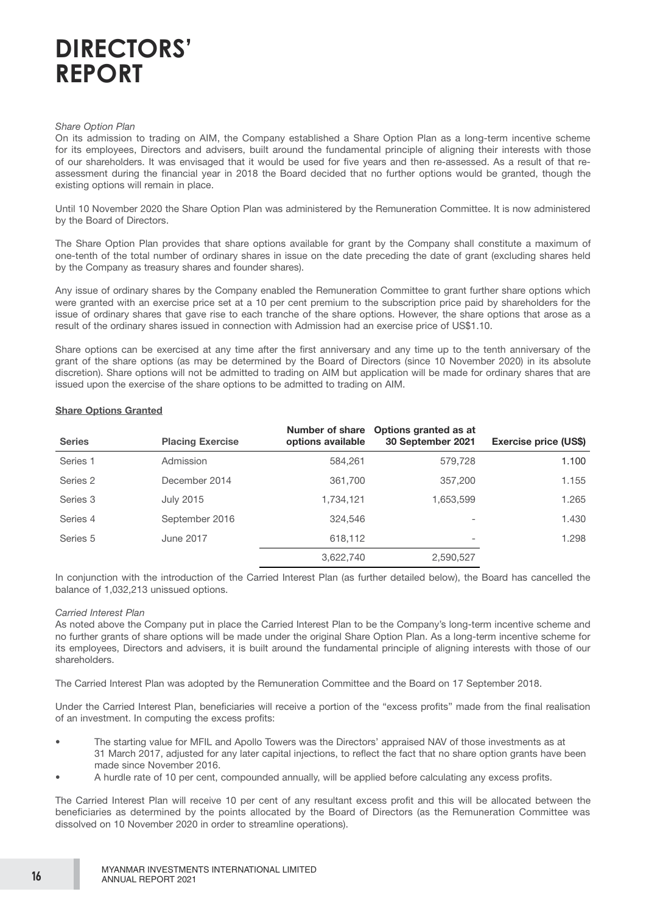#### *Share Option Plan*

On its admission to trading on AIM, the Company established a Share Option Plan as a long-term incentive scheme for its employees, Directors and advisers, built around the fundamental principle of aligning their interests with those of our shareholders. It was envisaged that it would be used for five years and then re-assessed. As a result of that reassessment during the financial year in 2018 the Board decided that no further options would be granted, though the existing options will remain in place.

Until 10 November 2020 the Share Option Plan was administered by the Remuneration Committee. It is now administered by the Board of Directors.

The Share Option Plan provides that share options available for grant by the Company shall constitute a maximum of one-tenth of the total number of ordinary shares in issue on the date preceding the date of grant (excluding shares held by the Company as treasury shares and founder shares).

Any issue of ordinary shares by the Company enabled the Remuneration Committee to grant further share options which were granted with an exercise price set at a 10 per cent premium to the subscription price paid by shareholders for the issue of ordinary shares that gave rise to each tranche of the share options. However, the share options that arose as a result of the ordinary shares issued in connection with Admission had an exercise price of US\$1.10.

Share options can be exercised at any time after the first anniversary and any time up to the tenth anniversary of the grant of the share options (as may be determined by the Board of Directors (since 10 November 2020) in its absolute discretion). Share options will not be admitted to trading on AIM but application will be made for ordinary shares that are issued upon the exercise of the share options to be admitted to trading on AIM.

| <b>Series</b>       | <b>Placing Exercise</b> | Number of share<br>options available | Options granted as at<br>30 September 2021 | <b>Exercise price (US\$)</b> |
|---------------------|-------------------------|--------------------------------------|--------------------------------------------|------------------------------|
| Series <sub>1</sub> | Admission               | 584.261                              | 579.728                                    | 1.100                        |
| Series 2            | December 2014           | 361,700                              | 357,200                                    | 1.155                        |
| Series 3            | <b>July 2015</b>        | 1,734,121                            | 1,653,599                                  | 1.265                        |
| Series 4            | September 2016          | 324.546                              | $\overline{\phantom{a}}$                   | 1.430                        |
| Series 5            | June 2017               | 618.112                              | $\qquad \qquad \blacksquare$               | 1.298                        |
|                     |                         | 3.622.740                            | 2,590,527                                  |                              |

#### Share Options Granted

In conjunction with the introduction of the Carried Interest Plan (as further detailed below), the Board has cancelled the balance of 1,032,213 unissued options.

#### *Carried Interest Plan*

As noted above the Company put in place the Carried Interest Plan to be the Company's long-term incentive scheme and no further grants of share options will be made under the original Share Option Plan. As a long-term incentive scheme for its employees, Directors and advisers, it is built around the fundamental principle of aligning interests with those of our shareholders.

The Carried Interest Plan was adopted by the Remuneration Committee and the Board on 17 September 2018.

Under the Carried Interest Plan, beneficiaries will receive a portion of the "excess profits" made from the final realisation of an investment. In computing the excess profits:

- The starting value for MFIL and Apollo Towers was the Directors' appraised NAV of those investments as at 31 March 2017, adjusted for any later capital injections, to reflect the fact that no share option grants have been made since November 2016.
- A hurdle rate of 10 per cent, compounded annually, will be applied before calculating any excess profits.

The Carried Interest Plan will receive 10 per cent of any resultant excess profit and this will be allocated between the beneficiaries as determined by the points allocated by the Board of Directors (as the Remuneration Committee was dissolved on 10 November 2020 in order to streamline operations).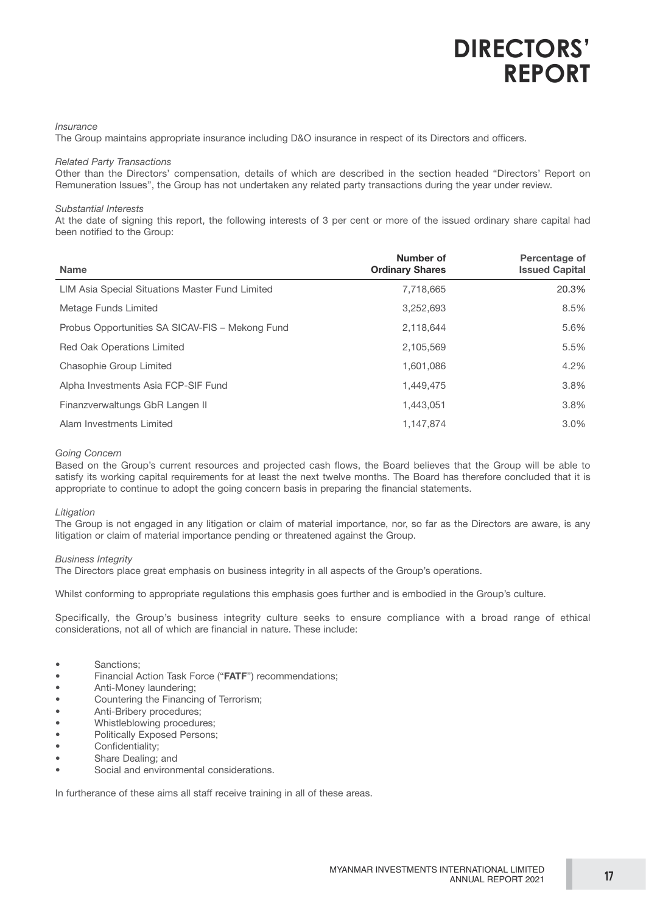#### *Insurance*

The Group maintains appropriate insurance including D&O insurance in respect of its Directors and officers.

#### *Related Party Transactions*

Other than the Directors' compensation, details of which are described in the section headed "Directors' Report on Remuneration Issues", the Group has not undertaken any related party transactions during the year under review.

#### *Substantial Interests*

At the date of signing this report, the following interests of 3 per cent or more of the issued ordinary share capital had been notified to the Group:

| <b>Name</b>                                     | Number of<br><b>Ordinary Shares</b> | Percentage of<br><b>Issued Capital</b> |
|-------------------------------------------------|-------------------------------------|----------------------------------------|
| LIM Asia Special Situations Master Fund Limited | 7,718,665                           | 20.3%                                  |
| Metage Funds Limited                            | 3,252,693                           | 8.5%                                   |
| Probus Opportunities SA SICAV-FIS - Mekong Fund | 2,118,644                           | 5.6%                                   |
| <b>Red Oak Operations Limited</b>               | 2,105,569                           | 5.5%                                   |
| Chasophie Group Limited                         | 1.601.086                           | 4.2%                                   |
| Alpha Investments Asia FCP-SIF Fund             | 1.449.475                           | 3.8%                                   |
| Finanzverwaltungs GbR Langen II                 | 1.443.051                           | 3.8%                                   |
| Alam Investments Limited                        | 1.147.874                           | $3.0\%$                                |

#### *Going Concern*

Based on the Group's current resources and projected cash flows, the Board believes that the Group will be able to satisfy its working capital requirements for at least the next twelve months. The Board has therefore concluded that it is appropriate to continue to adopt the going concern basis in preparing the financial statements.

#### *Litigation*

The Group is not engaged in any litigation or claim of material importance, nor, so far as the Directors are aware, is any litigation or claim of material importance pending or threatened against the Group.

#### *Business Integrity*

The Directors place great emphasis on business integrity in all aspects of the Group's operations.

Whilst conforming to appropriate regulations this emphasis goes further and is embodied in the Group's culture.

Specifically, the Group's business integrity culture seeks to ensure compliance with a broad range of ethical considerations, not all of which are financial in nature. These include:

- Sanctions;
- Financial Action Task Force ("FATF") recommendations;
- Anti-Money laundering;
- Countering the Financing of Terrorism;
- Anti-Bribery procedures;
- Whistleblowing procedures;
- Politically Exposed Persons;
- Confidentiality;
- Share Dealing; and
- Social and environmental considerations.

In furtherance of these aims all staff receive training in all of these areas.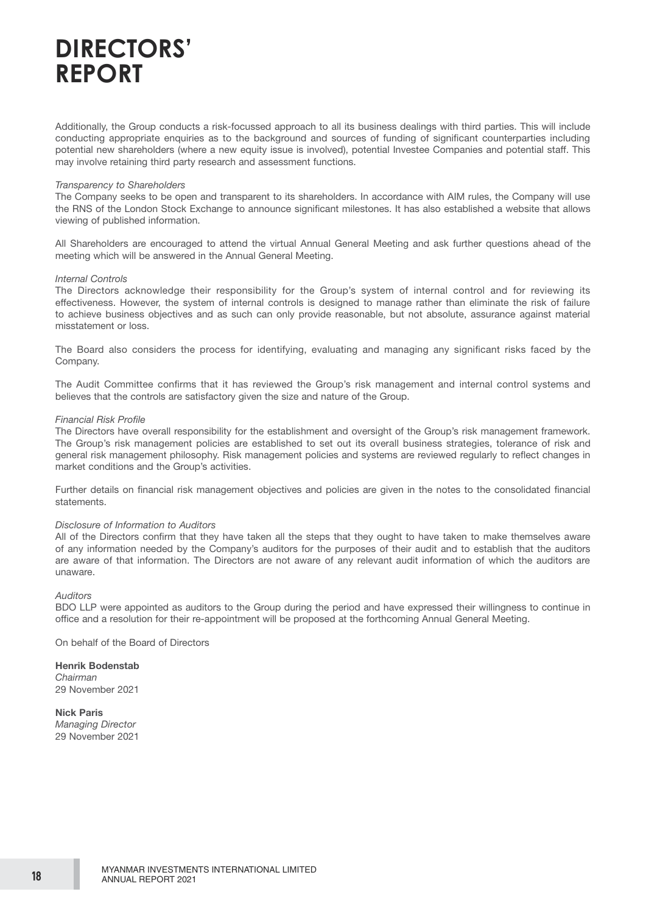Additionally, the Group conducts a risk-focussed approach to all its business dealings with third parties. This will include conducting appropriate enquiries as to the background and sources of funding of significant counterparties including potential new shareholders (where a new equity issue is involved), potential Investee Companies and potential staff. This may involve retaining third party research and assessment functions.

#### *Transparency to Shareholders*

The Company seeks to be open and transparent to its shareholders. In accordance with AIM rules, the Company will use the RNS of the London Stock Exchange to announce significant milestones. It has also established a website that allows viewing of published information.

All Shareholders are encouraged to attend the virtual Annual General Meeting and ask further questions ahead of the meeting which will be answered in the Annual General Meeting.

#### *Internal Controls*

The Directors acknowledge their responsibility for the Group's system of internal control and for reviewing its effectiveness. However, the system of internal controls is designed to manage rather than eliminate the risk of failure to achieve business objectives and as such can only provide reasonable, but not absolute, assurance against material misstatement or loss.

The Board also considers the process for identifying, evaluating and managing any significant risks faced by the Company.

The Audit Committee confirms that it has reviewed the Group's risk management and internal control systems and believes that the controls are satisfactory given the size and nature of the Group.

#### *Financial Risk Profile*

The Directors have overall responsibility for the establishment and oversight of the Group's risk management framework. The Group's risk management policies are established to set out its overall business strategies, tolerance of risk and general risk management philosophy. Risk management policies and systems are reviewed regularly to reflect changes in market conditions and the Group's activities.

Further details on financial risk management objectives and policies are given in the notes to the consolidated financial statements.

#### *Disclosure of Information to Auditors*

All of the Directors confirm that they have taken all the steps that they ought to have taken to make themselves aware of any information needed by the Company's auditors for the purposes of their audit and to establish that the auditors are aware of that information. The Directors are not aware of any relevant audit information of which the auditors are unaware.

#### *Auditors*

BDO LLP were appointed as auditors to the Group during the period and have expressed their willingness to continue in office and a resolution for their re-appointment will be proposed at the forthcoming Annual General Meeting.

On behalf of the Board of Directors

Henrik Bodenstab *Chairman*  29 November 2021

Nick Paris *Managing Director* 29 November 2021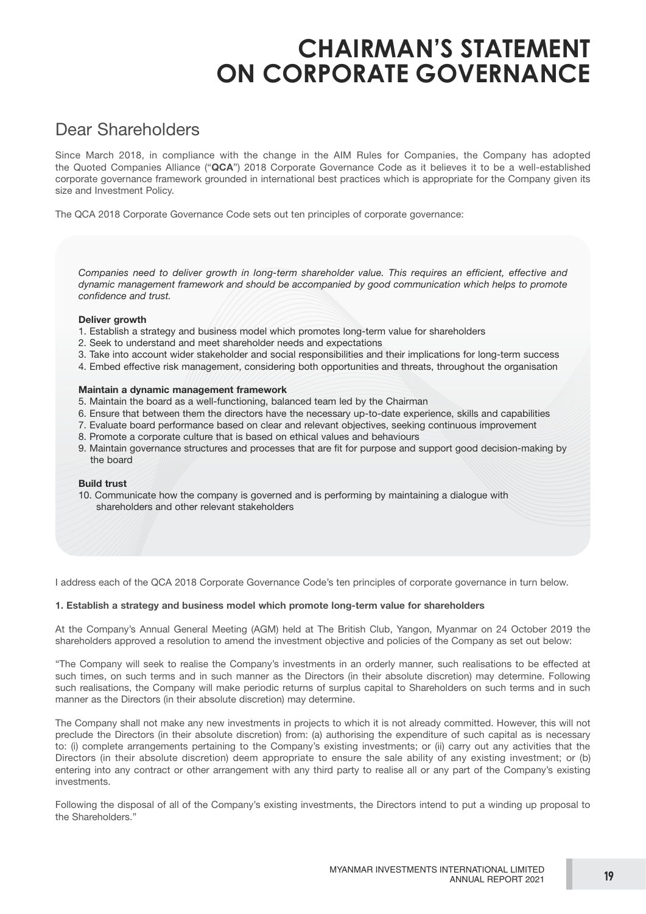### Dear Shareholders

Since March 2018, in compliance with the change in the AIM Rules for Companies, the Company has adopted the Quoted Companies Alliance ("QCA") 2018 Corporate Governance Code as it believes it to be a well-established corporate governance framework grounded in international best practices which is appropriate for the Company given its size and Investment Policy.

The QCA 2018 Corporate Governance Code sets out ten principles of corporate governance:

*Companies need to deliver growth in long-term shareholder value. This requires an efficient, effective and dynamic management framework and should be accompanied by good communication which helps to promote confidence and trust.*

#### Deliver growth

- 1. Establish a strategy and business model which promotes long-term value for shareholders
- 2. Seek to understand and meet shareholder needs and expectations
- 3. Take into account wider stakeholder and social responsibilities and their implications for long-term success
- 4. Embed effective risk management, considering both opportunities and threats, throughout the organisation

#### Maintain a dynamic management framework

- 5. Maintain the board as a well-functioning, balanced team led by the Chairman
- 6. Ensure that between them the directors have the necessary up-to-date experience, skills and capabilities
- 7. Evaluate board performance based on clear and relevant objectives, seeking continuous improvement
- 8. Promote a corporate culture that is based on ethical values and behaviours
- 9. Maintain governance structures and processes that are fit for purpose and support good decision-making by the board

#### Build trust

10. Communicate how the company is governed and is performing by maintaining a dialogue with shareholders and other relevant stakeholders

I address each of the QCA 2018 Corporate Governance Code's ten principles of corporate governance in turn below.

#### 1. Establish a strategy and business model which promote long-term value for shareholders

At the Company's Annual General Meeting (AGM) held at The British Club, Yangon, Myanmar on 24 October 2019 the shareholders approved a resolution to amend the investment objective and policies of the Company as set out below:

"The Company will seek to realise the Company's investments in an orderly manner, such realisations to be effected at such times, on such terms and in such manner as the Directors (in their absolute discretion) may determine. Following such realisations, the Company will make periodic returns of surplus capital to Shareholders on such terms and in such manner as the Directors (in their absolute discretion) may determine.

The Company shall not make any new investments in projects to which it is not already committed. However, this will not preclude the Directors (in their absolute discretion) from: (a) authorising the expenditure of such capital as is necessary to: (i) complete arrangements pertaining to the Company's existing investments; or (ii) carry out any activities that the Directors (in their absolute discretion) deem appropriate to ensure the sale ability of any existing investment; or (b) entering into any contract or other arrangement with any third party to realise all or any part of the Company's existing investments.

Following the disposal of all of the Company's existing investments, the Directors intend to put a winding up proposal to the Shareholders."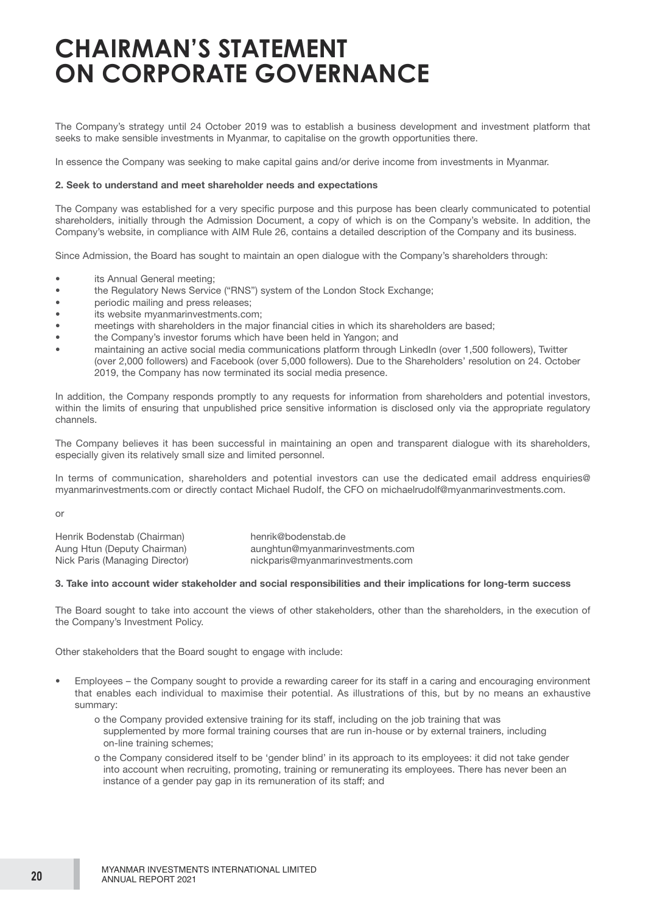The Company's strategy until 24 October 2019 was to establish a business development and investment platform that seeks to make sensible investments in Myanmar, to capitalise on the growth opportunities there.

In essence the Company was seeking to make capital gains and/or derive income from investments in Myanmar.

#### 2. Seek to understand and meet shareholder needs and expectations

The Company was established for a very specific purpose and this purpose has been clearly communicated to potential shareholders, initially through the Admission Document, a copy of which is on the Company's website. In addition, the Company's website, in compliance with AIM Rule 26, contains a detailed description of the Company and its business.

Since Admission, the Board has sought to maintain an open dialogue with the Company's shareholders through:

- its Annual General meeting;
- the Regulatory News Service ("RNS") system of the London Stock Exchange;
- periodic mailing and press releases;
- its website myanmarinvestments.com:
- meetings with shareholders in the major financial cities in which its shareholders are based;
- the Company's investor forums which have been held in Yangon; and
- maintaining an active social media communications platform through LinkedIn (over 1,500 followers), Twitter (over 2,000 followers) and Facebook (over 5,000 followers). Due to the Shareholders' resolution on 24. October 2019, the Company has now terminated its social media presence.

In addition, the Company responds promptly to any requests for information from shareholders and potential investors, within the limits of ensuring that unpublished price sensitive information is disclosed only via the appropriate regulatory channels.

The Company believes it has been successful in maintaining an open and transparent dialogue with its shareholders, especially given its relatively small size and limited personnel.

In terms of communication, shareholders and potential investors can use the dedicated email address enquiries@ myanmarinvestments.com or directly contact Michael Rudolf, the CFO on michaelrudolf@myanmarinvestments.com.

or

| Henrik Bodenstab (Chairman)    | henrik@bodenstab.de              |
|--------------------------------|----------------------------------|
| Aung Htun (Deputy Chairman)    | aunghtun@myanmarinvestments.com  |
| Nick Paris (Managing Director) | nickparis@myanmarinvestments.com |

#### 3. Take into account wider stakeholder and social responsibilities and their implications for long-term success

The Board sought to take into account the views of other stakeholders, other than the shareholders, in the execution of the Company's Investment Policy.

Other stakeholders that the Board sought to engage with include:

- Employees the Company sought to provide a rewarding career for its staff in a caring and encouraging environment that enables each individual to maximise their potential. As illustrations of this, but by no means an exhaustive summary:
	- o the Company provided extensive training for its staff, including on the job training that was supplemented by more formal training courses that are run in-house or by external trainers, including on-line training schemes;
	- o the Company considered itself to be 'gender blind' in its approach to its employees: it did not take gender into account when recruiting, promoting, training or remunerating its employees. There has never been an instance of a gender pay gap in its remuneration of its staff; and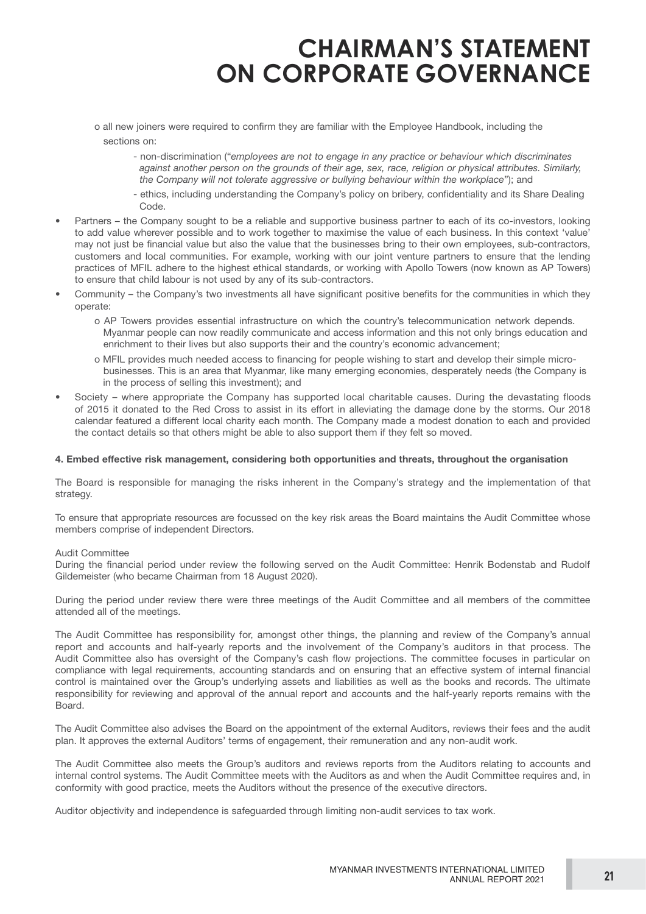- o all new joiners were required to confirm they are familiar with the Employee Handbook, including the sections on:
	- non-discrimination ("*employees are not to engage in any practice or behaviour which discriminates against another person on the grounds of their age, sex, race, religion or physical attributes. Similarly, the Company will not tolerate aggressive or bullying behaviour within the workplace*"); and
	- ethics, including understanding the Company's policy on bribery, confidentiality and its Share Dealing Code.
- Partners the Company sought to be a reliable and supportive business partner to each of its co-investors, looking to add value wherever possible and to work together to maximise the value of each business. In this context 'value' may not just be financial value but also the value that the businesses bring to their own employees, sub-contractors, customers and local communities. For example, working with our joint venture partners to ensure that the lending practices of MFIL adhere to the highest ethical standards, or working with Apollo Towers (now known as AP Towers) to ensure that child labour is not used by any of its sub-contractors.
- Community the Company's two investments all have significant positive benefits for the communities in which they operate:
	- o AP Towers provides essential infrastructure on which the country's telecommunication network depends. Myanmar people can now readily communicate and access information and this not only brings education and enrichment to their lives but also supports their and the country's economic advancement;
	- o MFIL provides much needed access to financing for people wishing to start and develop their simple micro businesses. This is an area that Myanmar, like many emerging economies, desperately needs (the Company is in the process of selling this investment); and
- Society where appropriate the Company has supported local charitable causes. During the devastating floods of 2015 it donated to the Red Cross to assist in its effort in alleviating the damage done by the storms. Our 2018 calendar featured a different local charity each month. The Company made a modest donation to each and provided the contact details so that others might be able to also support them if they felt so moved.

#### 4. Embed effective risk management, considering both opportunities and threats, throughout the organisation

The Board is responsible for managing the risks inherent in the Company's strategy and the implementation of that strategy.

To ensure that appropriate resources are focussed on the key risk areas the Board maintains the Audit Committee whose members comprise of independent Directors.

#### Audit Committee

During the financial period under review the following served on the Audit Committee: Henrik Bodenstab and Rudolf Gildemeister (who became Chairman from 18 August 2020).

During the period under review there were three meetings of the Audit Committee and all members of the committee attended all of the meetings.

The Audit Committee has responsibility for, amongst other things, the planning and review of the Company's annual report and accounts and half-yearly reports and the involvement of the Company's auditors in that process. The Audit Committee also has oversight of the Company's cash flow projections. The committee focuses in particular on compliance with legal requirements, accounting standards and on ensuring that an effective system of internal financial control is maintained over the Group's underlying assets and liabilities as well as the books and records. The ultimate responsibility for reviewing and approval of the annual report and accounts and the half-yearly reports remains with the **Board** 

The Audit Committee also advises the Board on the appointment of the external Auditors, reviews their fees and the audit plan. It approves the external Auditors' terms of engagement, their remuneration and any non-audit work.

The Audit Committee also meets the Group's auditors and reviews reports from the Auditors relating to accounts and internal control systems. The Audit Committee meets with the Auditors as and when the Audit Committee requires and, in conformity with good practice, meets the Auditors without the presence of the executive directors.

Auditor objectivity and independence is safeguarded through limiting non-audit services to tax work.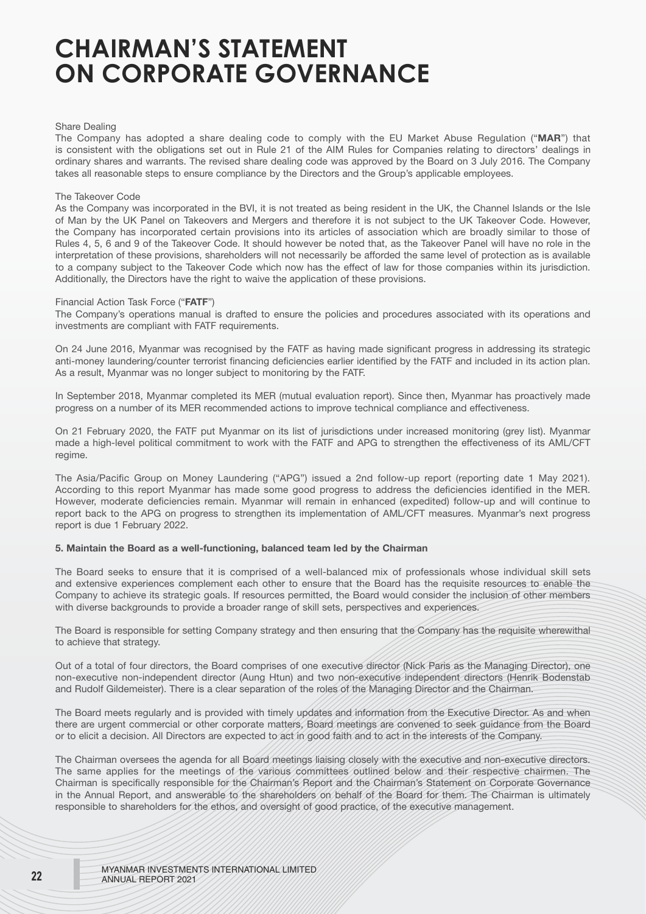#### Share Dealing

The Company has adopted a share dealing code to comply with the EU Market Abuse Regulation ("MAR") that is consistent with the obligations set out in Rule 21 of the AIM Rules for Companies relating to directors' dealings in ordinary shares and warrants. The revised share dealing code was approved by the Board on 3 July 2016. The Company takes all reasonable steps to ensure compliance by the Directors and the Group's applicable employees.

#### The Takeover Code

As the Company was incorporated in the BVI, it is not treated as being resident in the UK, the Channel Islands or the Isle of Man by the UK Panel on Takeovers and Mergers and therefore it is not subject to the UK Takeover Code. However, the Company has incorporated certain provisions into its articles of association which are broadly similar to those of Rules 4, 5, 6 and 9 of the Takeover Code. It should however be noted that, as the Takeover Panel will have no role in the interpretation of these provisions, shareholders will not necessarily be afforded the same level of protection as is available to a company subject to the Takeover Code which now has the effect of law for those companies within its jurisdiction. Additionally, the Directors have the right to waive the application of these provisions.

#### Financial Action Task Force ("FATF")

The Company's operations manual is drafted to ensure the policies and procedures associated with its operations and investments are compliant with FATF requirements.

On 24 June 2016, Myanmar was recognised by the FATF as having made significant progress in addressing its strategic anti-money laundering/counter terrorist financing deficiencies earlier identified by the FATF and included in its action plan. As a result, Myanmar was no longer subject to monitoring by the FATF.

In September 2018, Myanmar completed its MER (mutual evaluation report). Since then, Myanmar has proactively made progress on a number of its MER recommended actions to improve technical compliance and effectiveness.

On 21 February 2020, the FATF put Myanmar on its list of jurisdictions under increased monitoring (grey list). Myanmar made a high-level political commitment to work with the FATF and APG to strengthen the effectiveness of its AML/CFT regime.

The Asia/Pacific Group on Money Laundering ("APG") issued a 2nd follow-up report (reporting date 1 May 2021). According to this report Myanmar has made some good progress to address the deficiencies identified in the MER. However, moderate deficiencies remain. Myanmar will remain in enhanced (expedited) follow-up and will continue to report back to the APG on progress to strengthen its implementation of AML/CFT measures. Myanmar's next progress report is due 1 February 2022.

#### 5. Maintain the Board as a well-functioning, balanced team led by the Chairman

The Board seeks to ensure that it is comprised of a well-balanced mix of professionals whose individual skill sets and extensive experiences complement each other to ensure that the Board has the requisite resources to enable the Company to achieve its strategic goals. If resources permitted, the Board would consider the inclusion of other members with diverse backgrounds to provide a broader range of skill sets, perspectives and experiences.

The Board is responsible for setting Company strategy and then ensuring that the Company has the requisite wherewithal to achieve that strategy.

Out of a total of four directors, the Board comprises of one executive director (Nick Paris as the Managing Director), one non-executive non-independent director (Aung Htun) and two non-executive independent directors (Henrik Bodenstab and Rudolf Gildemeister). There is a clear separation of the roles of the Managing Director and the Chairman.

The Board meets regularly and is provided with timely updates and information from the Executive Director. As and when there are urgent commercial or other corporate matters, Board meetings are convened to seek guidance from the Board or to elicit a decision. All Directors are expected to act in good faith and to act in the interests of the Company.

The Chairman oversees the agenda for all Board meetings liaising closely with the executive and non-executive directors. The same applies for the meetings of the various committees outlined below and their respective chairmen. The Chairman is specifically responsible for the Chairman's Report and the Chairman's Statement on Corporate Governance in the Annual Report, and answerable to the shareholders on behalf of the Board for them. The Chairman is ultimately responsible to shareholders for the ethos, and oversight of good practice, of the executive management.

**22** MYANMAR INVESTMENTS INTERNATIONAL LIMITED<br>ANNUAL REPORT 2021 ANNUAL REPORT 2021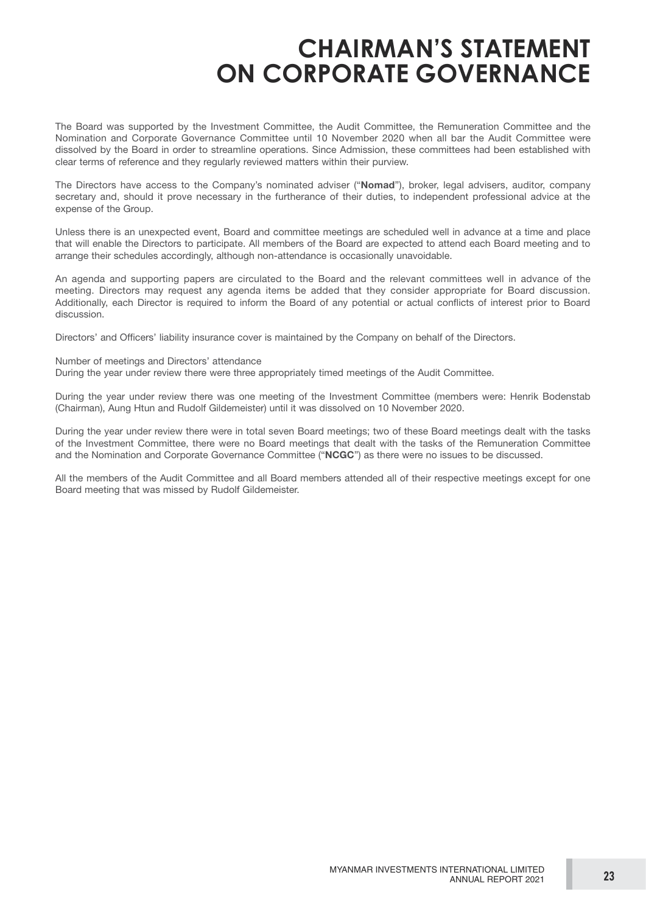The Board was supported by the Investment Committee, the Audit Committee, the Remuneration Committee and the Nomination and Corporate Governance Committee until 10 November 2020 when all bar the Audit Committee were dissolved by the Board in order to streamline operations. Since Admission, these committees had been established with clear terms of reference and they regularly reviewed matters within their purview.

The Directors have access to the Company's nominated adviser ("Nomad"), broker, legal advisers, auditor, company secretary and, should it prove necessary in the furtherance of their duties, to independent professional advice at the expense of the Group.

Unless there is an unexpected event, Board and committee meetings are scheduled well in advance at a time and place that will enable the Directors to participate. All members of the Board are expected to attend each Board meeting and to arrange their schedules accordingly, although non-attendance is occasionally unavoidable.

An agenda and supporting papers are circulated to the Board and the relevant committees well in advance of the meeting. Directors may request any agenda items be added that they consider appropriate for Board discussion. Additionally, each Director is required to inform the Board of any potential or actual conflicts of interest prior to Board discussion.

Directors' and Officers' liability insurance cover is maintained by the Company on behalf of the Directors.

Number of meetings and Directors' attendance

During the year under review there were three appropriately timed meetings of the Audit Committee.

During the year under review there was one meeting of the Investment Committee (members were: Henrik Bodenstab (Chairman), Aung Htun and Rudolf Gildemeister) until it was dissolved on 10 November 2020.

During the year under review there were in total seven Board meetings; two of these Board meetings dealt with the tasks of the Investment Committee, there were no Board meetings that dealt with the tasks of the Remuneration Committee and the Nomination and Corporate Governance Committee ("NCGC") as there were no issues to be discussed.

All the members of the Audit Committee and all Board members attended all of their respective meetings except for one Board meeting that was missed by Rudolf Gildemeister.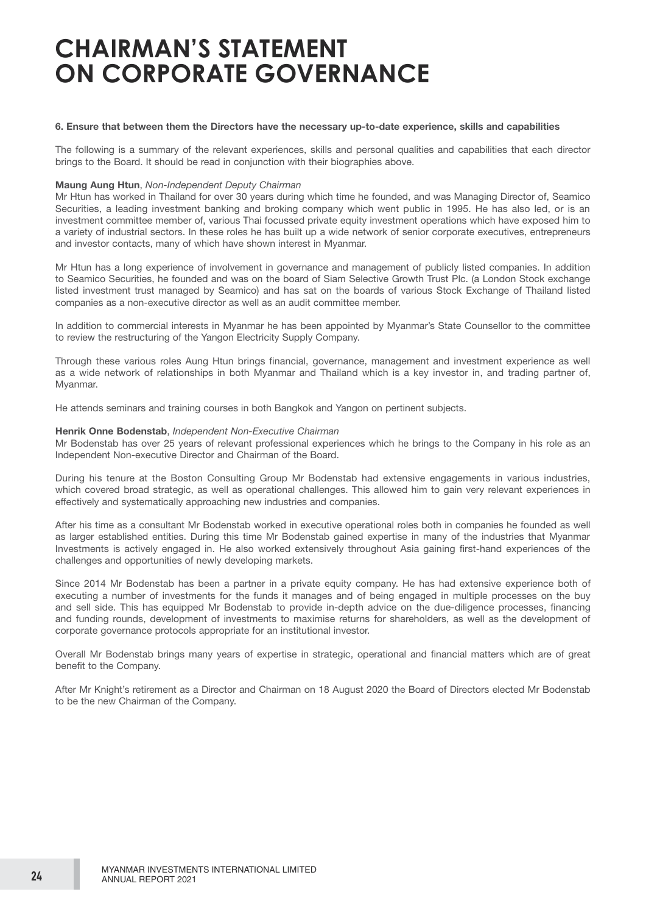#### 6. Ensure that between them the Directors have the necessary up-to-date experience, skills and capabilities

The following is a summary of the relevant experiences, skills and personal qualities and capabilities that each director brings to the Board. It should be read in conjunction with their biographies above.

#### Maung Aung Htun, *Non-Independent Deputy Chairman*

Mr Htun has worked in Thailand for over 30 years during which time he founded, and was Managing Director of, Seamico Securities, a leading investment banking and broking company which went public in 1995. He has also led, or is an investment committee member of, various Thai focussed private equity investment operations which have exposed him to a variety of industrial sectors. In these roles he has built up a wide network of senior corporate executives, entrepreneurs and investor contacts, many of which have shown interest in Myanmar.

Mr Htun has a long experience of involvement in governance and management of publicly listed companies. In addition to Seamico Securities, he founded and was on the board of Siam Selective Growth Trust Plc. (a London Stock exchange listed investment trust managed by Seamico) and has sat on the boards of various Stock Exchange of Thailand listed companies as a non-executive director as well as an audit committee member.

In addition to commercial interests in Myanmar he has been appointed by Myanmar's State Counsellor to the committee to review the restructuring of the Yangon Electricity Supply Company.

Through these various roles Aung Htun brings financial, governance, management and investment experience as well as a wide network of relationships in both Myanmar and Thailand which is a key investor in, and trading partner of, Myanmar.

He attends seminars and training courses in both Bangkok and Yangon on pertinent subjects.

#### Henrik Onne Bodenstab, *Independent Non-Executive Chairman*

Mr Bodenstab has over 25 years of relevant professional experiences which he brings to the Company in his role as an Independent Non-executive Director and Chairman of the Board.

During his tenure at the Boston Consulting Group Mr Bodenstab had extensive engagements in various industries, which covered broad strategic, as well as operational challenges. This allowed him to gain very relevant experiences in effectively and systematically approaching new industries and companies.

After his time as a consultant Mr Bodenstab worked in executive operational roles both in companies he founded as well as larger established entities. During this time Mr Bodenstab gained expertise in many of the industries that Myanmar Investments is actively engaged in. He also worked extensively throughout Asia gaining first-hand experiences of the challenges and opportunities of newly developing markets.

Since 2014 Mr Bodenstab has been a partner in a private equity company. He has had extensive experience both of executing a number of investments for the funds it manages and of being engaged in multiple processes on the buy and sell side. This has equipped Mr Bodenstab to provide in-depth advice on the due-diligence processes, financing and funding rounds, development of investments to maximise returns for shareholders, as well as the development of corporate governance protocols appropriate for an institutional investor.

Overall Mr Bodenstab brings many years of expertise in strategic, operational and financial matters which are of great benefit to the Company.

After Mr Knight's retirement as a Director and Chairman on 18 August 2020 the Board of Directors elected Mr Bodenstab to be the new Chairman of the Company.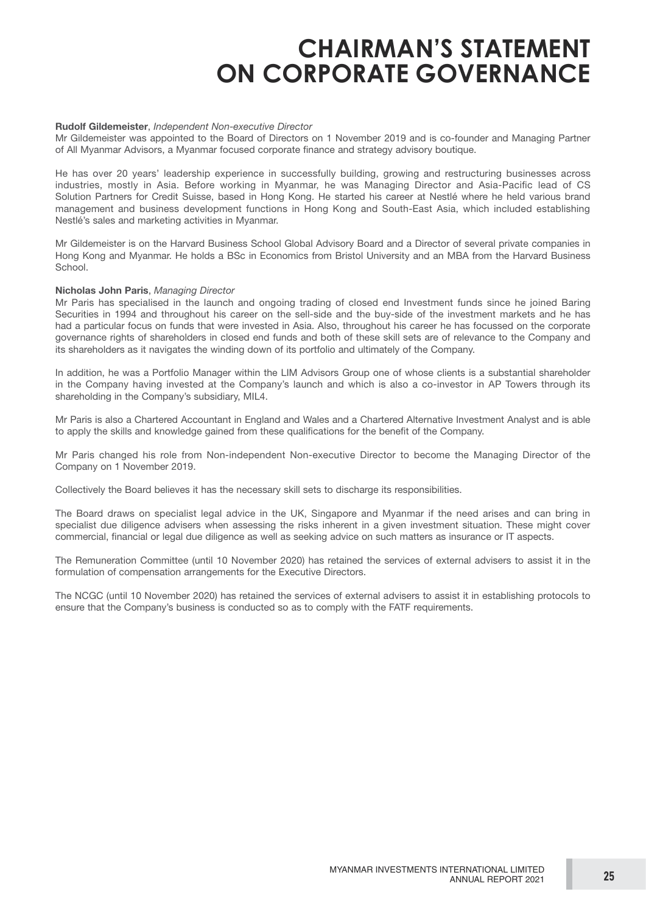#### Rudolf Gildemeister, *Independent Non-executive Director*

Mr Gildemeister was appointed to the Board of Directors on 1 November 2019 and is co-founder and Managing Partner of All Myanmar Advisors, a Myanmar focused corporate finance and strategy advisory boutique.

He has over 20 years' leadership experience in successfully building, growing and restructuring businesses across industries, mostly in Asia. Before working in Myanmar, he was Managing Director and Asia-Pacific lead of CS Solution Partners for Credit Suisse, based in Hong Kong. He started his career at Nestlé where he held various brand management and business development functions in Hong Kong and South-East Asia, which included establishing Nestlé's sales and marketing activities in Myanmar.

Mr Gildemeister is on the Harvard Business School Global Advisory Board and a Director of several private companies in Hong Kong and Myanmar. He holds a BSc in Economics from Bristol University and an MBA from the Harvard Business School.

#### Nicholas John Paris, *Managing Director*

Mr Paris has specialised in the launch and ongoing trading of closed end Investment funds since he joined Baring Securities in 1994 and throughout his career on the sell-side and the buy-side of the investment markets and he has had a particular focus on funds that were invested in Asia. Also, throughout his career he has focussed on the corporate governance rights of shareholders in closed end funds and both of these skill sets are of relevance to the Company and its shareholders as it navigates the winding down of its portfolio and ultimately of the Company.

In addition, he was a Portfolio Manager within the LIM Advisors Group one of whose clients is a substantial shareholder in the Company having invested at the Company's launch and which is also a co-investor in AP Towers through its shareholding in the Company's subsidiary, MIL4.

Mr Paris is also a Chartered Accountant in England and Wales and a Chartered Alternative Investment Analyst and is able to apply the skills and knowledge gained from these qualifications for the benefit of the Company.

Mr Paris changed his role from Non-independent Non-executive Director to become the Managing Director of the Company on 1 November 2019.

Collectively the Board believes it has the necessary skill sets to discharge its responsibilities.

The Board draws on specialist legal advice in the UK, Singapore and Myanmar if the need arises and can bring in specialist due diligence advisers when assessing the risks inherent in a given investment situation. These might cover commercial, financial or legal due diligence as well as seeking advice on such matters as insurance or IT aspects.

The Remuneration Committee (until 10 November 2020) has retained the services of external advisers to assist it in the formulation of compensation arrangements for the Executive Directors.

The NCGC (until 10 November 2020) has retained the services of external advisers to assist it in establishing protocols to ensure that the Company's business is conducted so as to comply with the FATF requirements.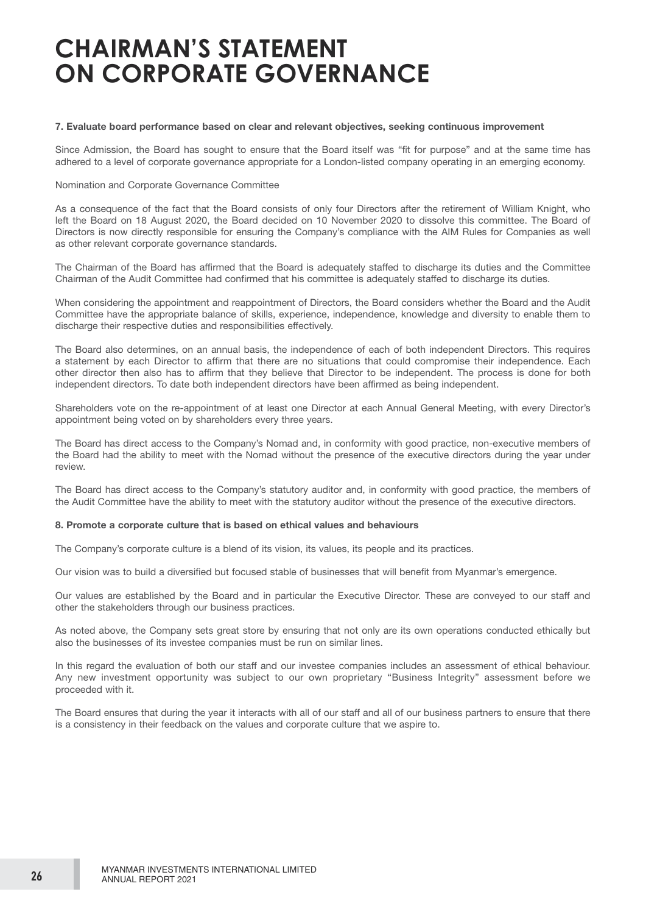#### 7. Evaluate board performance based on clear and relevant objectives, seeking continuous improvement

Since Admission, the Board has sought to ensure that the Board itself was "fit for purpose" and at the same time has adhered to a level of corporate governance appropriate for a London-listed company operating in an emerging economy.

#### Nomination and Corporate Governance Committee

As a consequence of the fact that the Board consists of only four Directors after the retirement of William Knight, who left the Board on 18 August 2020, the Board decided on 10 November 2020 to dissolve this committee. The Board of Directors is now directly responsible for ensuring the Company's compliance with the AIM Rules for Companies as well as other relevant corporate governance standards.

The Chairman of the Board has affirmed that the Board is adequately staffed to discharge its duties and the Committee Chairman of the Audit Committee had confirmed that his committee is adequately staffed to discharge its duties.

When considering the appointment and reappointment of Directors, the Board considers whether the Board and the Audit Committee have the appropriate balance of skills, experience, independence, knowledge and diversity to enable them to discharge their respective duties and responsibilities effectively.

The Board also determines, on an annual basis, the independence of each of both independent Directors. This requires a statement by each Director to affirm that there are no situations that could compromise their independence. Each other director then also has to affirm that they believe that Director to be independent. The process is done for both independent directors. To date both independent directors have been affirmed as being independent.

Shareholders vote on the re-appointment of at least one Director at each Annual General Meeting, with every Director's appointment being voted on by shareholders every three years.

The Board has direct access to the Company's Nomad and, in conformity with good practice, non-executive members of the Board had the ability to meet with the Nomad without the presence of the executive directors during the year under review.

The Board has direct access to the Company's statutory auditor and, in conformity with good practice, the members of the Audit Committee have the ability to meet with the statutory auditor without the presence of the executive directors.

#### 8. Promote a corporate culture that is based on ethical values and behaviours

The Company's corporate culture is a blend of its vision, its values, its people and its practices.

Our vision was to build a diversified but focused stable of businesses that will benefit from Myanmar's emergence.

Our values are established by the Board and in particular the Executive Director. These are conveyed to our staff and other the stakeholders through our business practices.

As noted above, the Company sets great store by ensuring that not only are its own operations conducted ethically but also the businesses of its investee companies must be run on similar lines.

In this regard the evaluation of both our staff and our investee companies includes an assessment of ethical behaviour. Any new investment opportunity was subject to our own proprietary "Business Integrity" assessment before we proceeded with it.

The Board ensures that during the year it interacts with all of our staff and all of our business partners to ensure that there is a consistency in their feedback on the values and corporate culture that we aspire to.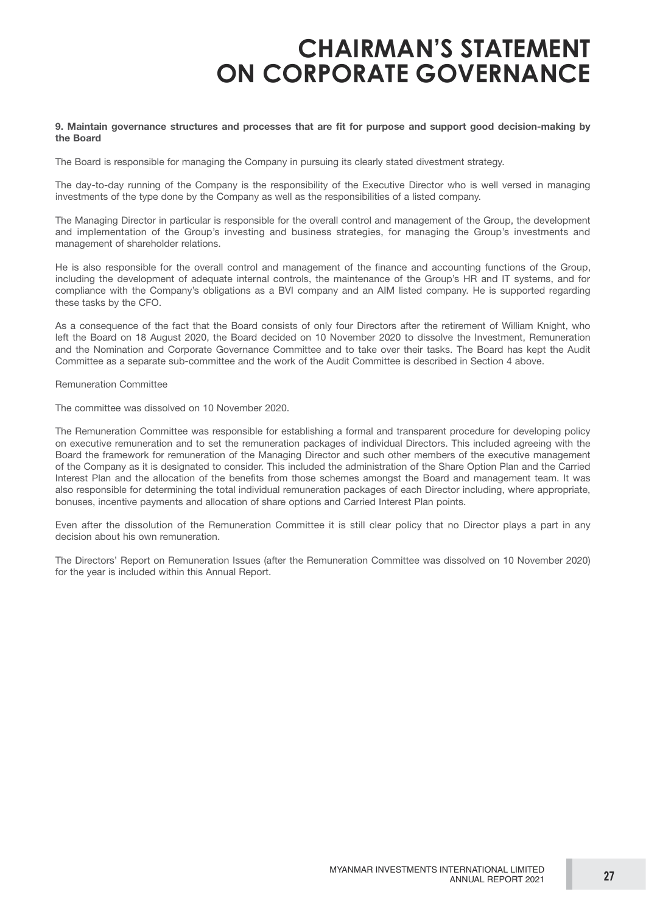#### 9. Maintain governance structures and processes that are fit for purpose and support good decision-making by the Board

The Board is responsible for managing the Company in pursuing its clearly stated divestment strategy.

The day-to-day running of the Company is the responsibility of the Executive Director who is well versed in managing investments of the type done by the Company as well as the responsibilities of a listed company.

The Managing Director in particular is responsible for the overall control and management of the Group, the development and implementation of the Group's investing and business strategies, for managing the Group's investments and management of shareholder relations.

He is also responsible for the overall control and management of the finance and accounting functions of the Group, including the development of adequate internal controls, the maintenance of the Group's HR and IT systems, and for compliance with the Company's obligations as a BVI company and an AIM listed company. He is supported regarding these tasks by the CFO.

As a consequence of the fact that the Board consists of only four Directors after the retirement of William Knight, who left the Board on 18 August 2020, the Board decided on 10 November 2020 to dissolve the Investment, Remuneration and the Nomination and Corporate Governance Committee and to take over their tasks. The Board has kept the Audit Committee as a separate sub-committee and the work of the Audit Committee is described in Section 4 above.

#### Remuneration Committee

The committee was dissolved on 10 November 2020.

The Remuneration Committee was responsible for establishing a formal and transparent procedure for developing policy on executive remuneration and to set the remuneration packages of individual Directors. This included agreeing with the Board the framework for remuneration of the Managing Director and such other members of the executive management of the Company as it is designated to consider. This included the administration of the Share Option Plan and the Carried Interest Plan and the allocation of the benefits from those schemes amongst the Board and management team. It was also responsible for determining the total individual remuneration packages of each Director including, where appropriate, bonuses, incentive payments and allocation of share options and Carried Interest Plan points.

Even after the dissolution of the Remuneration Committee it is still clear policy that no Director plays a part in any decision about his own remuneration.

The Directors' Report on Remuneration Issues (after the Remuneration Committee was dissolved on 10 November 2020) for the year is included within this Annual Report.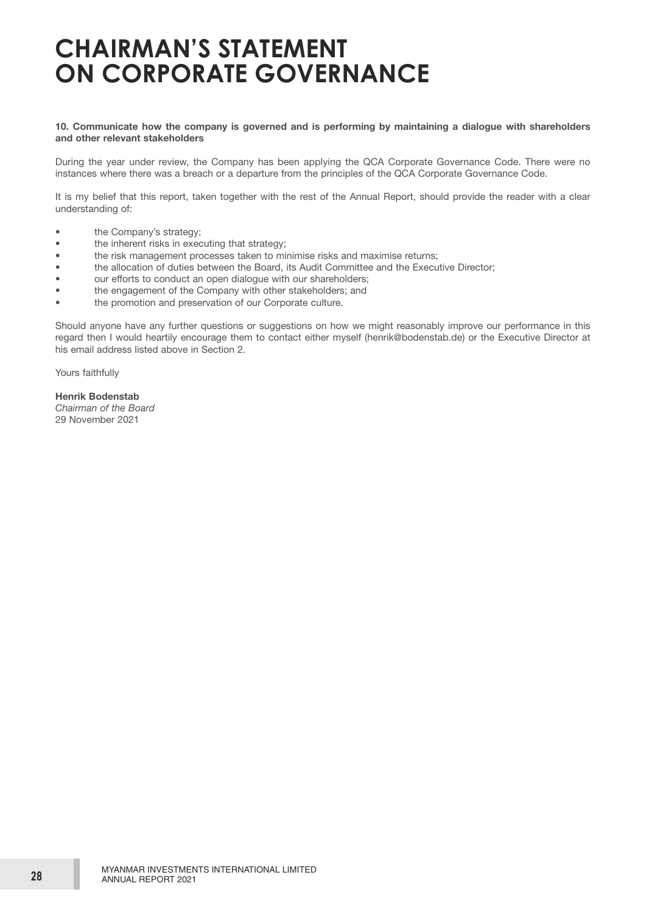#### 10. Communicate how the company is governed and is performing by maintaining a dialogue with shareholders and other relevant stakeholders

During the year under review, the Company has been applying the QCA Corporate Governance Code. There were no instances where there was a breach or a departure from the principles of the QCA Corporate Governance Code.

It is my belief that this report, taken together with the rest of the Annual Report, should provide the reader with a clear understanding of:

- the Company's strategy;
- the inherent risks in executing that strategy;
- the risk management processes taken to minimise risks and maximise returns;
- the allocation of duties between the Board, its Audit Committee and the Executive Director;
- our efforts to conduct an open dialogue with our shareholders;
- the engagement of the Company with other stakeholders; and
- the promotion and preservation of our Corporate culture.

Should anyone have any further questions or suggestions on how we might reasonably improve our performance in this regard then I would heartily encourage them to contact either myself (henrik@bodenstab.de) or the Executive Director at his email address listed above in Section 2.

Yours faithfully

Henrik Bodenstab *Chairman of the Board* 29 November 2021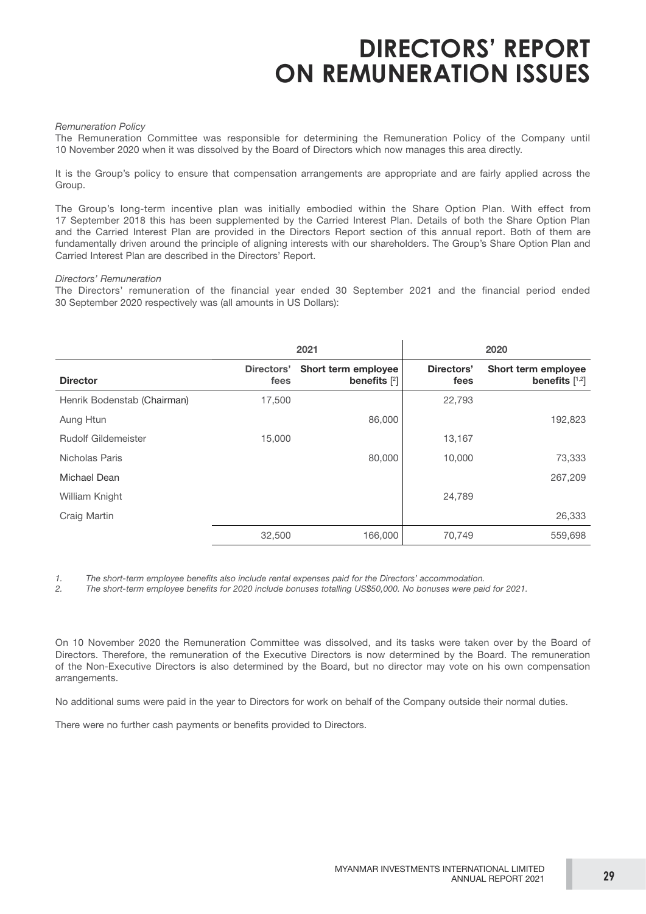## **DIRECTORS' REPORT ON REMUNERATION ISSUES**

#### *Remuneration Policy*

The Remuneration Committee was responsible for determining the Remuneration Policy of the Company until 10 November 2020 when it was dissolved by the Board of Directors which now manages this area directly.

It is the Group's policy to ensure that compensation arrangements are appropriate and are fairly applied across the Group.

The Group's long-term incentive plan was initially embodied within the Share Option Plan. With effect from 17 September 2018 this has been supplemented by the Carried Interest Plan. Details of both the Share Option Plan and the Carried Interest Plan are provided in the Directors Report section of this annual report. Both of them are fundamentally driven around the principle of aligning interests with our shareholders. The Group's Share Option Plan and Carried Interest Plan are described in the Directors' Report.

### *Directors' Remuneration*

The Directors' remuneration of the financial year ended 30 September 2021 and the financial period ended 30 September 2020 respectively was (all amounts in US Dollars):

|                             |                    | 2021                                            |                    | 2020                                           |  |
|-----------------------------|--------------------|-------------------------------------------------|--------------------|------------------------------------------------|--|
| <b>Director</b>             | Directors'<br>fees | Short term employee<br><b>benefits</b> $[^{2}]$ | Directors'<br>fees | Short term employee<br><b>benefits</b> $[1,2]$ |  |
| Henrik Bodenstab (Chairman) | 17,500             |                                                 | 22,793             |                                                |  |
| Aung Htun                   |                    | 86,000                                          |                    | 192,823                                        |  |
| <b>Rudolf Gildemeister</b>  | 15,000             |                                                 | 13,167             |                                                |  |
| Nicholas Paris              |                    | 80,000                                          | 10,000             | 73,333                                         |  |
| Michael Dean                |                    |                                                 |                    | 267,209                                        |  |
| William Knight              |                    |                                                 | 24,789             |                                                |  |
| Craig Martin                |                    |                                                 |                    | 26,333                                         |  |
|                             | 32,500             | 166,000                                         | 70,749             | 559,698                                        |  |

*1. The short-term employee benefits also include rental expenses paid for the Directors' accommodation.*

*2. The short-term employee benefits for 2020 include bonuses totalling US\$50,000. No bonuses were paid for 2021.*

On 10 November 2020 the Remuneration Committee was dissolved, and its tasks were taken over by the Board of Directors. Therefore, the remuneration of the Executive Directors is now determined by the Board. The remuneration of the Non-Executive Directors is also determined by the Board, but no director may vote on his own compensation arrangements.

No additional sums were paid in the year to Directors for work on behalf of the Company outside their normal duties.

There were no further cash payments or benefits provided to Directors.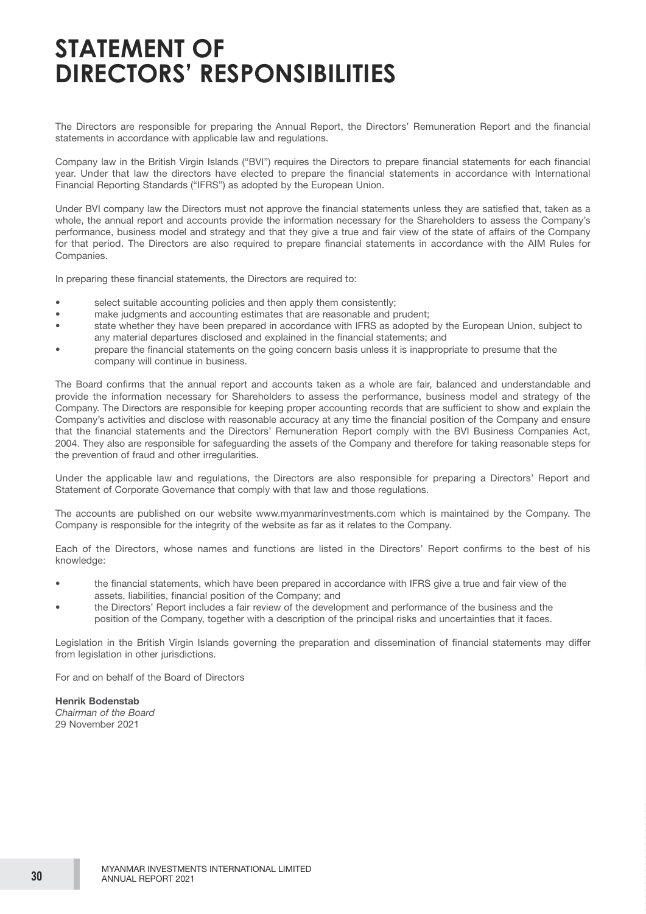# **STATEMENT OF DIRECTORS' RESPONSIBILITIES**

The Directors are responsible for preparing the Annual Report, the Directors' Remuneration Report and the financial statements in accordance with applicable law and regulations.

Company law in the British Virgin Islands ("BVI") requires the Directors to prepare financial statements for each financial year. Under that law the directors have elected to prepare the financial statements in accordance with International Financial Reporting Standards ("IFRS") as adopted by the European Union.

Under BVI company law the Directors must not approve the financial statements unless they are satisfied that, taken as a whole, the annual report and accounts provide the information necessary for the Shareholders to assess the Company's performance, business model and strategy and that they give a true and fair view of the state of affairs of the Company for that period. The Directors are also required to prepare financial statements in accordance with the AIM Rules for Companies.

In preparing these financial statements, the Directors are required to:

- select suitable accounting policies and then apply them consistently;
- make judgments and accounting estimates that are reasonable and prudent:
- state whether they have been prepared in accordance with IFRS as adopted by the European Union, subject to any material departures disclosed and explained in the financial statements; and
- prepare the financial statements on the going concern basis unless it is inappropriate to presume that the company will continue in business.

The Board confirms that the annual report and accounts taken as a whole are fair, balanced and understandable and provide the information necessary for Shareholders to assess the performance, business model and strategy of the Company. The Directors are responsible for keeping proper accounting records that are sufficient to show and explain the Company's activities and disclose with reasonable accuracy at any time the financial position of the Company and ensure that the financial statements and the Directors' Remuneration Report comply with the BVI Business Companies Act, 2004. They also are responsible for safeguarding the assets of the Company and therefore for taking reasonable steps for the prevention of fraud and other irregularities.

Under the applicable law and regulations, the Directors are also responsible for preparing a Directors' Report and Statement of Corporate Governance that comply with that law and those regulations.

The accounts are published on our website www.myanmarinvestments.com which is maintained by the Company. The Company is responsible for the integrity of the website as far as it relates to the Company.

Each of the Directors, whose names and functions are listed in the Directors' Report confirms to the best of his knowledge:

- the financial statements, which have been prepared in accordance with IFRS give a true and fair view of the assets, liabilities, financial position of the Company; and
- the Directors' Report includes a fair review of the development and performance of the business and the position of the Company, together with a description of the principal risks and uncertainties that it faces.

Legislation in the British Virgin Islands governing the preparation and dissemination of financial statements may differ from legislation in other jurisdictions.

For and on behalf of the Board of Directors

Henrik Bodenstab

*Chairman of the Board* 29 November 2021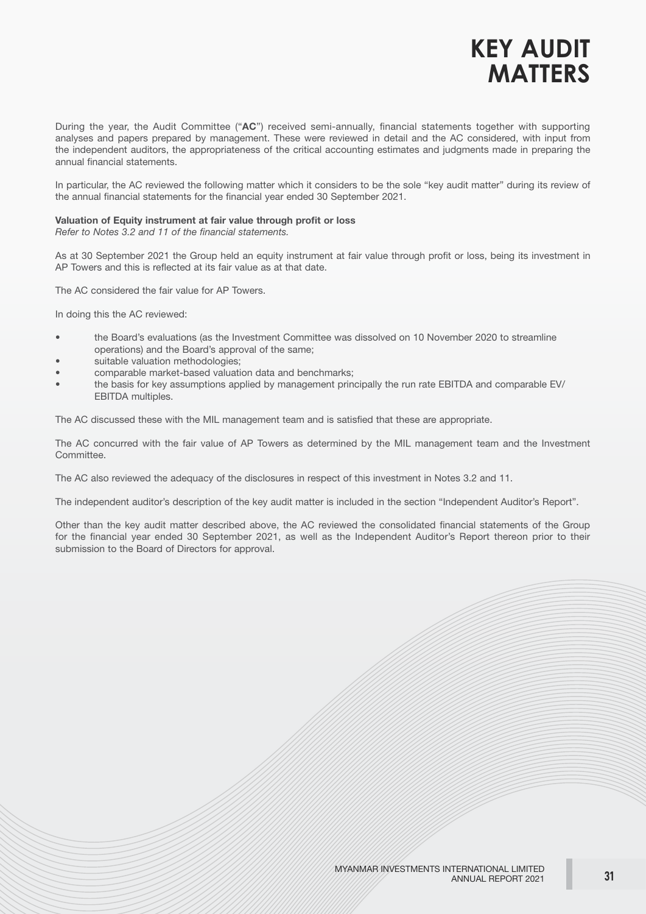# **KEY AUDIT MATTERS**

During the year, the Audit Committee ("AC") received semi-annually, financial statements together with supporting analyses and papers prepared by management. These were reviewed in detail and the AC considered, with input from the independent auditors, the appropriateness of the critical accounting estimates and judgments made in preparing the annual financial statements.

In particular, the AC reviewed the following matter which it considers to be the sole "key audit matter" during its review of the annual financial statements for the financial year ended 30 September 2021.

#### Valuation of Equity instrument at fair value through profit or loss

*Refer to Notes 3.2 and 11 of the financial statements.* 

As at 30 September 2021 the Group held an equity instrument at fair value through profit or loss, being its investment in AP Towers and this is reflected at its fair value as at that date.

The AC considered the fair value for AP Towers.

In doing this the AC reviewed:

- the Board's evaluations (as the Investment Committee was dissolved on 10 November 2020 to streamline operations) and the Board's approval of the same;
- suitable valuation methodologies;
- comparable market-based valuation data and benchmarks;
- the basis for key assumptions applied by management principally the run rate EBITDA and comparable EV/ EBITDA multiples.

The AC discussed these with the MIL management team and is satisfied that these are appropriate.

The AC concurred with the fair value of AP Towers as determined by the MIL management team and the Investment Committee.

The AC also reviewed the adequacy of the disclosures in respect of this investment in Notes 3.2 and 11.

The independent auditor's description of the key audit matter is included in the section "Independent Auditor's Report".

Other than the key audit matter described above, the AC reviewed the consolidated financial statements of the Group for the financial year ended 30 September 2021, as well as the Independent Auditor's Report thereon prior to their submission to the Board of Directors for approval.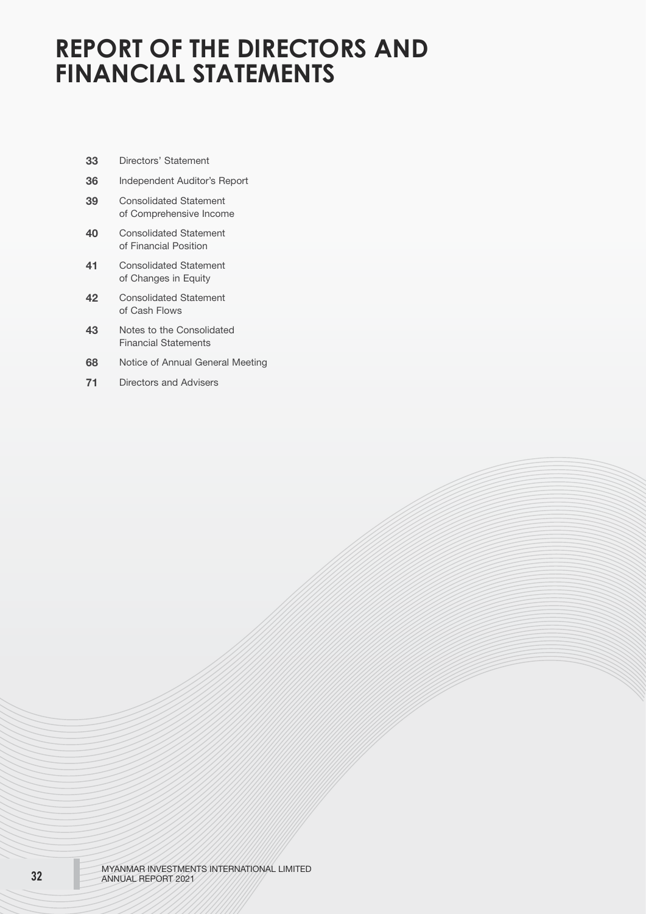### **REPORT OF THE DIRECTORS AND FINANCIAL STATEMENTS**

- 33 Directors' Statement
- 36 Independent Auditor's Report
- 39 Consolidated Statement of Comprehensive Income
- 40 Consolidated Statement of Financial Position
- 41 Consolidated Statement of Changes in Equity
- 42 Consolidated Statement of Cash Flows
- 43 Notes to the Consolidated Financial Statements
- 68 Notice of Annual General Meeting
- 71 Directors and Advisers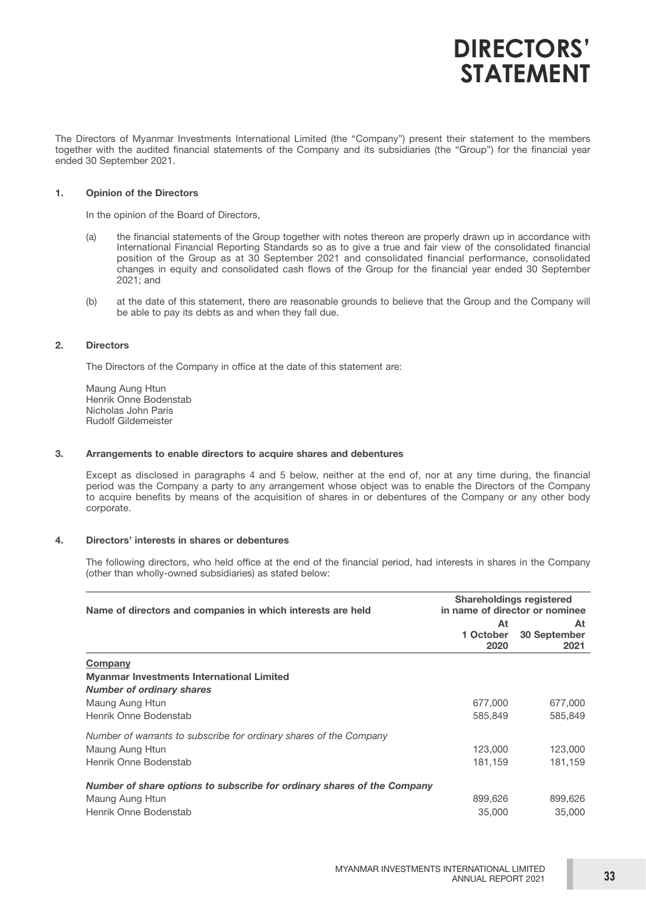# **DIRECTORS' STATEMENT**

The Directors of Myanmar Investments International Limited (the "Company") present their statement to the members together with the audited financial statements of the Company and its subsidiaries (the "Group") for the financial year ended 30 September 2021.

#### **1. Opinion of the Directors**

In the opinion of the Board of Directors,

- (a) the financial statements of the Group together with notes thereon are properly drawn up in accordance with International Financial Reporting Standards so as to give a true and fair view of the consolidated financial position of the Group as at 30 September 2021 and consolidated financial performance, consolidated changes in equity and consolidated cash flows of the Group for the financial year ended 30 September 2021; and
- (b) at the date of this statement, there are reasonable grounds to believe that the Group and the Company will be able to pay its debts as and when they fall due.

#### **2. Directors**

The Directors of the Company in office at the date of this statement are:

 Maung Aung Htun Henrik Onne Bodenstab Nicholas John Paris Rudolf Gildemeister

#### **3. Arrangements to enable directors to acquire shares and debentures**

Except as disclosed in paragraphs 4 and 5 below, neither at the end of, nor at any time during, the financial period was the Company a party to any arrangement whose object was to enable the Directors of the Company to acquire benefits by means of the acquisition of shares in or debentures of the Company or any other body corporate.

#### **4. Directors' interests in shares or debentures**

The following directors, who held office at the end of the financial period, had interests in shares in the Company (other than wholly-owned subsidiaries) as stated below:

| Name of directors and companies in which interests are held                                                         |                         | <b>Shareholdings registered</b><br>in name of director or nominee |  |  |
|---------------------------------------------------------------------------------------------------------------------|-------------------------|-------------------------------------------------------------------|--|--|
|                                                                                                                     | At<br>1 October<br>2020 | At<br>30 September<br>2021                                        |  |  |
| Company<br><b>Myanmar Investments International Limited</b>                                                         |                         |                                                                   |  |  |
| <b>Number of ordinary shares</b><br>Maung Aung Htun<br>Henrik Onne Bodenstab                                        | 677,000<br>585,849      | 677,000<br>585,849                                                |  |  |
| Number of warrants to subscribe for ordinary shares of the Company<br>Maung Aung Htun<br>Henrik Onne Bodenstab      | 123,000<br>181,159      | 123,000<br>181.159                                                |  |  |
| Number of share options to subscribe for ordinary shares of the Company<br>Maung Aung Htun<br>Henrik Onne Bodenstab | 899,626<br>35,000       | 899,626<br>35,000                                                 |  |  |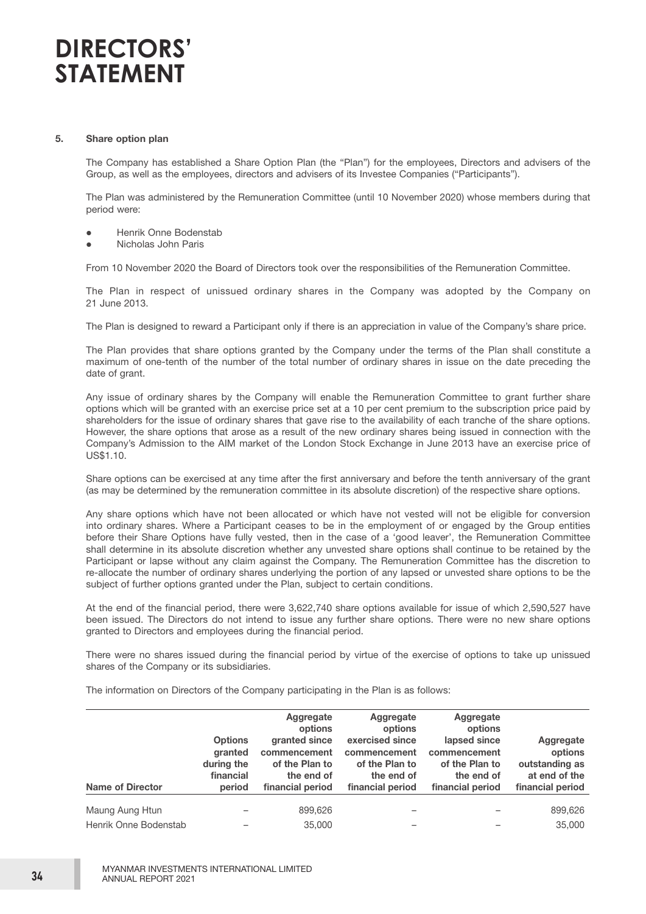# **DIRECTORS' STATEMENT**

#### **5. Share option plan**

 The Company has established a Share Option Plan (the "Plan") for the employees, Directors and advisers of the Group, as well as the employees, directors and advisers of its Investee Companies ("Participants").

 The Plan was administered by the Remuneration Committee (until 10 November 2020) whose members during that period were:

- Henrik Onne Bodenstab
- Nicholas John Paris

From 10 November 2020 the Board of Directors took over the responsibilities of the Remuneration Committee.

 The Plan in respect of unissued ordinary shares in the Company was adopted by the Company on 21 June 2013.

The Plan is designed to reward a Participant only if there is an appreciation in value of the Company's share price.

 The Plan provides that share options granted by the Company under the terms of the Plan shall constitute a maximum of one-tenth of the number of the total number of ordinary shares in issue on the date preceding the date of grant.

 Any issue of ordinary shares by the Company will enable the Remuneration Committee to grant further share options which will be granted with an exercise price set at a 10 per cent premium to the subscription price paid by shareholders for the issue of ordinary shares that gave rise to the availability of each tranche of the share options. However, the share options that arose as a result of the new ordinary shares being issued in connection with the Company's Admission to the AIM market of the London Stock Exchange in June 2013 have an exercise price of US\$1.10.

Share options can be exercised at any time after the first anniversary and before the tenth anniversary of the grant (as may be determined by the remuneration committee in its absolute discretion) of the respective share options.

 Any share options which have not been allocated or which have not vested will not be eligible for conversion into ordinary shares. Where a Participant ceases to be in the employment of or engaged by the Group entities before their Share Options have fully vested, then in the case of a 'good leaver', the Remuneration Committee shall determine in its absolute discretion whether any unvested share options shall continue to be retained by the Participant or lapse without any claim against the Company. The Remuneration Committee has the discretion to re-allocate the number of ordinary shares underlying the portion of any lapsed or unvested share options to be the subject of further options granted under the Plan, subject to certain conditions.

At the end of the financial period, there were 3,622,740 share options available for issue of which 2,590,527 have been issued. The Directors do not intend to issue any further share options. There were no new share options granted to Directors and employees during the financial period.

There were no shares issued during the financial period by virtue of the exercise of options to take up unissued shares of the Company or its subsidiaries.

The information on Directors of the Company participating in the Plan is as follows:

| <b>Name of Director</b> | <b>Options</b><br>granted<br>during the<br>financial<br>period | Aggregate<br>options<br>granted since<br>commencement<br>of the Plan to<br>the end of<br>financial period | Aggregate<br>options<br>exercised since<br>commencement<br>of the Plan to<br>the end of<br>financial period | Aggregate<br>options<br>lapsed since<br>commencement<br>of the Plan to<br>the end of<br>financial period | Aggregate<br>options<br>outstanding as<br>at end of the<br>financial period |
|-------------------------|----------------------------------------------------------------|-----------------------------------------------------------------------------------------------------------|-------------------------------------------------------------------------------------------------------------|----------------------------------------------------------------------------------------------------------|-----------------------------------------------------------------------------|
| Maung Aung Htun         |                                                                | 899,626                                                                                                   |                                                                                                             |                                                                                                          | 899,626                                                                     |
| Henrik Onne Bodenstab   |                                                                | 35,000                                                                                                    |                                                                                                             |                                                                                                          | 35,000                                                                      |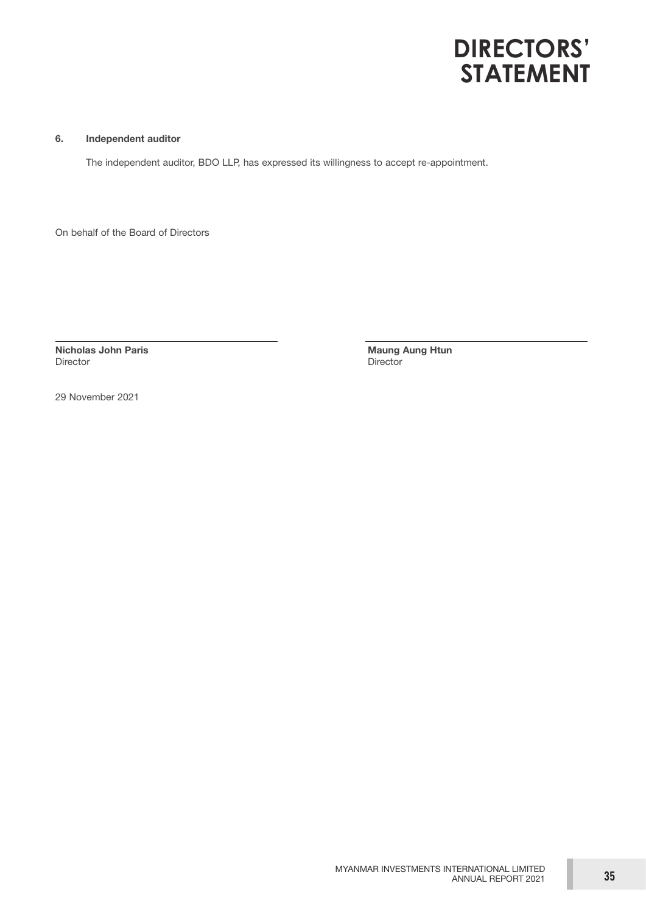# **DIRECTORS' STATEMENT**

### **6. Independent auditor**

The independent auditor, BDO LLP, has expressed its willingness to accept re-appointment.

On behalf of the Board of Directors

**Nicholas John Paris Maung Aung Htun**<br>Director Director Director

Director

29 November 2021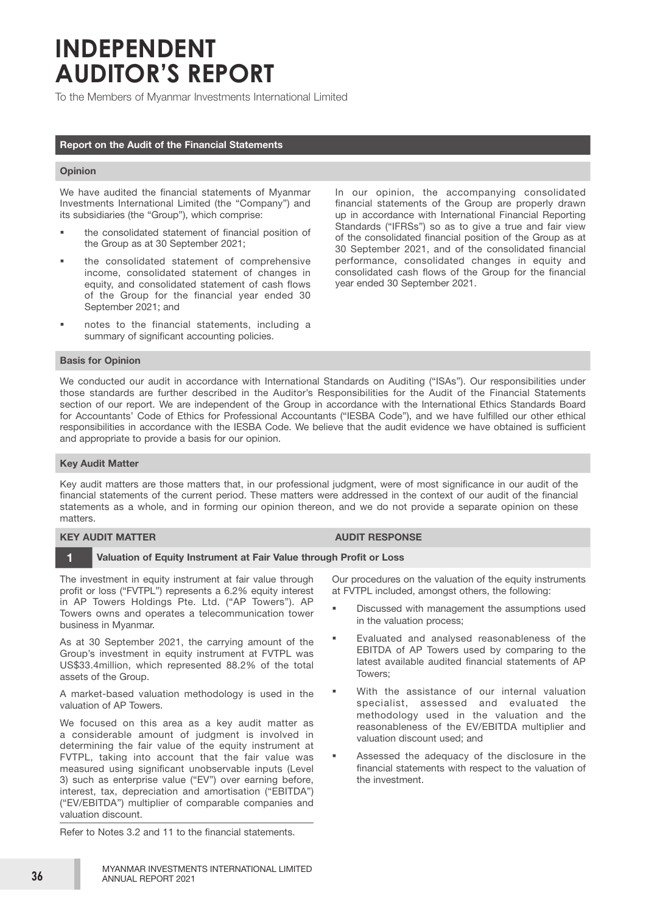# **INDEPENDENT AUDITOR'S REPORT**

To the Members of Myanmar Investments International Limited

#### **Report on the Audit of the Financial Statements**

### **Opinion**

We have audited the financial statements of Myanmar Investments International Limited (the "Company") and its subsidiaries (the "Group"), which comprise:

- the consolidated statement of financial position of the Group as at 30 September 2021;
- the consolidated statement of comprehensive income, consolidated statement of changes in equity, and consolidated statement of cash flows of the Group for the financial year ended 30 September 2021; and
- notes to the financial statements, including a summary of significant accounting policies.

In our opinion, the accompanying consolidated financial statements of the Group are properly drawn up in accordance with International Financial Reporting Standards ("IFRSs") so as to give a true and fair view of the consolidated financial position of the Group as at 30 September 2021, and of the consolidated financial performance, consolidated changes in equity and consolidated cash flows of the Group for the financial year ended 30 September 2021.

#### **Basis for Opinion**

We conducted our audit in accordance with International Standards on Auditing ("ISAs"). Our responsibilities under those standards are further described in the Auditor's Responsibilities for the Audit of the Financial Statements section of our report. We are independent of the Group in accordance with the International Ethics Standards Board for Accountants' Code of Ethics for Professional Accountants ("IESBA Code"), and we have fulfilled our other ethical responsibilities in accordance with the IESBA Code. We believe that the audit evidence we have obtained is sufficient and appropriate to provide a basis for our opinion.

#### **Key Audit Matter**

Key audit matters are those matters that, in our professional judgment, were of most significance in our audit of the financial statements of the current period. These matters were addressed in the context of our audit of the financial statements as a whole, and in forming our opinion thereon, and we do not provide a separate opinion on these matters.

#### **KEY AUDIT MATTER AUDIT RESPONSE**

**1 Valuation of Equity Instrument at Fair Value through Profit or Loss** 

The investment in equity instrument at fair value through profit or loss ("FVTPL") represents a 6.2% equity interest in AP Towers Holdings Pte. Ltd. ("AP Towers"). AP Towers owns and operates a telecommunication tower business in Myanmar.

As at 30 September 2021, the carrying amount of the Group's investment in equity instrument at FVTPL was US\$33.4million, which represented 88.2% of the total assets of the Group.

A market-based valuation methodology is used in the valuation of AP Towers.

We focused on this area as a key audit matter as a considerable amount of judgment is involved in determining the fair value of the equity instrument at FVTPL, taking into account that the fair value was measured using significant unobservable inputs (Level 3) such as enterprise value ("EV") over earning before, interest, tax, depreciation and amortisation ("EBITDA") ("EV/EBITDA") multiplier of comparable companies and valuation discount.

Refer to Notes 3.2 and 11 to the financial statements.

Our procedures on the valuation of the equity instruments at FVTPL included, amongst others, the following:

- Discussed with management the assumptions used in the valuation process;
- Evaluated and analysed reasonableness of the EBITDA of AP Towers used by comparing to the latest available audited financial statements of AP Towers;
- With the assistance of our internal valuation specialist, assessed and evaluated the methodology used in the valuation and the reasonableness of the EV/EBITDA multiplier and valuation discount used; and
- Assessed the adequacy of the disclosure in the financial statements with respect to the valuation of the investment.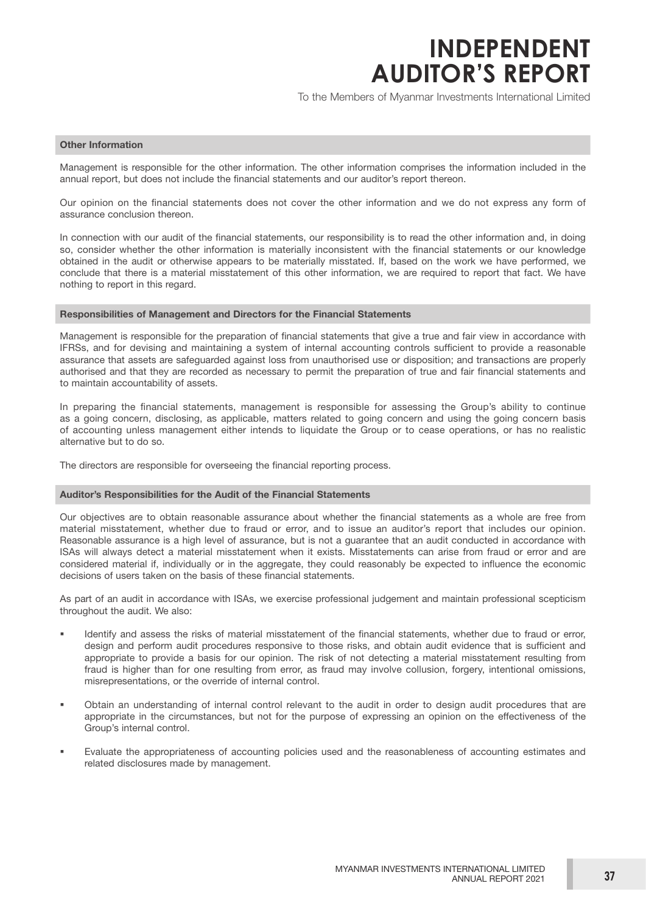# **INDEPENDENT AUDITOR'S REPORT**

To the Members of Myanmar Investments International Limited

#### **Other Information**

Management is responsible for the other information. The other information comprises the information included in the annual report, but does not include the financial statements and our auditor's report thereon.

Our opinion on the financial statements does not cover the other information and we do not express any form of assurance conclusion thereon.

In connection with our audit of the financial statements, our responsibility is to read the other information and, in doing so, consider whether the other information is materially inconsistent with the financial statements or our knowledge obtained in the audit or otherwise appears to be materially misstated. If, based on the work we have performed, we conclude that there is a material misstatement of this other information, we are required to report that fact. We have nothing to report in this regard.

#### **Responsibilities of Management and Directors for the Financial Statements**

Management is responsible for the preparation of financial statements that give a true and fair view in accordance with IFRSs, and for devising and maintaining a system of internal accounting controls sufficient to provide a reasonable assurance that assets are safeguarded against loss from unauthorised use or disposition; and transactions are properly authorised and that they are recorded as necessary to permit the preparation of true and fair financial statements and to maintain accountability of assets.

In preparing the financial statements, management is responsible for assessing the Group's ability to continue as a going concern, disclosing, as applicable, matters related to going concern and using the going concern basis of accounting unless management either intends to liquidate the Group or to cease operations, or has no realistic alternative but to do so.

The directors are responsible for overseeing the financial reporting process.

#### **Auditor's Responsibilities for the Audit of the Financial Statements**

Our objectives are to obtain reasonable assurance about whether the financial statements as a whole are free from material misstatement, whether due to fraud or error, and to issue an auditor's report that includes our opinion. Reasonable assurance is a high level of assurance, but is not a guarantee that an audit conducted in accordance with ISAs will always detect a material misstatement when it exists. Misstatements can arise from fraud or error and are considered material if, individually or in the aggregate, they could reasonably be expected to influence the economic decisions of users taken on the basis of these financial statements.

As part of an audit in accordance with ISAs, we exercise professional judgement and maintain professional scepticism throughout the audit. We also:

- Identify and assess the risks of material misstatement of the financial statements, whether due to fraud or error, design and perform audit procedures responsive to those risks, and obtain audit evidence that is sufficient and appropriate to provide a basis for our opinion. The risk of not detecting a material misstatement resulting from fraud is higher than for one resulting from error, as fraud may involve collusion, forgery, intentional omissions, misrepresentations, or the override of internal control.
- Obtain an understanding of internal control relevant to the audit in order to design audit procedures that are appropriate in the circumstances, but not for the purpose of expressing an opinion on the effectiveness of the Group's internal control.
- Evaluate the appropriateness of accounting policies used and the reasonableness of accounting estimates and related disclosures made by management.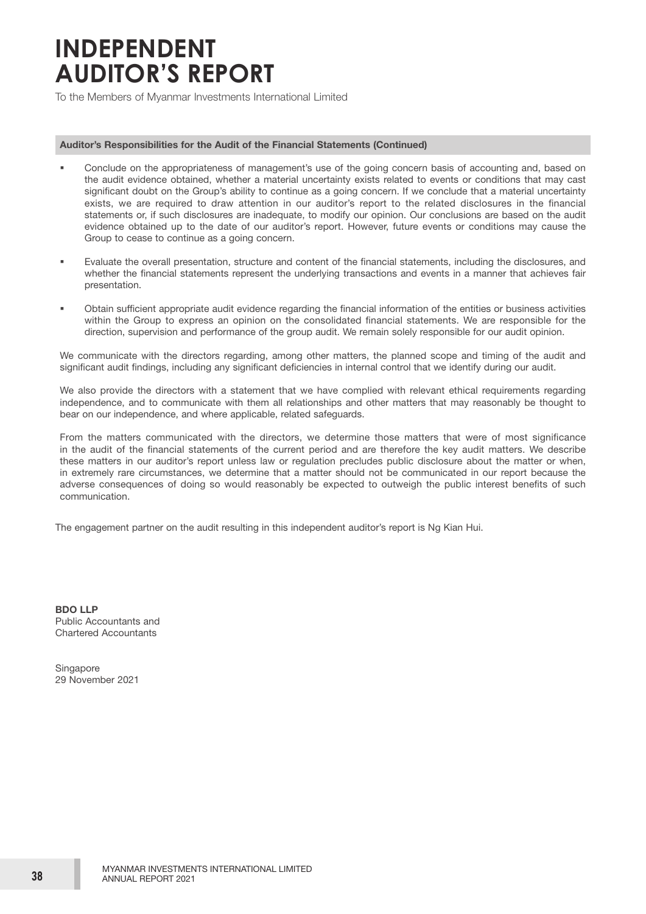# **INDEPENDENT AUDITOR'S REPORT**

To the Members of Myanmar Investments International Limited

#### **Auditor's Responsibilities for the Audit of the Financial Statements (Continued)**

- Conclude on the appropriateness of management's use of the going concern basis of accounting and, based on the audit evidence obtained, whether a material uncertainty exists related to events or conditions that may cast significant doubt on the Group's ability to continue as a going concern. If we conclude that a material uncertainty exists, we are required to draw attention in our auditor's report to the related disclosures in the financial statements or, if such disclosures are inadequate, to modify our opinion. Our conclusions are based on the audit evidence obtained up to the date of our auditor's report. However, future events or conditions may cause the Group to cease to continue as a going concern.
- Evaluate the overall presentation, structure and content of the financial statements, including the disclosures, and whether the financial statements represent the underlying transactions and events in a manner that achieves fair presentation.
- Obtain sufficient appropriate audit evidence regarding the financial information of the entities or business activities within the Group to express an opinion on the consolidated financial statements. We are responsible for the direction, supervision and performance of the group audit. We remain solely responsible for our audit opinion.

We communicate with the directors regarding, among other matters, the planned scope and timing of the audit and significant audit findings, including any significant deficiencies in internal control that we identify during our audit.

We also provide the directors with a statement that we have complied with relevant ethical requirements regarding independence, and to communicate with them all relationships and other matters that may reasonably be thought to bear on our independence, and where applicable, related safeguards.

From the matters communicated with the directors, we determine those matters that were of most significance in the audit of the financial statements of the current period and are therefore the key audit matters. We describe these matters in our auditor's report unless law or regulation precludes public disclosure about the matter or when, in extremely rare circumstances, we determine that a matter should not be communicated in our report because the adverse consequences of doing so would reasonably be expected to outweigh the public interest benefits of such communication.

The engagement partner on the audit resulting in this independent auditor's report is Ng Kian Hui.

**BDO LLP** Public Accountants and Chartered Accountants

Singapore 29 November 2021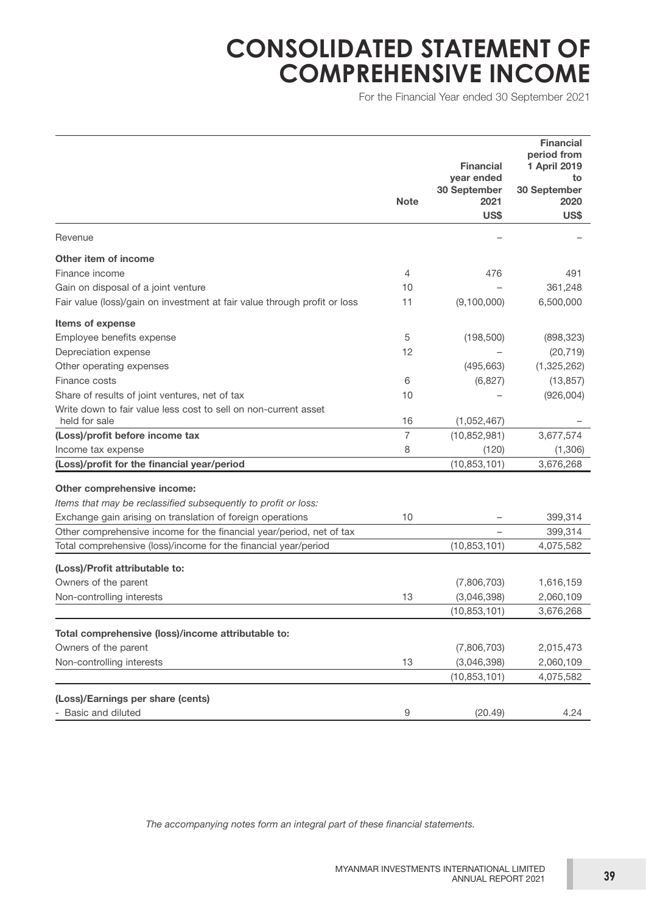# **CONSOLIDATED STATEMENT OF COMPREHENSIVE INCOME**

For the Financial Year ended 30 September 2021

|                                                                           |                |                  | <b>Financial</b><br>period from |
|---------------------------------------------------------------------------|----------------|------------------|---------------------------------|
|                                                                           |                | <b>Financial</b> | 1 April 2019                    |
|                                                                           |                | year ended       | to                              |
|                                                                           |                | 30 September     | 30 September                    |
|                                                                           | <b>Note</b>    | 2021             | 2020                            |
|                                                                           |                | US\$             | US\$                            |
| Revenue                                                                   |                |                  |                                 |
| Other item of income                                                      |                |                  |                                 |
| Finance income                                                            | $\overline{4}$ | 476              | 491                             |
| Gain on disposal of a joint venture                                       | 10             |                  | 361,248                         |
| Fair value (loss)/gain on investment at fair value through profit or loss | 11             | (9,100,000)      | 6,500,000                       |
| Items of expense                                                          |                |                  |                                 |
| Employee benefits expense                                                 | 5              | (198, 500)       | (898, 323)                      |
| Depreciation expense                                                      | 12             |                  | (20, 719)                       |
| Other operating expenses                                                  |                | (495, 663)       | (1,325,262)                     |
| Finance costs                                                             | 6              | (6, 827)         | (13, 857)                       |
| Share of results of joint ventures, net of tax                            | 10             |                  | (926,004)                       |
| Write down to fair value less cost to sell on non-current asset           |                |                  |                                 |
| held for sale                                                             | 16             | (1,052,467)      |                                 |
| (Loss)/profit before income tax                                           | $\overline{7}$ | (10, 852, 981)   | 3,677,574                       |
| Income tax expense                                                        | 8              | (120)            | (1,306)                         |
| (Loss)/profit for the financial year/period                               |                | (10, 853, 101)   | 3,676,268                       |
| Other comprehensive income:                                               |                |                  |                                 |
| Items that may be reclassified subsequently to profit or loss:            |                |                  |                                 |
| Exchange gain arising on translation of foreign operations                | 10             |                  | 399,314                         |
| Other comprehensive income for the financial year/period, net of tax      |                |                  | 399,314                         |
| Total comprehensive (loss)/income for the financial year/period           |                | (10, 853, 101)   | 4,075,582                       |
| (Loss)/Profit attributable to:                                            |                |                  |                                 |
| Owners of the parent                                                      |                | (7,806,703)      | 1,616,159                       |
| Non-controlling interests                                                 | 13             | (3,046,398)      | 2,060,109                       |
|                                                                           |                | (10, 853, 101)   | 3,676,268                       |
| Total comprehensive (loss)/income attributable to:                        |                |                  |                                 |
| Owners of the parent                                                      |                | (7,806,703)      | 2,015,473                       |
| Non-controlling interests                                                 | 13             | (3,046,398)      | 2,060,109                       |
|                                                                           |                | (10, 853, 101)   | 4,075,582                       |
| (Loss)/Earnings per share (cents)                                         |                |                  |                                 |
| Basic and diluted                                                         | $9\,$          | (20.49)          | 4.24                            |

The accompanying notes form an integral part of these financial statements.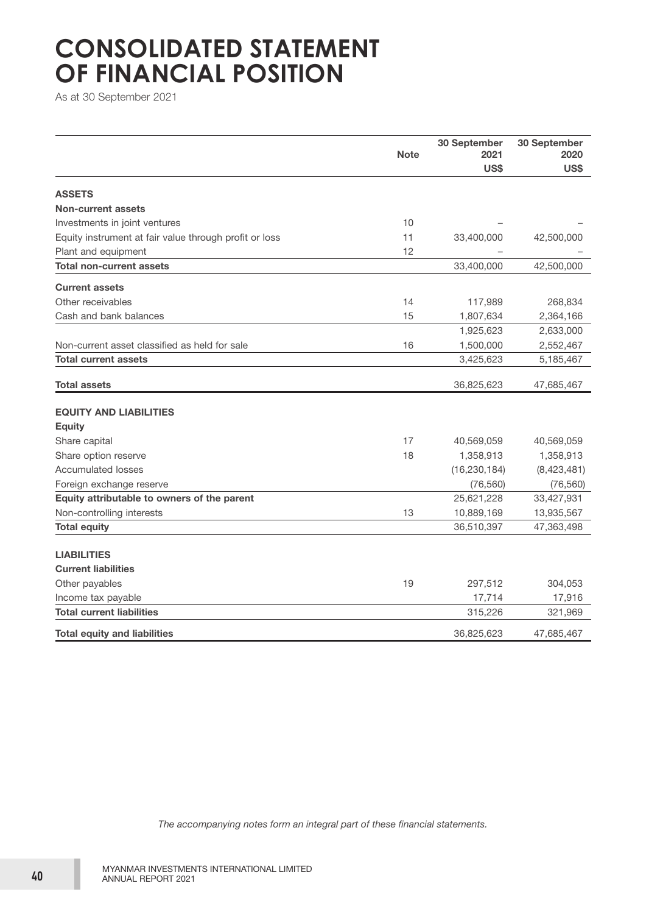# **CONSOLIDATED STATEMENT OF FINANCIAL POSITION**

As at 30 September 2021

|                                                        |             | 30 September   | 30 September |
|--------------------------------------------------------|-------------|----------------|--------------|
|                                                        | <b>Note</b> | 2021           | 2020         |
|                                                        |             | US\$           | <b>US\$</b>  |
| <b>ASSETS</b>                                          |             |                |              |
| <b>Non-current assets</b>                              |             |                |              |
| Investments in joint ventures                          | 10          |                |              |
| Equity instrument at fair value through profit or loss | 11          | 33,400,000     | 42,500,000   |
| Plant and equipment                                    | 12          |                |              |
| <b>Total non-current assets</b>                        |             | 33,400,000     | 42,500,000   |
| <b>Current assets</b>                                  |             |                |              |
| Other receivables                                      | 14          | 117,989        | 268,834      |
| Cash and bank balances                                 | 15          | 1,807,634      | 2,364,166    |
|                                                        |             | 1,925,623      | 2,633,000    |
| Non-current asset classified as held for sale          | 16          | 1,500,000      | 2,552,467    |
| <b>Total current assets</b>                            |             | 3,425,623      | 5,185,467    |
| <b>Total assets</b>                                    |             | 36,825,623     | 47,685,467   |
|                                                        |             |                |              |
| <b>EQUITY AND LIABILITIES</b>                          |             |                |              |
| <b>Equity</b>                                          |             |                |              |
| Share capital                                          | 17          | 40,569,059     | 40,569,059   |
| Share option reserve                                   | 18          | 1,358,913      | 1,358,913    |
| <b>Accumulated losses</b>                              |             | (16, 230, 184) | (8,423,481)  |
| Foreign exchange reserve                               |             | (76, 560)      | (76, 560)    |
| Equity attributable to owners of the parent            |             | 25,621,228     | 33,427,931   |
| Non-controlling interests                              | 13          | 10,889,169     | 13,935,567   |
| <b>Total equity</b>                                    |             | 36,510,397     | 47,363,498   |
| <b>LIABILITIES</b>                                     |             |                |              |
| <b>Current liabilities</b>                             |             |                |              |
| Other payables                                         | 19          | 297,512        | 304,053      |
| Income tax payable                                     |             | 17,714         | 17,916       |
| <b>Total current liabilities</b>                       |             | 315,226        | 321,969      |
| <b>Total equity and liabilities</b>                    |             | 36,825,623     | 47,685,467   |

The accompanying notes form an integral part of these financial statements.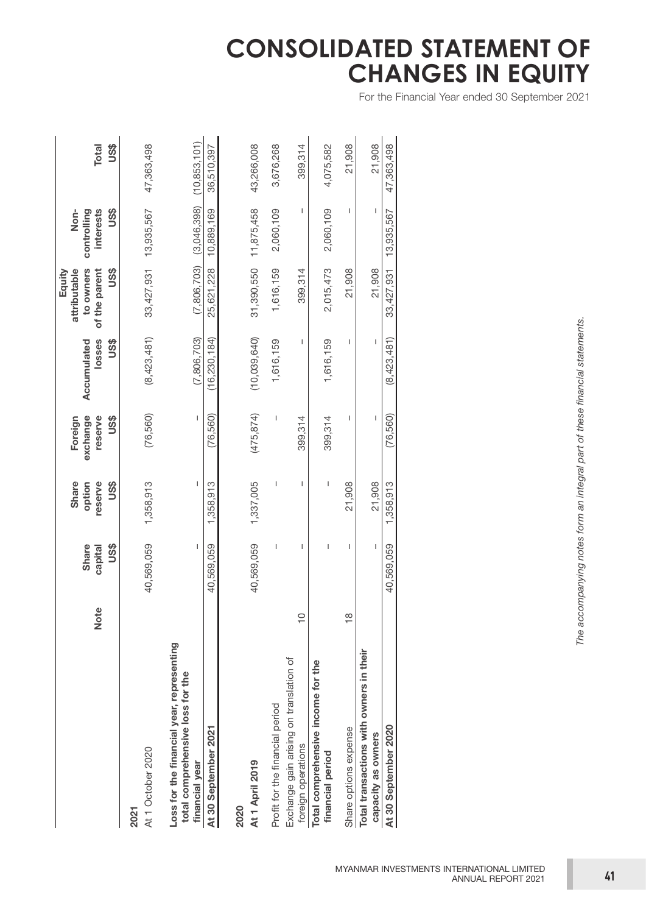# **CONSOLIDATED STATEMENT OF CHANGES IN EQUITY**

For the Financial Year ended 30 September 2021

|                                                                                                 | Note     | <b>Share</b><br><b>US\$</b><br>capital | Share<br>option<br>reserve<br><b>US\$</b> | exchange<br>reserve<br>Foreign<br><b>9SD</b> | <b>losses</b><br>Accumulated<br><b>JSS</b> | to owners<br>attributable<br>US\$<br>of the parent<br>Equity | US\$<br>interests<br>Non-<br>controlling | <b>JS\$</b><br><b>Total</b> |
|-------------------------------------------------------------------------------------------------|----------|----------------------------------------|-------------------------------------------|----------------------------------------------|--------------------------------------------|--------------------------------------------------------------|------------------------------------------|-----------------------------|
| At 1 October 2020<br>2021                                                                       |          | 40,569,059                             | 1,358,913                                 | (76, 560)                                    | (8,423,481)                                | 33,427,931                                                   | 13,935,567                               | 47,363,498                  |
| Loss for the financial year, representing<br>total comprehensive loss for the<br>financial year |          | I                                      |                                           |                                              | (7,806,703)                                | (7,806,703)                                                  | (3,046,398)                              | (10, 853, 101)              |
| At 30 September 2021                                                                            |          | 40,569,059                             | 1,358,913                                 | (76, 560)                                    | (16, 230, 184)                             | 25,621,228                                                   | 10,889,169                               | 36,510,397                  |
| At 1 April 2019<br>2020                                                                         |          | 40,569,059                             | 1,337,005                                 | (475, 874)                                   | (10,039,640)                               | 31,390,550                                                   | 11,875,458                               | 43,266,008                  |
| Profit for the financial period                                                                 |          | I                                      | I                                         | I                                            | 1,616,159                                  | 1,616,159                                                    | 2,060,109                                | 3,676,268                   |
| Exchange gain arising on translation of<br>foreign operations                                   | O        | I                                      | ı                                         | 399,314                                      | I                                          | 399,314                                                      | I                                        | 399,314                     |
| Total comprehensive income for the<br>financial period                                          |          | ı                                      | I                                         | 399,314                                      | 1,616,159                                  | 2,015,473                                                    | 2,060,109                                | 4,075,582                   |
| Share options expense                                                                           | $\infty$ | T                                      | 21,908                                    | I                                            | I                                          | 21,908                                                       | T                                        | 21,908                      |
| Total transactions with owners in their<br>capacity as owners                                   |          | I                                      | 21,908                                    | I                                            | T                                          | 21,908                                                       | T                                        | 21,908                      |
| At 30 September 2020                                                                            |          | 40,569,059                             | 1,358.913                                 | (76, 560)                                    | (8.423.481)                                | 33.427.931                                                   | 13.935.567                               | 47,363,498                  |

The accompanying notes form an integral part of these financial statements. The accompanying notes form an integral part of these financial statements.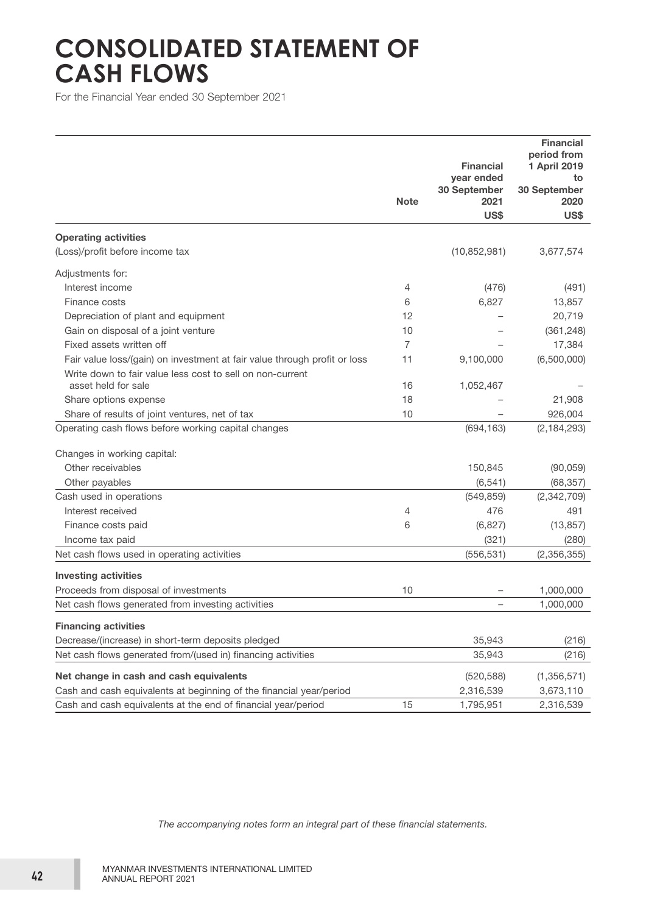# **CONSOLIDATED STATEMENT OF CASH FLOWS**

For the Financial Year ended 30 September 2021

|                                                                           |                |                            | <b>Financial</b><br>period from |
|---------------------------------------------------------------------------|----------------|----------------------------|---------------------------------|
|                                                                           |                | <b>Financial</b>           | 1 April 2019                    |
|                                                                           |                | year ended<br>30 September | to<br>30 September              |
|                                                                           | <b>Note</b>    | 2021                       | 2020                            |
|                                                                           |                | US\$                       | <b>US\$</b>                     |
| <b>Operating activities</b>                                               |                |                            |                                 |
| (Loss)/profit before income tax                                           |                | (10, 852, 981)             | 3,677,574                       |
| Adjustments for:                                                          |                |                            |                                 |
| Interest income                                                           | 4              | (476)                      | (491)                           |
| Finance costs                                                             | 6              | 6,827                      | 13,857                          |
| Depreciation of plant and equipment                                       | 12             |                            | 20,719                          |
| Gain on disposal of a joint venture                                       | 10             |                            | (361, 248)                      |
| Fixed assets written off                                                  | $\overline{7}$ |                            | 17,384                          |
| Fair value loss/(gain) on investment at fair value through profit or loss | 11             | 9,100,000                  | (6,500,000)                     |
| Write down to fair value less cost to sell on non-current                 |                |                            |                                 |
| asset held for sale                                                       | 16             | 1,052,467                  |                                 |
| Share options expense                                                     | 18             |                            | 21,908                          |
| Share of results of joint ventures, net of tax                            | 10             |                            | 926,004                         |
| Operating cash flows before working capital changes                       |                | (694, 163)                 | (2, 184, 293)                   |
| Changes in working capital:                                               |                |                            |                                 |
| Other receivables                                                         |                | 150,845                    | (90, 059)                       |
| Other payables                                                            |                | (6, 541)                   | (68, 357)                       |
| Cash used in operations                                                   |                | (549, 859)                 | (2,342,709)                     |
| Interest received                                                         | $\overline{4}$ | 476                        | 491                             |
| Finance costs paid                                                        | 6              | (6,827)                    | (13, 857)                       |
| Income tax paid                                                           |                | (321)                      | (280)                           |
| Net cash flows used in operating activities                               |                | (556, 531)                 | (2,356,355)                     |
| <b>Investing activities</b>                                               |                |                            |                                 |
| Proceeds from disposal of investments                                     | 10             |                            | 1,000,000                       |
| Net cash flows generated from investing activities                        |                |                            | 1,000,000                       |
| <b>Financing activities</b>                                               |                |                            |                                 |
| Decrease/(increase) in short-term deposits pledged                        |                | 35,943                     | (216)                           |
| Net cash flows generated from/(used in) financing activities              |                | 35,943                     | (216)                           |
| Net change in cash and cash equivalents                                   |                | (520, 588)                 | (1,356,571)                     |
| Cash and cash equivalents at beginning of the financial year/period       |                | 2,316,539                  | 3,673,110                       |
| Cash and cash equivalents at the end of financial year/period             | 15             | 1,795,951                  | 2,316,539                       |

The accompanying notes form an integral part of these financial statements.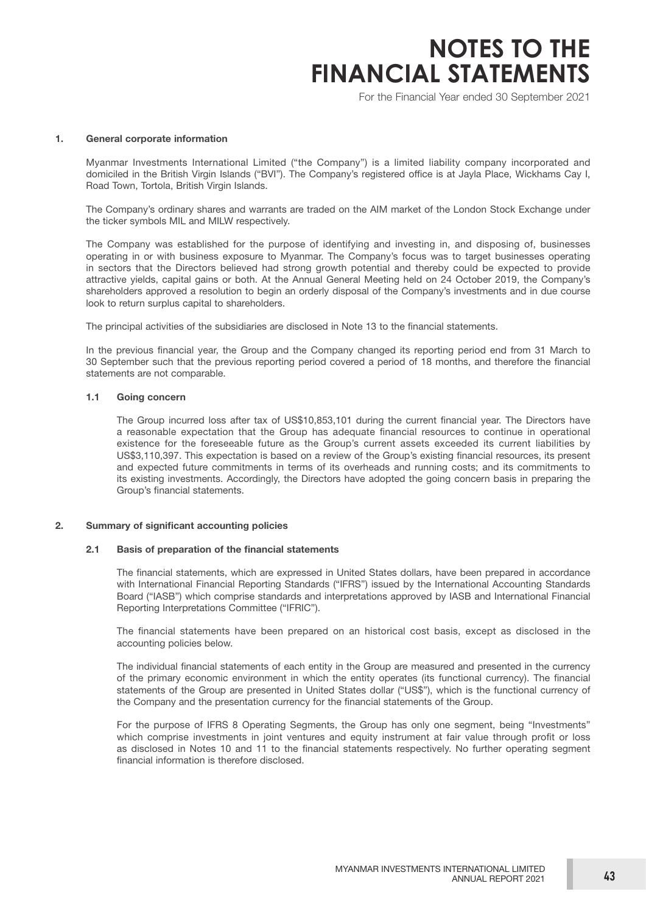For the Financial Year ended 30 September 2021

#### **1. General corporate information**

 Myanmar Investments International Limited ("the Company") is a limited liability company incorporated and domiciled in the British Virgin Islands ("BVI"). The Company's registered office is at Jayla Place, Wickhams Cay I, Road Town, Tortola, British Virgin Islands.

 The Company's ordinary shares and warrants are traded on the AIM market of the London Stock Exchange under the ticker symbols MIL and MILW respectively.

 The Company was established for the purpose of identifying and investing in, and disposing of, businesses operating in or with business exposure to Myanmar. The Company's focus was to target businesses operating in sectors that the Directors believed had strong growth potential and thereby could be expected to provide attractive yields, capital gains or both. At the Annual General Meeting held on 24 October 2019, the Company's shareholders approved a resolution to begin an orderly disposal of the Company's investments and in due course look to return surplus capital to shareholders.

The principal activities of the subsidiaries are disclosed in Note 13 to the financial statements.

In the previous financial year, the Group and the Company changed its reporting period end from 31 March to 30 September such that the previous reporting period covered a period of 18 months, and therefore the financial statements are not comparable.

#### **1.1 Going concern**

The Group incurred loss after tax of US\$10,853,101 during the current financial year. The Directors have a reasonable expectation that the Group has adequate financial resources to continue in operational existence for the foreseeable future as the Group's current assets exceeded its current liabilities by US\$3,110,397. This expectation is based on a review of the Group's existing financial resources, its present and expected future commitments in terms of its overheads and running costs; and its commitments to its existing investments. Accordingly, the Directors have adopted the going concern basis in preparing the Group's financial statements.

### 2. Summary of significant accounting policies

#### **2.1** Basis of preparation of the financial statements

The financial statements, which are expressed in United States dollars, have been prepared in accordance with International Financial Reporting Standards ("IFRS") issued by the International Accounting Standards Board ("IASB") which comprise standards and interpretations approved by IASB and International Financial Reporting Interpretations Committee ("IFRIC").

The financial statements have been prepared on an historical cost basis, except as disclosed in the accounting policies below.

The individual financial statements of each entity in the Group are measured and presented in the currency of the primary economic environment in which the entity operates (its functional currency). The financial statements of the Group are presented in United States dollar ("US\$"), which is the functional currency of the Company and the presentation currency for the financial statements of the Group.

For the purpose of IFRS 8 Operating Segments, the Group has only one segment, being "Investments" which comprise investments in joint ventures and equity instrument at fair value through profit or loss as disclosed in Notes 10 and 11 to the financial statements respectively. No further operating segment financial information is therefore disclosed.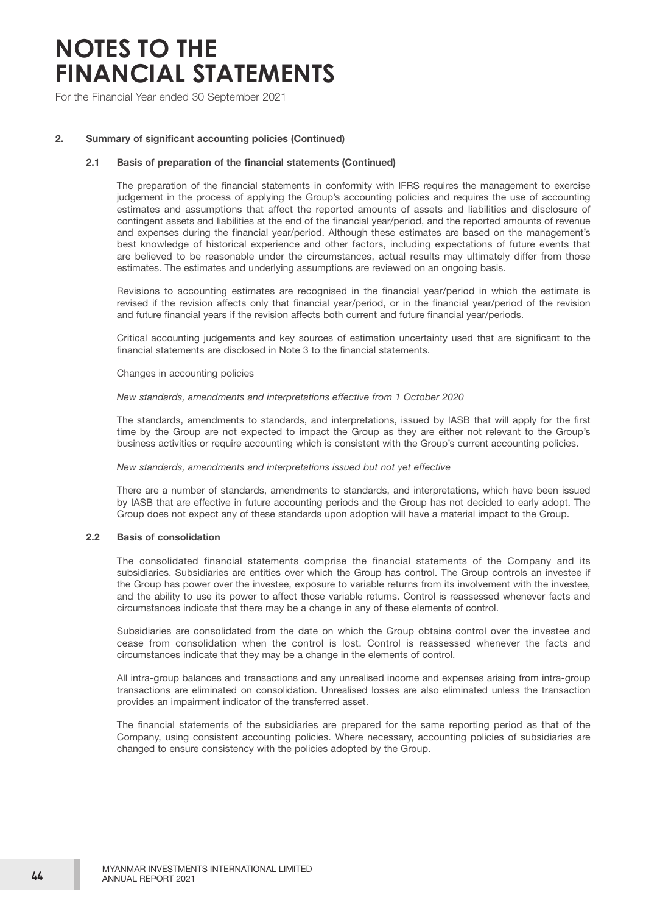For the Financial Year ended 30 September 2021

### 2. Summary of significant accounting policies (Continued)

### **2.1 Basis of preparation of the financial statements (Continued)**

The preparation of the financial statements in conformity with IFRS requires the management to exercise judgement in the process of applying the Group's accounting policies and requires the use of accounting estimates and assumptions that affect the reported amounts of assets and liabilities and disclosure of contingent assets and liabilities at the end of the financial year/period, and the reported amounts of revenue and expenses during the financial year/period. Although these estimates are based on the management's best knowledge of historical experience and other factors, including expectations of future events that are believed to be reasonable under the circumstances, actual results may ultimately differ from those estimates. The estimates and underlying assumptions are reviewed on an ongoing basis.

Revisions to accounting estimates are recognised in the financial year/period in which the estimate is revised if the revision affects only that financial year/period, or in the financial year/period of the revision and future financial years if the revision affects both current and future financial year/periods.

Critical accounting judgements and key sources of estimation uncertainty used that are significant to the financial statements are disclosed in Note 3 to the financial statements.

#### Changes in accounting policies

#### New standards, amendments and interpretations effective from 1 October 2020

The standards, amendments to standards, and interpretations, issued by IASB that will apply for the first time by the Group are not expected to impact the Group as they are either not relevant to the Group's business activities or require accounting which is consistent with the Group's current accounting policies.

#### New standards, amendments and interpretations issued but not yet effective

 There are a number of standards, amendments to standards, and interpretations, which have been issued by IASB that are effective in future accounting periods and the Group has not decided to early adopt. The Group does not expect any of these standards upon adoption will have a material impact to the Group.

#### **2.2 Basis of consolidation**

 The consolidated financial statements comprise the financial statements of the Company and its subsidiaries. Subsidiaries are entities over which the Group has control. The Group controls an investee if the Group has power over the investee, exposure to variable returns from its involvement with the investee, and the ability to use its power to affect those variable returns. Control is reassessed whenever facts and circumstances indicate that there may be a change in any of these elements of control.

 Subsidiaries are consolidated from the date on which the Group obtains control over the investee and cease from consolidation when the control is lost. Control is reassessed whenever the facts and circumstances indicate that they may be a change in the elements of control.

 All intra-group balances and transactions and any unrealised income and expenses arising from intra-group transactions are eliminated on consolidation. Unrealised losses are also eliminated unless the transaction provides an impairment indicator of the transferred asset.

The financial statements of the subsidiaries are prepared for the same reporting period as that of the Company, using consistent accounting policies. Where necessary, accounting policies of subsidiaries are changed to ensure consistency with the policies adopted by the Group.

**44** MYANMAR INVESTMENTS INTERNATIONAL LIMITED ANNUAL REPORT 2021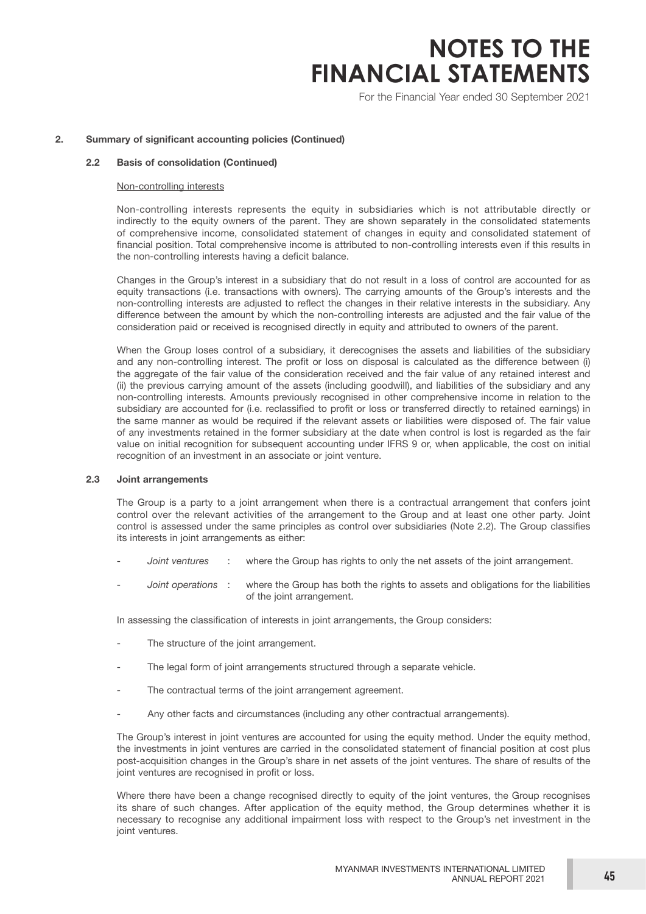For the Financial Year ended 30 September 2021

### 2. Summary of significant accounting policies (Continued)

#### **2.2 Basis of consolidation (Continued)**

#### Non-controlling interests

 Non-controlling interests represents the equity in subsidiaries which is not attributable directly or indirectly to the equity owners of the parent. They are shown separately in the consolidated statements of comprehensive income, consolidated statement of changes in equity and consolidated statement of financial position. Total comprehensive income is attributed to non-controlling interests even if this results in the non-controlling interests having a deficit balance.

 Changes in the Group's interest in a subsidiary that do not result in a loss of control are accounted for as equity transactions (i.e. transactions with owners). The carrying amounts of the Group's interests and the non-controlling interests are adjusted to reflect the changes in their relative interests in the subsidiary. Any difference between the amount by which the non-controlling interests are adjusted and the fair value of the consideration paid or received is recognised directly in equity and attributed to owners of the parent.

When the Group loses control of a subsidiary, it derecognises the assets and liabilities of the subsidiary and any non-controlling interest. The profit or loss on disposal is calculated as the difference between (i) the aggregate of the fair value of the consideration received and the fair value of any retained interest and (ii) the previous carrying amount of the assets (including goodwill), and liabilities of the subsidiary and any non-controlling interests. Amounts previously recognised in other comprehensive income in relation to the subsidiary are accounted for (i.e. reclassified to profit or loss or transferred directly to retained earnings) in the same manner as would be required if the relevant assets or liabilities were disposed of. The fair value of any investments retained in the former subsidiary at the date when control is lost is regarded as the fair value on initial recognition for subsequent accounting under IFRS 9 or, when applicable, the cost on initial recognition of an investment in an associate or joint venture.

#### **2.3 Joint arrangements**

 The Group is a party to a joint arrangement when there is a contractual arrangement that confers joint control over the relevant activities of the arrangement to the Group and at least one other party. Joint control is assessed under the same principles as control over subsidiaries (Note 2.2). The Group classifies its interests in joint arrangements as either:

- Joint ventures : where the Group has rights to only the net assets of the joint arrangement.
- Joint operations : where the Group has both the rights to assets and obligations for the liabilities of the joint arrangement.

In assessing the classification of interests in joint arrangements, the Group considers:

- The structure of the joint arrangement.
- The legal form of joint arrangements structured through a separate vehicle.
- The contractual terms of the joint arrangement agreement.
- Any other facts and circumstances (including any other contractual arrangements).

 The Group's interest in joint ventures are accounted for using the equity method. Under the equity method, the investments in joint ventures are carried in the consolidated statement of financial position at cost plus post-acquisition changes in the Group's share in net assets of the joint ventures. The share of results of the joint ventures are recognised in profit or loss.

Where there have been a change recognised directly to equity of the joint ventures, the Group recognises its share of such changes. After application of the equity method, the Group determines whether it is necessary to recognise any additional impairment loss with respect to the Group's net investment in the joint ventures.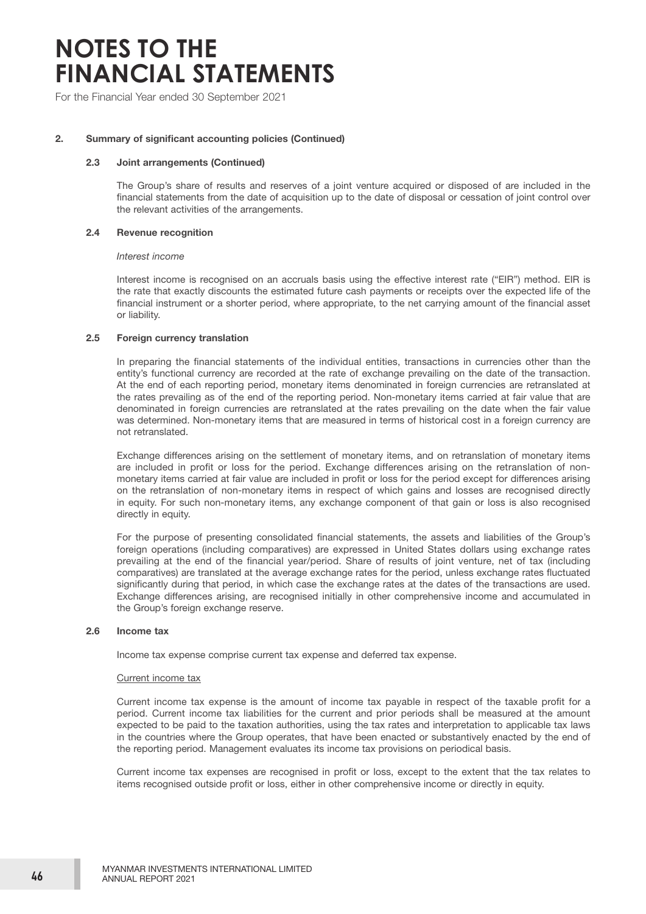For the Financial Year ended 30 September 2021

### 2. Summary of significant accounting policies (Continued)

### **2.3 Joint arrangements (Continued)**

 The Group's share of results and reserves of a joint venture acquired or disposed of are included in the financial statements from the date of acquisition up to the date of disposal or cessation of joint control over the relevant activities of the arrangements.

#### **2.4 Revenue recognition**

#### Interest income

 Interest income is recognised on an accruals basis using the effective interest rate ("EIR") method. EIR is the rate that exactly discounts the estimated future cash payments or receipts over the expected life of the financial instrument or a shorter period, where appropriate, to the net carrying amount of the financial asset or liability.

### **2.5 Foreign currency translation**

In preparing the financial statements of the individual entities, transactions in currencies other than the entity's functional currency are recorded at the rate of exchange prevailing on the date of the transaction. At the end of each reporting period, monetary items denominated in foreign currencies are retranslated at the rates prevailing as of the end of the reporting period. Non-monetary items carried at fair value that are denominated in foreign currencies are retranslated at the rates prevailing on the date when the fair value was determined. Non-monetary items that are measured in terms of historical cost in a foreign currency are not retranslated.

 Exchange differences arising on the settlement of monetary items, and on retranslation of monetary items are included in profit or loss for the period. Exchange differences arising on the retranslation of nonmonetary items carried at fair value are included in profit or loss for the period except for differences arising on the retranslation of non-monetary items in respect of which gains and losses are recognised directly in equity. For such non-monetary items, any exchange component of that gain or loss is also recognised directly in equity.

For the purpose of presenting consolidated financial statements, the assets and liabilities of the Group's foreign operations (including comparatives) are expressed in United States dollars using exchange rates prevailing at the end of the financial year/period. Share of results of joint venture, net of tax (including comparatives) are translated at the average exchange rates for the period, unless exchange rates fluctuated significantly during that period, in which case the exchange rates at the dates of the transactions are used. Exchange differences arising, are recognised initially in other comprehensive income and accumulated in the Group's foreign exchange reserve.

#### **2.6 Income tax**

Income tax expense comprise current tax expense and deferred tax expense.

#### Current income tax

Current income tax expense is the amount of income tax payable in respect of the taxable profit for a period. Current income tax liabilities for the current and prior periods shall be measured at the amount expected to be paid to the taxation authorities, using the tax rates and interpretation to applicable tax laws in the countries where the Group operates, that have been enacted or substantively enacted by the end of the reporting period. Management evaluates its income tax provisions on periodical basis.

Current income tax expenses are recognised in profit or loss, except to the extent that the tax relates to items recognised outside profit or loss, either in other comprehensive income or directly in equity.

**46** MYANMAR INVESTMENTS INTERNATIONAL LIMITED ANNUAL REPORT 2021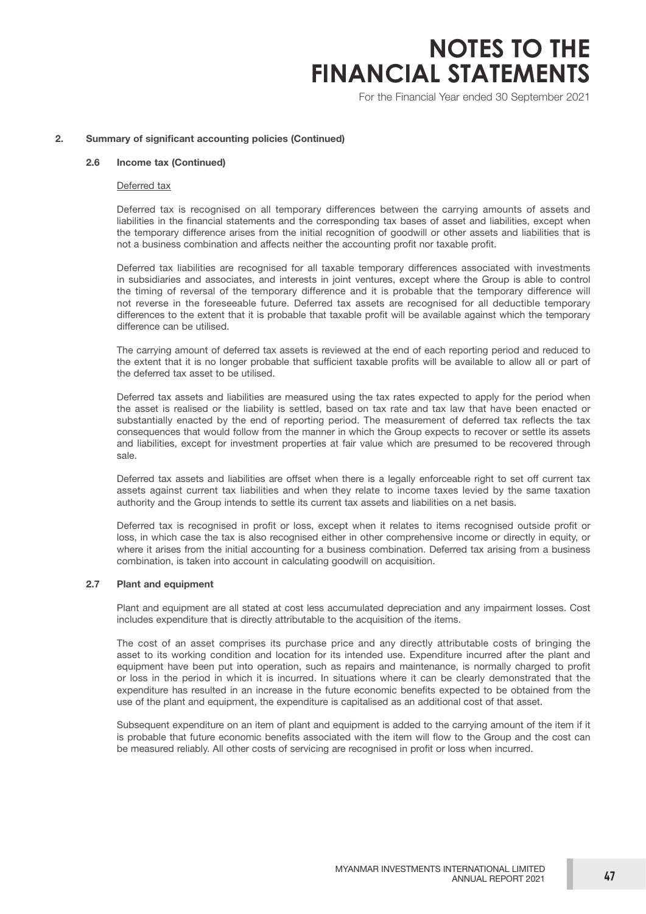For the Financial Year ended 30 September 2021

#### 2. Summary of significant accounting policies (Continued)

#### **2.6 Income tax (Continued)**

#### Deferred tax

 Deferred tax is recognised on all temporary differences between the carrying amounts of assets and liabilities in the financial statements and the corresponding tax bases of asset and liabilities, except when the temporary difference arises from the initial recognition of goodwill or other assets and liabilities that is not a business combination and affects neither the accounting profit nor taxable profit.

 Deferred tax liabilities are recognised for all taxable temporary differences associated with investments in subsidiaries and associates, and interests in joint ventures, except where the Group is able to control the timing of reversal of the temporary difference and it is probable that the temporary difference will not reverse in the foreseeable future. Deferred tax assets are recognised for all deductible temporary differences to the extent that it is probable that taxable profit will be available against which the temporary difference can be utilised.

 The carrying amount of deferred tax assets is reviewed at the end of each reporting period and reduced to the extent that it is no longer probable that sufficient taxable profits will be available to allow all or part of the deferred tax asset to be utilised.

 Deferred tax assets and liabilities are measured using the tax rates expected to apply for the period when the asset is realised or the liability is settled, based on tax rate and tax law that have been enacted or substantially enacted by the end of reporting period. The measurement of deferred tax reflects the tax consequences that would follow from the manner in which the Group expects to recover or settle its assets and liabilities, except for investment properties at fair value which are presumed to be recovered through sale.

 Deferred tax assets and liabilities are offset when there is a legally enforceable right to set off current tax assets against current tax liabilities and when they relate to income taxes levied by the same taxation authority and the Group intends to settle its current tax assets and liabilities on a net basis.

Deferred tax is recognised in profit or loss, except when it relates to items recognised outside profit or loss, in which case the tax is also recognised either in other comprehensive income or directly in equity, or where it arises from the initial accounting for a business combination. Deferred tax arising from a business combination, is taken into account in calculating goodwill on acquisition.

#### **2.7 Plant and equipment**

 Plant and equipment are all stated at cost less accumulated depreciation and any impairment losses. Cost includes expenditure that is directly attributable to the acquisition of the items.

 The cost of an asset comprises its purchase price and any directly attributable costs of bringing the asset to its working condition and location for its intended use. Expenditure incurred after the plant and equipment have been put into operation, such as repairs and maintenance, is normally charged to profit or loss in the period in which it is incurred. In situations where it can be clearly demonstrated that the expenditure has resulted in an increase in the future economic benefits expected to be obtained from the use of the plant and equipment, the expenditure is capitalised as an additional cost of that asset.

 Subsequent expenditure on an item of plant and equipment is added to the carrying amount of the item if it is probable that future economic benefits associated with the item will flow to the Group and the cost can be measured reliably. All other costs of servicing are recognised in profit or loss when incurred.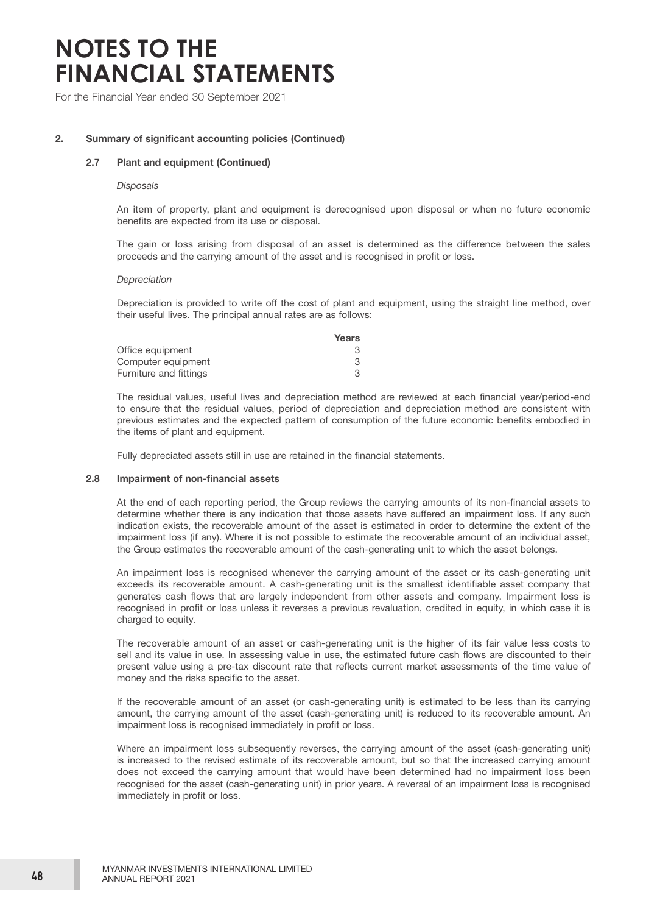For the Financial Year ended 30 September 2021

### 2. Summary of significant accounting policies (Continued)

#### **2.7 Plant and equipment (Continued)**

#### **Disposals**

 An item of property, plant and equipment is derecognised upon disposal or when no future economic benefits are expected from its use or disposal.

 The gain or loss arising from disposal of an asset is determined as the difference between the sales proceeds and the carrying amount of the asset and is recognised in profit or loss.

#### Depreciation

 Depreciation is provided to write off the cost of plant and equipment, using the straight line method, over their useful lives. The principal annual rates are as follows:

|                        | Years |
|------------------------|-------|
| Office equipment       |       |
| Computer equipment     |       |
| Furniture and fittings |       |

The residual values, useful lives and depreciation method are reviewed at each financial year/period-end to ensure that the residual values, period of depreciation and depreciation method are consistent with previous estimates and the expected pattern of consumption of the future economic benefits embodied in the items of plant and equipment.

Fully depreciated assets still in use are retained in the financial statements.

#### **2.8** Impairment of non-financial assets

At the end of each reporting period, the Group reviews the carrying amounts of its non-financial assets to determine whether there is any indication that those assets have suffered an impairment loss. If any such indication exists, the recoverable amount of the asset is estimated in order to determine the extent of the impairment loss (if any). Where it is not possible to estimate the recoverable amount of an individual asset, the Group estimates the recoverable amount of the cash-generating unit to which the asset belongs.

An impairment loss is recognised whenever the carrying amount of the asset or its cash-generating unit exceeds its recoverable amount. A cash-generating unit is the smallest identifiable asset company that generates cash flows that are largely independent from other assets and company. Impairment loss is recognised in profit or loss unless it reverses a previous revaluation, credited in equity, in which case it is charged to equity.

 The recoverable amount of an asset or cash-generating unit is the higher of its fair value less costs to sell and its value in use. In assessing value in use, the estimated future cash flows are discounted to their present value using a pre-tax discount rate that reflects current market assessments of the time value of money and the risks specific to the asset.

 If the recoverable amount of an asset (or cash-generating unit) is estimated to be less than its carrying amount, the carrying amount of the asset (cash-generating unit) is reduced to its recoverable amount. An impairment loss is recognised immediately in profit or loss.

 Where an impairment loss subsequently reverses, the carrying amount of the asset (cash-generating unit) is increased to the revised estimate of its recoverable amount, but so that the increased carrying amount does not exceed the carrying amount that would have been determined had no impairment loss been recognised for the asset (cash-generating unit) in prior years. A reversal of an impairment loss is recognised immediately in profit or loss.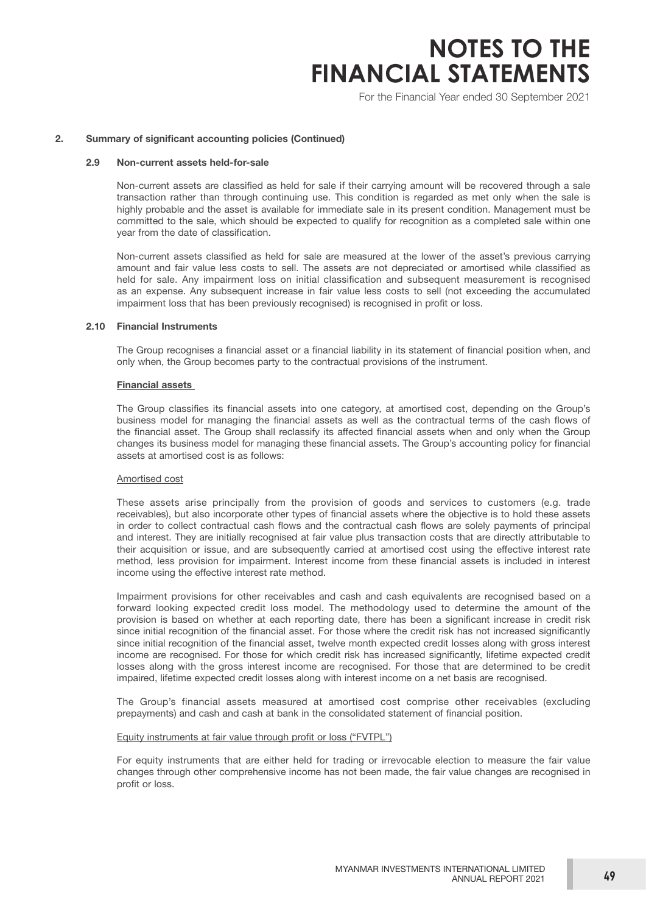For the Financial Year ended 30 September 2021

#### 2. Summary of significant accounting policies (Continued)

#### **2.9 Non-current assets held-for-sale**

Non-current assets are classified as held for sale if their carrying amount will be recovered through a sale transaction rather than through continuing use. This condition is regarded as met only when the sale is highly probable and the asset is available for immediate sale in its present condition. Management must be committed to the sale, which should be expected to qualify for recognition as a completed sale within one year from the date of classification.

Non-current assets classified as held for sale are measured at the lower of the asset's previous carrying amount and fair value less costs to sell. The assets are not depreciated or amortised while classified as held for sale. Any impairment loss on initial classification and subsequent measurement is recognised as an expense. Any subsequent increase in fair value less costs to sell (not exceeding the accumulated impairment loss that has been previously recognised) is recognised in profit or loss.

### **2.10 Financial Instruments**

The Group recognises a financial asset or a financial liability in its statement of financial position when, and only when, the Group becomes party to the contractual provisions of the instrument.

#### **Financial assets**

The Group classifies its financial assets into one category, at amortised cost, depending on the Group's business model for managing the financial assets as well as the contractual terms of the cash flows of the financial asset. The Group shall reclassify its affected financial assets when and only when the Group changes its business model for managing these financial assets. The Group's accounting policy for financial assets at amortised cost is as follows:

#### Amortised cost

 These assets arise principally from the provision of goods and services to customers (e.g. trade receivables), but also incorporate other types of financial assets where the objective is to hold these assets in order to collect contractual cash flows and the contractual cash flows are solely payments of principal and interest. They are initially recognised at fair value plus transaction costs that are directly attributable to their acquisition or issue, and are subsequently carried at amortised cost using the effective interest rate method, less provision for impairment. Interest income from these financial assets is included in interest income using the effective interest rate method.

 Impairment provisions for other receivables and cash and cash equivalents are recognised based on a forward looking expected credit loss model. The methodology used to determine the amount of the provision is based on whether at each reporting date, there has been a significant increase in credit risk since initial recognition of the financial asset. For those where the credit risk has not increased significantly since initial recognition of the financial asset, twelve month expected credit losses along with gross interest income are recognised. For those for which credit risk has increased significantly, lifetime expected credit losses along with the gross interest income are recognised. For those that are determined to be credit impaired, lifetime expected credit losses along with interest income on a net basis are recognised.

 The Group's financial assets measured at amortised cost comprise other receivables (excluding prepayments) and cash and cash at bank in the consolidated statement of financial position.

#### Equity instruments at fair value through profit or loss ("FVTPL")

 For equity instruments that are either held for trading or irrevocable election to measure the fair value changes through other comprehensive income has not been made, the fair value changes are recognised in profit or loss.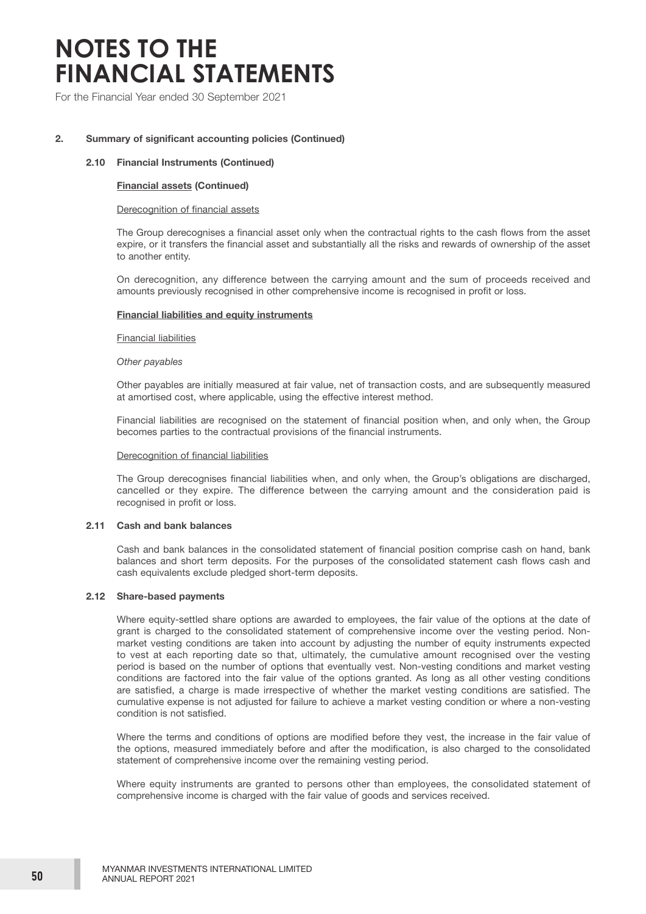For the Financial Year ended 30 September 2021

### 2. Summary of significant accounting policies (Continued)

### **2.10 Financial Instruments (Continued)**

#### **Financial assets (Continued)**

#### Derecognition of financial assets

The Group derecognises a financial asset only when the contractual rights to the cash flows from the asset expire, or it transfers the financial asset and substantially all the risks and rewards of ownership of the asset to another entity.

 On derecognition, any difference between the carrying amount and the sum of proceeds received and amounts previously recognised in other comprehensive income is recognised in profit or loss.

#### **Financial liabilities and equity instruments**

#### Financial liabilities

#### Other payables

 Other payables are initially measured at fair value, net of transaction costs, and are subsequently measured at amortised cost, where applicable, using the effective interest method.

Financial liabilities are recognised on the statement of financial position when, and only when, the Group becomes parties to the contractual provisions of the financial instruments.

#### Derecognition of financial liabilities

The Group derecognises financial liabilities when, and only when, the Group's obligations are discharged, cancelled or they expire. The difference between the carrying amount and the consideration paid is recognised in profit or loss.

#### **2.11 Cash and bank balances**

Cash and bank balances in the consolidated statement of financial position comprise cash on hand, bank balances and short term deposits. For the purposes of the consolidated statement cash flows cash and cash equivalents exclude pledged short-term deposits.

#### **2.12 Share-based payments**

 Where equity-settled share options are awarded to employees, the fair value of the options at the date of grant is charged to the consolidated statement of comprehensive income over the vesting period. Nonmarket vesting conditions are taken into account by adjusting the number of equity instruments expected to vest at each reporting date so that, ultimately, the cumulative amount recognised over the vesting period is based on the number of options that eventually vest. Non-vesting conditions and market vesting conditions are factored into the fair value of the options granted. As long as all other vesting conditions are satisfied, a charge is made irrespective of whether the market vesting conditions are satisfied. The cumulative expense is not adjusted for failure to achieve a market vesting condition or where a non-vesting condition is not satisfied.

Where the terms and conditions of options are modified before they vest, the increase in the fair value of the options, measured immediately before and after the modification, is also charged to the consolidated statement of comprehensive income over the remaining vesting period.

Where equity instruments are granted to persons other than employees, the consolidated statement of comprehensive income is charged with the fair value of goods and services received.

**50** MYANMAR INVESTMENTS INTERNATIONAL LIMITED<br>ANNI IAL REPORT 2021 ANNUAL REPORT 2021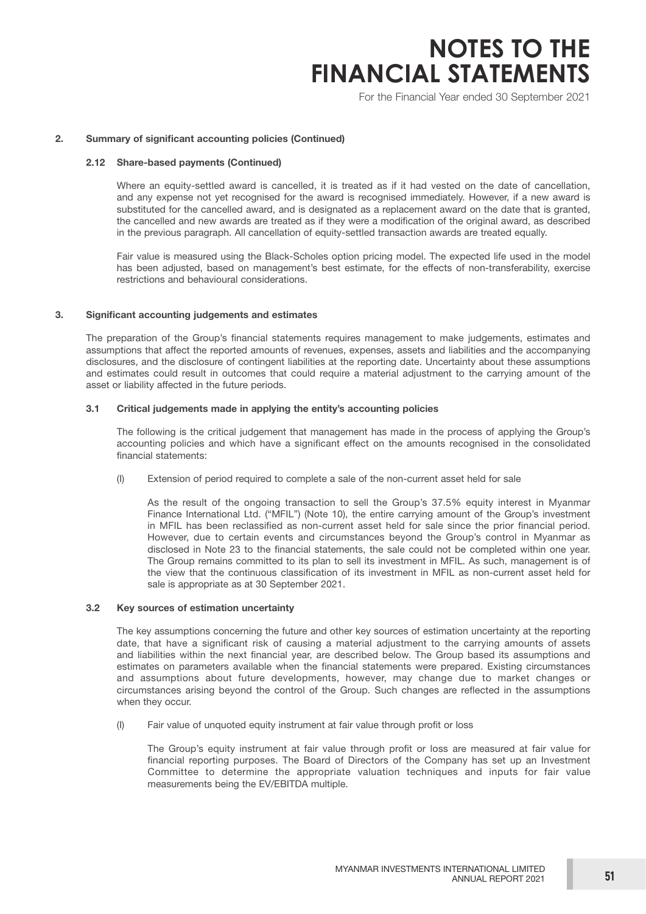For the Financial Year ended 30 September 2021

### 2. Summary of significant accounting policies (Continued)

#### **2.12 Share-based payments (Continued)**

Where an equity-settled award is cancelled, it is treated as if it had vested on the date of cancellation, and any expense not yet recognised for the award is recognised immediately. However, if a new award is substituted for the cancelled award, and is designated as a replacement award on the date that is granted, the cancelled and new awards are treated as if they were a modification of the original award, as described in the previous paragraph. All cancellation of equity-settled transaction awards are treated equally.

 Fair value is measured using the Black-Scholes option pricing model. The expected life used in the model has been adjusted, based on management's best estimate, for the effects of non-transferability, exercise restrictions and behavioural considerations.

#### **3.** Significant accounting judgements and estimates

The preparation of the Group's financial statements requires management to make judgements, estimates and assumptions that affect the reported amounts of revenues, expenses, assets and liabilities and the accompanying disclosures, and the disclosure of contingent liabilities at the reporting date. Uncertainty about these assumptions and estimates could result in outcomes that could require a material adjustment to the carrying amount of the asset or liability affected in the future periods.

### **3.1 Critical judgements made in applying the entity's accounting policies**

 The following is the critical judgement that management has made in the process of applying the Group's accounting policies and which have a significant effect on the amounts recognised in the consolidated financial statements:

(I) Extension of period required to complete a sale of the non-current asset held for sale

 As the result of the ongoing transaction to sell the Group's 37.5% equity interest in Myanmar Finance International Ltd. ("MFIL") (Note 10), the entire carrying amount of the Group's investment in MFIL has been reclassified as non-current asset held for sale since the prior financial period. However, due to certain events and circumstances beyond the Group's control in Myanmar as disclosed in Note 23 to the financial statements, the sale could not be completed within one year. The Group remains committed to its plan to sell its investment in MFIL. As such, management is of the view that the continuous classification of its investment in MFIL as non-current asset held for sale is appropriate as at 30 September 2021.

#### **3.2 Key sources of estimation uncertainty**

 The key assumptions concerning the future and other key sources of estimation uncertainty at the reporting date, that have a significant risk of causing a material adjustment to the carrying amounts of assets and liabilities within the next financial year, are described below. The Group based its assumptions and estimates on parameters available when the financial statements were prepared. Existing circumstances and assumptions about future developments, however, may change due to market changes or circumstances arising beyond the control of the Group. Such changes are reflected in the assumptions when they occur.

(I) Fair value of unquoted equity instrument at fair value through profit or loss

The Group's equity instrument at fair value through profit or loss are measured at fair value for financial reporting purposes. The Board of Directors of the Company has set up an Investment Committee to determine the appropriate valuation techniques and inputs for fair value measurements being the EV/EBITDA multiple.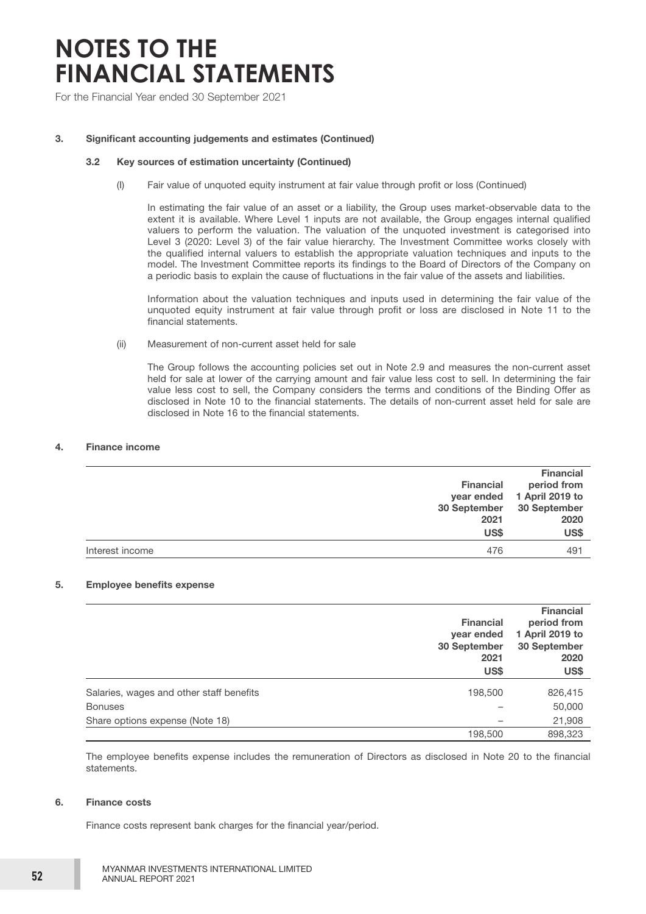For the Financial Year ended 30 September 2021

### **3.** Significant accounting judgements and estimates (Continued)

### **3.2 Key sources of estimation uncertainty (Continued)**

(I) Fair value of unquoted equity instrument at fair value through profit or loss (Continued)

In estimating the fair value of an asset or a liability, the Group uses market-observable data to the extent it is available. Where Level 1 inputs are not available, the Group engages internal qualified valuers to perform the valuation. The valuation of the unquoted investment is categorised into Level 3 (2020: Level 3) of the fair value hierarchy. The Investment Committee works closely with the qualified internal valuers to establish the appropriate valuation techniques and inputs to the model. The Investment Committee reports its findings to the Board of Directors of the Company on a periodic basis to explain the cause of fluctuations in the fair value of the assets and liabilities.

 Information about the valuation techniques and inputs used in determining the fair value of the unquoted equity instrument at fair value through profit or loss are disclosed in Note 11 to the financial statements.

(ii) Measurement of non-current asset held for sale

 The Group follows the accounting policies set out in Note 2.9 and measures the non-current asset held for sale at lower of the carrying amount and fair value less cost to sell. In determining the fair value less cost to sell, the Company considers the terms and conditions of the Binding Offer as disclosed in Note 10 to the financial statements. The details of non-current asset held for sale are disclosed in Note 16 to the financial statements.

#### **4. Finance income**

|                 |                  | <b>Financial</b>           |
|-----------------|------------------|----------------------------|
|                 | <b>Financial</b> | period from                |
|                 |                  | year ended 1 April 2019 to |
|                 | 30 September     | 30 September               |
|                 | 2021             | 2020                       |
|                 | US\$             | <b>US\$</b>                |
| Interest income | 476              | 491                        |
|                 |                  |                            |

#### **5.** Employee benefits expense

|                                          | <b>Financial</b><br>year ended<br>30 September<br>2021<br>US\$ | <b>Financial</b><br>period from<br>1 April 2019 to<br>30 September<br>2020<br>US\$ |
|------------------------------------------|----------------------------------------------------------------|------------------------------------------------------------------------------------|
| Salaries, wages and other staff benefits | 198,500                                                        | 826,415                                                                            |
| <b>Bonuses</b>                           |                                                                | 50,000                                                                             |
| Share options expense (Note 18)          |                                                                | 21,908                                                                             |
|                                          | 198,500                                                        | 898,323                                                                            |

The employee benefits expense includes the remuneration of Directors as disclosed in Note 20 to the financial statements.

#### **6. Finance costs**

Finance costs represent bank charges for the financial year/period.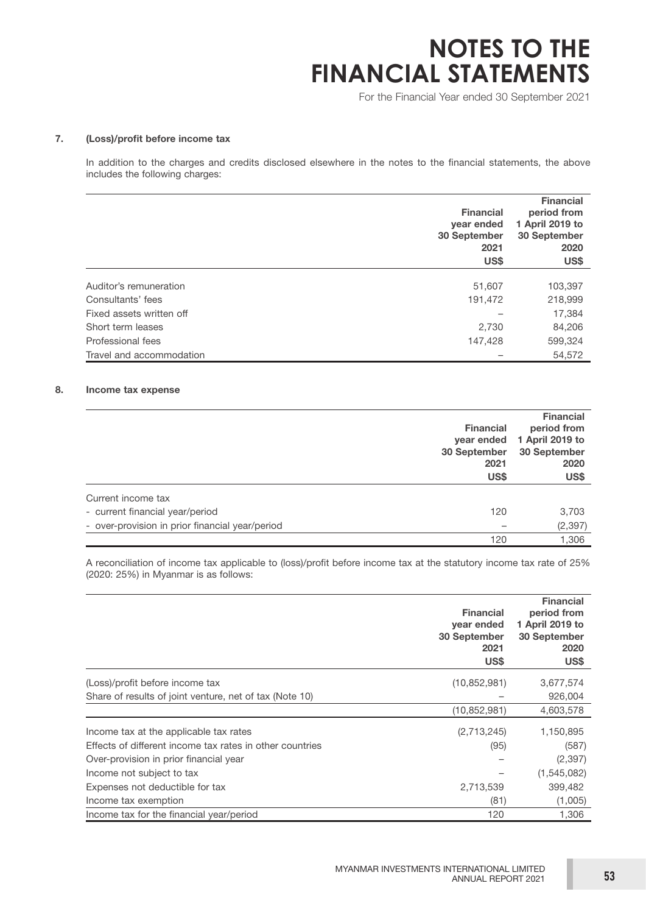For the Financial Year ended 30 September 2021

### 7. (Loss)/profit before income tax

In addition to the charges and credits disclosed elsewhere in the notes to the financial statements, the above includes the following charges:

|                          | <b>Financial</b><br>year ended<br>30 September<br>2021<br>US\$ | <b>Financial</b><br>period from<br>1 April 2019 to<br>30 September<br>2020<br>US\$ |
|--------------------------|----------------------------------------------------------------|------------------------------------------------------------------------------------|
| Auditor's remuneration   | 51,607                                                         | 103,397                                                                            |
| Consultants' fees        | 191,472                                                        | 218,999                                                                            |
| Fixed assets written off |                                                                | 17,384                                                                             |
| Short term leases        | 2,730                                                          | 84,206                                                                             |
| Professional fees        | 147,428                                                        | 599,324                                                                            |
| Travel and accommodation |                                                                | 54.572                                                                             |

### **8. Income tax expense**

|                                                 | <b>Financial</b><br>year ended<br>30 September<br>2021<br>US\$ | <b>Financial</b><br>period from<br>1 April 2019 to<br>30 September<br>2020<br><b>US\$</b> |
|-------------------------------------------------|----------------------------------------------------------------|-------------------------------------------------------------------------------------------|
| Current income tax                              |                                                                |                                                                                           |
| - current financial year/period                 | 120                                                            | 3,703                                                                                     |
| - over-provision in prior financial year/period |                                                                | (2, 397)                                                                                  |
|                                                 | 120                                                            | 1,306                                                                                     |

A reconciliation of income tax applicable to (loss)/profit before income tax at the statutory income tax rate of 25% (2020: 25%) in Myanmar is as follows:

|                                                          | <b>Financial</b><br>year ended<br>30 September<br>2021<br>US\$ | <b>Financial</b><br>period from<br>1 April 2019 to<br>30 September<br>2020<br>US\$ |
|----------------------------------------------------------|----------------------------------------------------------------|------------------------------------------------------------------------------------|
| (Loss)/profit before income tax                          | (10, 852, 981)                                                 | 3,677,574                                                                          |
| Share of results of joint venture, net of tax (Note 10)  |                                                                | 926,004                                                                            |
|                                                          | (10, 852, 981)                                                 | 4,603,578                                                                          |
| Income tax at the applicable tax rates                   | (2,713,245)                                                    | 1,150,895                                                                          |
| Effects of different income tax rates in other countries | (95)                                                           | (587)                                                                              |
| Over-provision in prior financial year                   |                                                                | (2, 397)                                                                           |
| Income not subject to tax                                |                                                                | (1, 545, 082)                                                                      |
| Expenses not deductible for tax                          | 2,713,539                                                      | 399,482                                                                            |
| Income tax exemption                                     | (81)                                                           | (1,005)                                                                            |
| Income tax for the financial year/period                 | 120                                                            | 1,306                                                                              |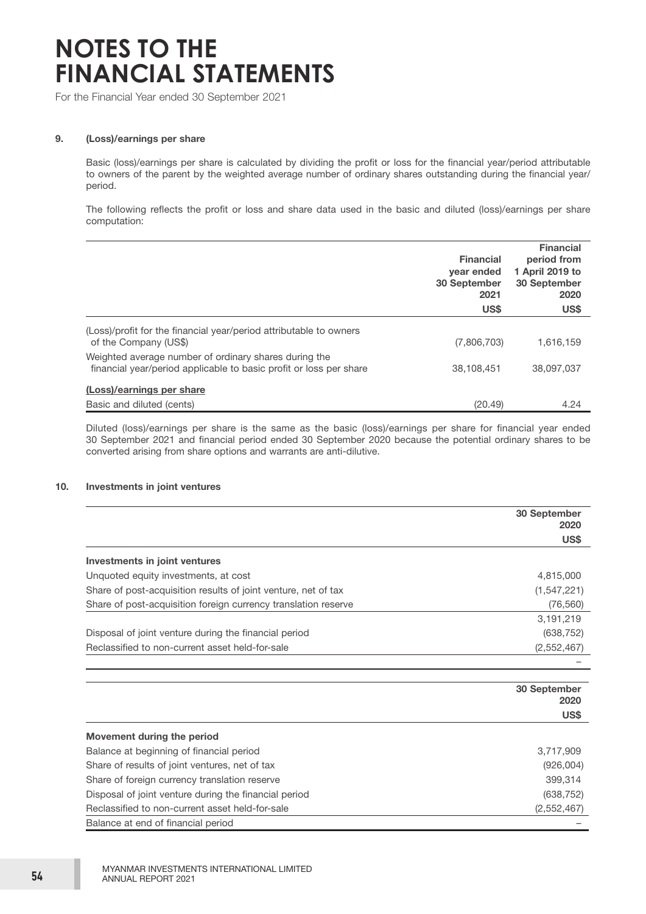For the Financial Year ended 30 September 2021

### **9. (Loss)/earnings per share**

Basic (loss)/earnings per share is calculated by dividing the profit or loss for the financial year/period attributable to owners of the parent by the weighted average number of ordinary shares outstanding during the financial year/ period.

The following reflects the profit or loss and share data used in the basic and diluted (loss)/earnings per share computation:

|                                                                                                                             | <b>Financial</b><br>year ended<br>30 September<br>2021<br>US\$ | <b>Financial</b><br>period from<br>1 April 2019 to<br>30 September<br>2020<br>US\$ |
|-----------------------------------------------------------------------------------------------------------------------------|----------------------------------------------------------------|------------------------------------------------------------------------------------|
| (Loss)/profit for the financial year/period attributable to owners<br>of the Company (US\$)                                 | (7,806,703)                                                    | 1,616,159                                                                          |
| Weighted average number of ordinary shares during the<br>financial year/period applicable to basic profit or loss per share | 38.108.451                                                     | 38,097,037                                                                         |
| (Loss)/earnings per share                                                                                                   |                                                                |                                                                                    |
| Basic and diluted (cents)                                                                                                   | (20.49)                                                        | 4.24                                                                               |

Diluted (loss)/earnings per share is the same as the basic (loss)/earnings per share for financial year ended 30 September 2021 and financial period ended 30 September 2020 because the potential ordinary shares to be converted arising from share options and warrants are anti-dilutive.

#### **10. Investments in joint ventures**

|                                                                | 30 September<br>2020 |
|----------------------------------------------------------------|----------------------|
|                                                                |                      |
|                                                                | US\$                 |
| Investments in joint ventures                                  |                      |
| Unquoted equity investments, at cost                           | 4,815,000            |
| Share of post-acquisition results of joint venture, net of tax | (1,547,221)          |
| Share of post-acquisition foreign currency translation reserve | (76, 560)            |
|                                                                | 3,191,219            |
| Disposal of joint venture during the financial period          | (638, 752)           |
| Reclassified to non-current asset held-for-sale                | (2,552,467)          |
|                                                                |                      |
|                                                                |                      |
|                                                                | 30 September<br>2020 |
|                                                                | US\$                 |
| Movement during the period                                     |                      |
| Balance at beginning of financial period                       | 3,717,909            |
| Share of results of joint ventures, net of tax                 | (926,004)            |
| Share of foreign currency translation reserve                  | 399.314              |

Disposal of joint venture during the financial period (638,752)

Reclassified to non-current asset held-for-sale (2,552,467) Balance at end of financial period

#### **54** MYANMAR INVESTMENTS INTERNATIONAL LIMITED<br>ANNITAL REPORT 2021 ANNUAL REPORT 2021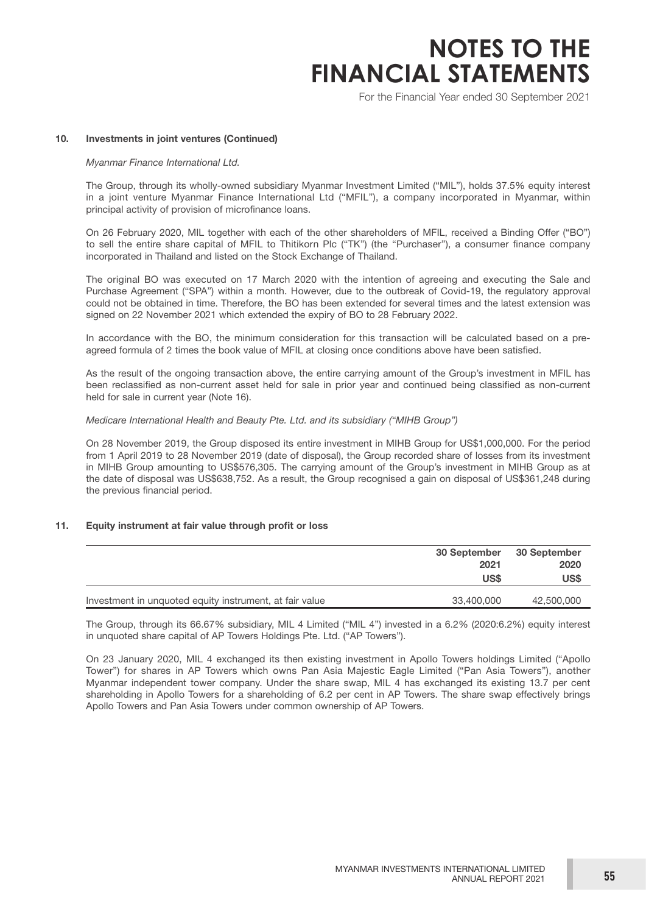For the Financial Year ended 30 September 2021

#### **10. Investments in joint ventures (Continued)**

Myanmar Finance International Ltd.

 The Group, through its wholly-owned subsidiary Myanmar Investment Limited ("MIL"), holds 37.5% equity interest in a joint venture Myanmar Finance International Ltd ("MFIL"), a company incorporated in Myanmar, within principal activity of provision of microfinance loans.

 On 26 February 2020, MIL together with each of the other shareholders of MFIL, received a Binding Offer ("BO") to sell the entire share capital of MFIL to Thitikorn Plc ("TK") (the "Purchaser"), a consumer finance company incorporated in Thailand and listed on the Stock Exchange of Thailand.

 The original BO was executed on 17 March 2020 with the intention of agreeing and executing the Sale and Purchase Agreement ("SPA") within a month. However, due to the outbreak of Covid-19, the regulatory approval could not be obtained in time. Therefore, the BO has been extended for several times and the latest extension was signed on 22 November 2021 which extended the expiry of BO to 28 February 2022.

 In accordance with the BO, the minimum consideration for this transaction will be calculated based on a preagreed formula of 2 times the book value of MFIL at closing once conditions above have been satisfied.

 As the result of the ongoing transaction above, the entire carrying amount of the Group's investment in MFIL has been reclassified as non-current asset held for sale in prior year and continued being classified as non-current held for sale in current year (Note 16).

### Medicare International Health and Beauty Pte. Ltd. and its subsidiary ("MIHB Group")

 On 28 November 2019, the Group disposed its entire investment in MIHB Group for US\$1,000,000. For the period from 1 April 2019 to 28 November 2019 (date of disposal), the Group recorded share of losses from its investment in MIHB Group amounting to US\$576,305. The carrying amount of the Group's investment in MIHB Group as at the date of disposal was US\$638,752. As a result, the Group recognised a gain on disposal of US\$361,248 during the previous financial period.

#### **11.** Equity instrument at fair value through profit or loss

|                                                         | 30 September<br>2021<br>US\$ | 30 September<br>2020<br>US\$ |
|---------------------------------------------------------|------------------------------|------------------------------|
| Investment in unquoted equity instrument, at fair value | 33,400,000                   | 42,500,000                   |

 The Group, through its 66.67% subsidiary, MIL 4 Limited ("MIL 4") invested in a 6.2% (2020:6.2%) equity interest in unquoted share capital of AP Towers Holdings Pte. Ltd. ("AP Towers").

 On 23 January 2020, MIL 4 exchanged its then existing investment in Apollo Towers holdings Limited ("Apollo Tower") for shares in AP Towers which owns Pan Asia Majestic Eagle Limited ("Pan Asia Towers"), another Myanmar independent tower company. Under the share swap, MIL 4 has exchanged its existing 13.7 per cent shareholding in Apollo Towers for a shareholding of 6.2 per cent in AP Towers. The share swap effectively brings Apollo Towers and Pan Asia Towers under common ownership of AP Towers.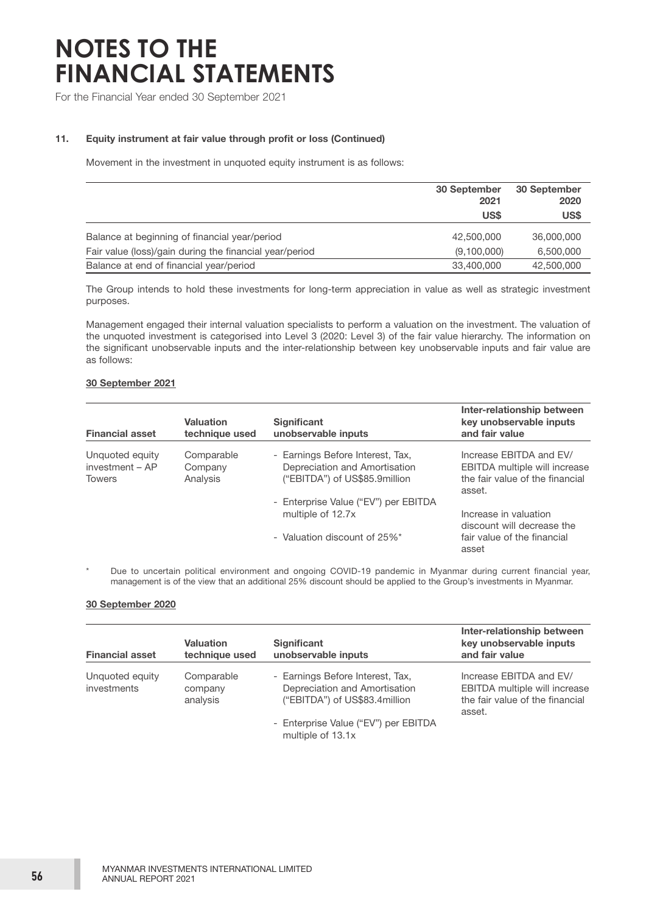For the Financial Year ended 30 September 2021

### 11. Equity instrument at fair value through profit or loss (Continued)

Movement in the investment in unquoted equity instrument is as follows:

|                                                                                                    | 30 September<br>2021<br>US\$ | 30 September<br>2020<br><b>US\$</b> |
|----------------------------------------------------------------------------------------------------|------------------------------|-------------------------------------|
| Balance at beginning of financial year/period                                                      | 42,500,000                   | 36,000,000                          |
| Fair value (loss)/gain during the financial year/period<br>Balance at end of financial year/period | (9,100,000)<br>33,400,000    | 6,500,000<br>42,500,000             |

 The Group intends to hold these investments for long-term appreciation in value as well as strategic investment purposes.

 Management engaged their internal valuation specialists to perform a valuation on the investment. The valuation of the unquoted investment is categorised into Level 3 (2020: Level 3) of the fair value hierarchy. The information on the significant unobservable inputs and the inter-relationship between key unobservable inputs and fair value are as follows:

#### **30 September 2021**

| <b>Financial asset</b>                              | Valuation<br>technique used       | <b>Significant</b><br>unobservable inputs                                                          | Inter-relationship between<br>key unobservable inputs<br>and fair value                                      |
|-----------------------------------------------------|-----------------------------------|----------------------------------------------------------------------------------------------------|--------------------------------------------------------------------------------------------------------------|
| Unquoted equity<br>investment - AP<br><b>Towers</b> | Comparable<br>Company<br>Analysis | - Earnings Before Interest, Tax,<br>Depreciation and Amortisation<br>("EBITDA") of US\$85.9million | Increase EBITDA and EV/<br><b>EBITDA</b> multiple will increase<br>the fair value of the financial<br>asset. |
|                                                     |                                   | - Enterprise Value ("EV") per EBITDA<br>multiple of 12.7x<br>- Valuation discount of 25%*          | Increase in valuation<br>discount will decrease the<br>fair value of the financial<br>asset                  |

Due to uncertain political environment and ongoing COVID-19 pandemic in Myanmar during current financial year, management is of the view that an additional 25% discount should be applied to the Group's investments in Myanmar.

### **30 September 2020**

| <b>Financial asset</b>         | Valuation<br>technique used       | <b>Significant</b><br>unobservable inputs                                                          | Inter-relationship between<br>key unobservable inputs<br>and fair value                                      |
|--------------------------------|-----------------------------------|----------------------------------------------------------------------------------------------------|--------------------------------------------------------------------------------------------------------------|
| Unquoted equity<br>investments | Comparable<br>company<br>analysis | - Earnings Before Interest, Tax,<br>Depreciation and Amortisation<br>("EBITDA") of US\$83.4million | Increase EBITDA and EV/<br><b>EBITDA</b> multiple will increase<br>the fair value of the financial<br>asset. |
|                                |                                   | - Enterprise Value ("EV") per EBITDA<br>multiple of 13.1x                                          |                                                                                                              |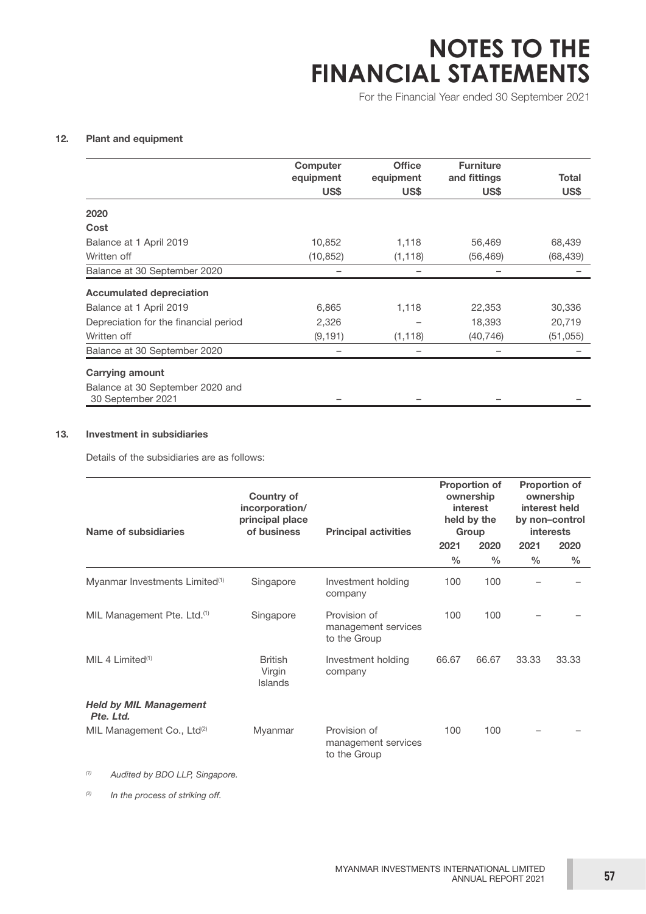For the Financial Year ended 30 September 2021

### **12. Plant and equipment**

|           |                       |                            | Total                            |
|-----------|-----------------------|----------------------------|----------------------------------|
| US\$      | US\$                  | US\$                       | US\$                             |
|           |                       |                            |                                  |
|           |                       |                            |                                  |
| 10,852    | 1,118                 | 56,469                     | 68,439                           |
| (10, 852) | (1, 118)              | (56, 469)                  | (68, 439)                        |
|           |                       |                            |                                  |
|           |                       |                            |                                  |
| 6,865     | 1,118                 | 22,353                     | 30,336                           |
| 2,326     |                       | 18,393                     | 20,719                           |
| (9, 191)  | (1, 118)              | (40, 746)                  | (51, 055)                        |
|           |                       |                            |                                  |
|           |                       |                            |                                  |
|           |                       |                            |                                  |
|           | Computer<br>equipment | <b>Office</b><br>equipment | <b>Furniture</b><br>and fittings |

### **13. Investment in subsidiaries**

Details of the subsidiaries are as follows:

| Name of subsidiaries                       | <b>Country of</b><br>incorporation/<br>principal place<br>of business | <b>Principal activities</b>                         |               | Proportion of<br>ownership<br>interest<br>held by the<br>Group |               | <b>Proportion of</b><br>ownership<br>interest held<br>by non-control<br><b>interests</b> |
|--------------------------------------------|-----------------------------------------------------------------------|-----------------------------------------------------|---------------|----------------------------------------------------------------|---------------|------------------------------------------------------------------------------------------|
|                                            |                                                                       |                                                     | 2021          | 2020                                                           | 2021          | 2020                                                                                     |
|                                            |                                                                       |                                                     | $\frac{0}{0}$ | $\%$                                                           | $\frac{0}{0}$ | $\%$                                                                                     |
| Myanmar Investments Limited <sup>(1)</sup> | Singapore                                                             | Investment holding<br>company                       | 100           | 100                                                            |               |                                                                                          |
| MIL Management Pte. Ltd. <sup>(1)</sup>    | Singapore                                                             | Provision of<br>management services<br>to the Group | 100           | 100                                                            |               |                                                                                          |
| MIL 4 Limited <sup>(1)</sup>               | <b>British</b><br>Virgin<br>Islands                                   | Investment holding<br>company                       | 66.67         | 66.67                                                          | 33.33         | 33.33                                                                                    |
| <b>Held by MIL Management</b><br>Pte. Ltd. |                                                                       |                                                     |               |                                                                |               |                                                                                          |
| MIL Management Co., Ltd <sup>(2)</sup>     | Myanmar                                                               | Provision of<br>management services<br>to the Group | 100           | 100                                                            |               |                                                                                          |

(1) Audited by BDO LLP, Singapore.

 $(2)$  In the process of striking off.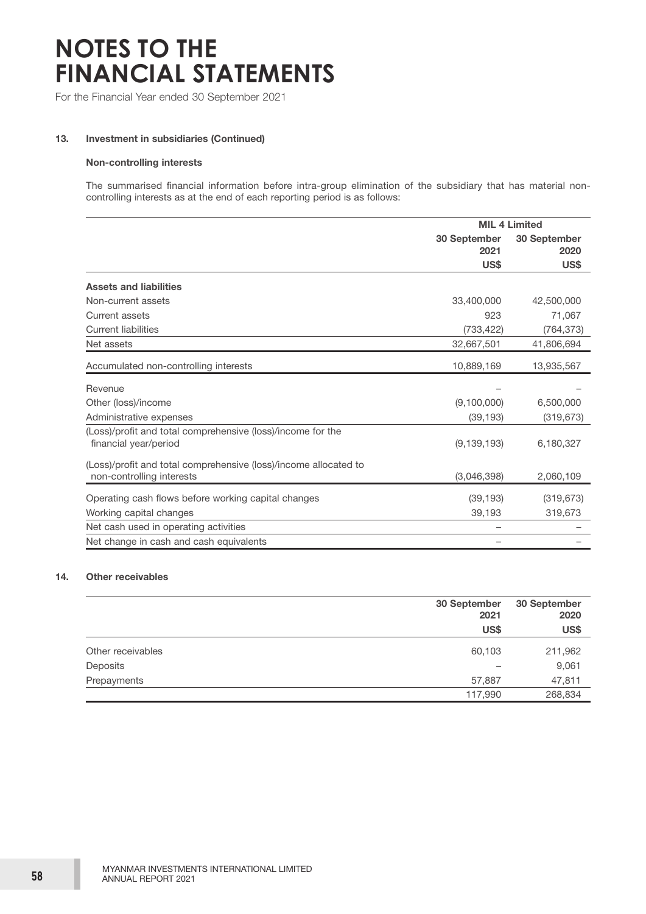For the Financial Year ended 30 September 2021

### **13. Investment in subsidiaries (Continued)**

### **Non-controlling interests**

The summarised financial information before intra-group elimination of the subsidiary that has material noncontrolling interests as at the end of each reporting period is as follows:

|                                                                                               | <b>MIL 4 Limited</b> |                      |  |
|-----------------------------------------------------------------------------------------------|----------------------|----------------------|--|
|                                                                                               | 30 September<br>2021 | 30 September<br>2020 |  |
|                                                                                               | US\$                 | US\$                 |  |
| <b>Assets and liabilities</b>                                                                 |                      |                      |  |
| Non-current assets                                                                            | 33,400,000           | 42,500,000           |  |
| Current assets                                                                                | 923                  | 71,067               |  |
| <b>Current liabilities</b>                                                                    | (733, 422)           | (764, 373)           |  |
| Net assets                                                                                    | 32,667,501           | 41,806,694           |  |
| Accumulated non-controlling interests                                                         | 10,889,169           | 13,935,567           |  |
| Revenue                                                                                       |                      |                      |  |
| Other (loss)/income                                                                           | (9, 100, 000)        | 6,500,000            |  |
| Administrative expenses                                                                       | (39, 193)            | (319, 673)           |  |
| (Loss)/profit and total comprehensive (loss)/income for the<br>financial year/period          | (9, 139, 193)        | 6,180,327            |  |
| (Loss)/profit and total comprehensive (loss)/income allocated to<br>non-controlling interests | (3,046,398)          | 2,060,109            |  |
| Operating cash flows before working capital changes                                           | (39, 193)            | (319, 673)           |  |
| Working capital changes                                                                       | 39,193               | 319,673              |  |
| Net cash used in operating activities                                                         |                      |                      |  |
| Net change in cash and cash equivalents                                                       |                      |                      |  |

### **14. Other receivables**

|                   | 30 September<br>2021<br><b>US\$</b> | 30 September<br>2020<br><b>US\$</b> |
|-------------------|-------------------------------------|-------------------------------------|
| Other receivables | 60,103                              | 211,962                             |
| Deposits          |                                     | 9,061                               |
| Prepayments       | 57,887                              | 47,811                              |
|                   | 117,990                             | 268,834                             |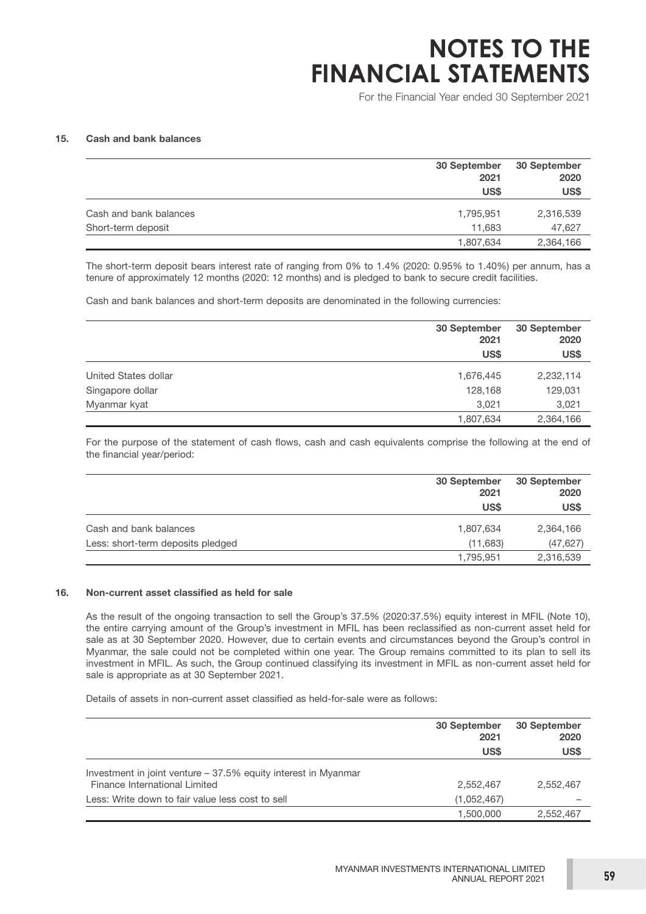For the Financial Year ended 30 September 2021

### **15. Cash and bank balances**

|                        | 30 September<br>2021<br>US\$ | 30 September<br>2020<br>US\$ |
|------------------------|------------------------------|------------------------------|
| Cash and bank balances | 1,795,951                    | 2,316,539                    |
| Short-term deposit     | 11.683                       | 47,627                       |
|                        | 1,807,634                    | 2,364,166                    |

 The short-term deposit bears interest rate of ranging from 0% to 1.4% (2020: 0.95% to 1.40%) per annum, has a tenure of approximately 12 months (2020: 12 months) and is pledged to bank to secure credit facilities.

Cash and bank balances and short-term deposits are denominated in the following currencies:

|                      | 30 September<br>2021<br>US\$ | 30 September<br>2020<br><b>US\$</b> |
|----------------------|------------------------------|-------------------------------------|
| United States dollar | 1,676,445                    | 2,232,114                           |
| Singapore dollar     | 128,168                      | 129,031                             |
| Myanmar kyat         | 3.021                        | 3,021                               |
|                      | 1,807,634                    | 2,364,166                           |

For the purpose of the statement of cash flows, cash and cash equivalents comprise the following at the end of the financial vear/period:

|                                   | 30 September<br>2021<br>US\$ | 30 September<br>2020<br><b>US\$</b> |
|-----------------------------------|------------------------------|-------------------------------------|
| Cash and bank balances            | 1,807,634                    | 2,364,166                           |
| Less: short-term deposits pledged | (11,683)                     | (47, 627)                           |
|                                   | 1,795,951                    | 2,316,539                           |

### 16. Non-current asset classified as held for sale

 As the result of the ongoing transaction to sell the Group's 37.5% (2020:37.5%) equity interest in MFIL (Note 10), the entire carrying amount of the Group's investment in MFIL has been reclassified as non-current asset held for sale as at 30 September 2020. However, due to certain events and circumstances beyond the Group's control in Myanmar, the sale could not be completed within one year. The Group remains committed to its plan to sell its investment in MFIL. As such, the Group continued classifying its investment in MFIL as non-current asset held for sale is appropriate as at 30 September 2021.

Details of assets in non-current asset classified as held-for-sale were as follows:

|                                                                                                 | 30 September<br>2021 | 30 September<br>2020 |
|-------------------------------------------------------------------------------------------------|----------------------|----------------------|
|                                                                                                 | US\$                 | <b>US\$</b>          |
| Investment in joint venture - 37.5% equity interest in Myanmar<br>Finance International Limited | 2.552.467            | 2.552.467            |
| Less: Write down to fair value less cost to sell                                                | (1,052,467)          |                      |
|                                                                                                 | 1,500,000            | 2,552,467            |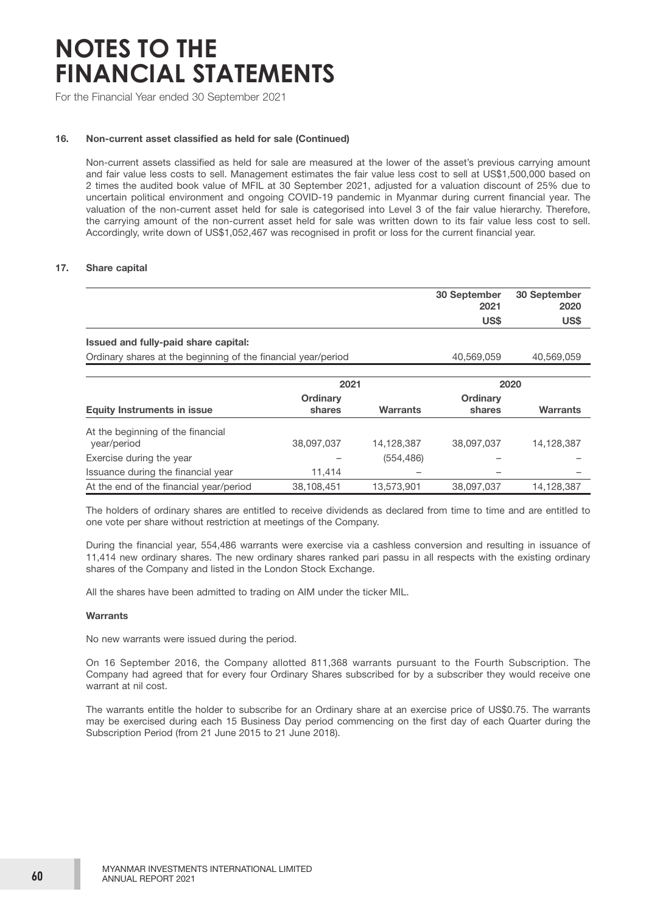For the Financial Year ended 30 September 2021

### 16. Non-current asset classified as held for sale (Continued)

Non-current assets classified as held for sale are measured at the lower of the asset's previous carrying amount and fair value less costs to sell. Management estimates the fair value less cost to sell at US\$1,500,000 based on 2 times the audited book value of MFIL at 30 September 2021, adjusted for a valuation discount of 25% due to uncertain political environment and ongoing COVID-19 pandemic in Myanmar during current financial year. The valuation of the non-current asset held for sale is categorised into Level 3 of the fair value hierarchy. Therefore, the carrying amount of the non-current asset held for sale was written down to its fair value less cost to sell. Accordingly, write down of US\$1,052,467 was recognised in profit or loss for the current financial year.

### **17. Share capital**

|                                                               |            |                 | 30 September<br>2021 | 30 September<br>2020 |
|---------------------------------------------------------------|------------|-----------------|----------------------|----------------------|
|                                                               |            |                 | US\$                 | US\$                 |
| Issued and fully-paid share capital:                          |            |                 |                      |                      |
| Ordinary shares at the beginning of the financial year/period |            |                 | 40,569,059           | 40,569,059           |
|                                                               |            |                 |                      |                      |
|                                                               | 2021       |                 |                      | 2020                 |
|                                                               | Ordinary   |                 | Ordinary             |                      |
| <b>Equity Instruments in issue</b>                            | shares     | <b>Warrants</b> | shares               | <b>Warrants</b>      |
| At the beginning of the financial                             |            |                 |                      |                      |
| year/period                                                   | 38,097,037 | 14,128,387      | 38,097,037           | 14,128,387           |
| Exercise during the year                                      |            | (554, 486)      |                      |                      |
| Issuance during the financial year                            | 11,414     |                 |                      |                      |
| At the end of the financial year/period                       | 38,108,451 | 13,573,901      | 38,097,037           | 14,128,387           |

 The holders of ordinary shares are entitled to receive dividends as declared from time to time and are entitled to one vote per share without restriction at meetings of the Company.

During the financial year, 554,486 warrants were exercise via a cashless conversion and resulting in issuance of 11,414 new ordinary shares. The new ordinary shares ranked pari passu in all respects with the existing ordinary shares of the Company and listed in the London Stock Exchange.

All the shares have been admitted to trading on AIM under the ticker MIL.

#### **Warrants**

No new warrants were issued during the period.

 On 16 September 2016, the Company allotted 811,368 warrants pursuant to the Fourth Subscription. The Company had agreed that for every four Ordinary Shares subscribed for by a subscriber they would receive one warrant at nil cost.

 The warrants entitle the holder to subscribe for an Ordinary share at an exercise price of US\$0.75. The warrants may be exercised during each 15 Business Day period commencing on the first day of each Quarter during the Subscription Period (from 21 June 2015 to 21 June 2018).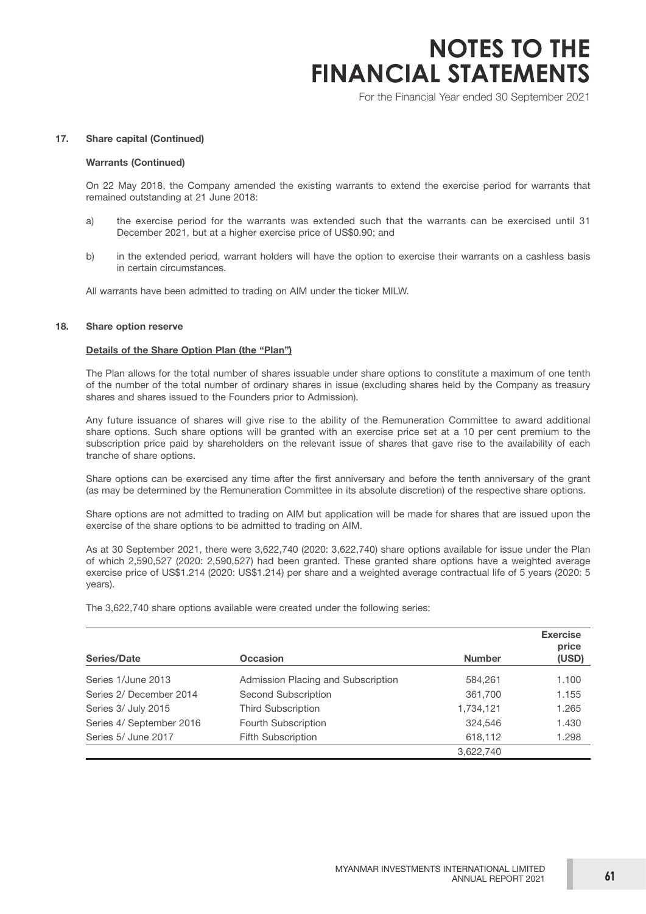For the Financial Year ended 30 September 2021

#### **17. Share capital (Continued)**

#### **Warrants (Continued)**

 On 22 May 2018, the Company amended the existing warrants to extend the exercise period for warrants that remained outstanding at 21 June 2018:

- a) the exercise period for the warrants was extended such that the warrants can be exercised until 31 December 2021, but at a higher exercise price of US\$0.90; and
- b) in the extended period, warrant holders will have the option to exercise their warrants on a cashless basis in certain circumstances.

All warrants have been admitted to trading on AIM under the ticker MILW.

#### **18. Share option reserve**

#### **Details of the Share Option Plan (the "Plan")**

 The Plan allows for the total number of shares issuable under share options to constitute a maximum of one tenth of the number of the total number of ordinary shares in issue (excluding shares held by the Company as treasury shares and shares issued to the Founders prior to Admission).

 Any future issuance of shares will give rise to the ability of the Remuneration Committee to award additional share options. Such share options will be granted with an exercise price set at a 10 per cent premium to the subscription price paid by shareholders on the relevant issue of shares that gave rise to the availability of each tranche of share options.

Share options can be exercised any time after the first anniversary and before the tenth anniversary of the grant (as may be determined by the Remuneration Committee in its absolute discretion) of the respective share options.

 Share options are not admitted to trading on AIM but application will be made for shares that are issued upon the exercise of the share options to be admitted to trading on AIM.

 As at 30 September 2021, there were 3,622,740 (2020: 3,622,740) share options available for issue under the Plan of which 2,590,527 (2020: 2,590,527) had been granted. These granted share options have a weighted average exercise price of US\$1.214 (2020: US\$1.214) per share and a weighted average contractual life of 5 years (2020: 5 years).

The 3,622,740 share options available were created under the following series:

| <b>Series/Date</b>       | <b>Occasion</b>                    | <b>Number</b> | <b>Exercise</b><br>price<br>(USD) |
|--------------------------|------------------------------------|---------------|-----------------------------------|
| Series 1/June 2013       | Admission Placing and Subscription | 584.261       | 1.100                             |
| Series 2/ December 2014  | Second Subscription                | 361,700       | 1.155                             |
| Series 3/ July 2015      | <b>Third Subscription</b>          | 1,734,121     | 1.265                             |
| Series 4/ September 2016 | Fourth Subscription                | 324,546       | 1.430                             |
| Series 5/ June 2017      | <b>Fifth Subscription</b>          | 618,112       | 1.298                             |
|                          |                                    | 3.622.740     |                                   |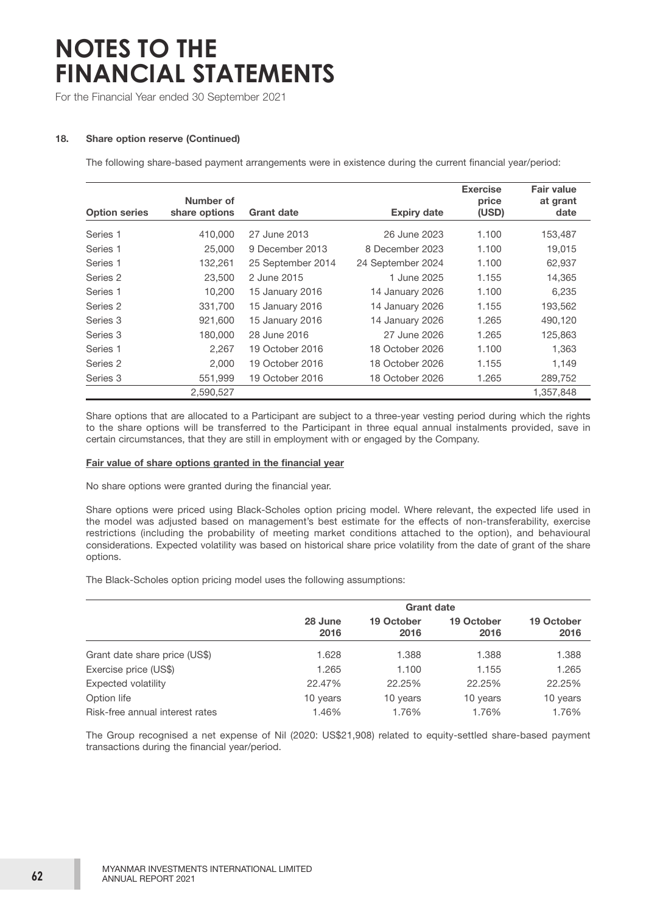For the Financial Year ended 30 September 2021

### **18. Share option reserve (Continued)**

The following share-based payment arrangements were in existence during the current financial year/period:

|                      |                            |                   |                    | <b>Exercise</b> | <b>Fair value</b> |
|----------------------|----------------------------|-------------------|--------------------|-----------------|-------------------|
| <b>Option series</b> | Number of<br>share options | <b>Grant date</b> | <b>Expiry date</b> | price<br>(USD)  | at grant<br>date  |
| Series <sub>1</sub>  | 410,000                    | 27 June 2013      | 26 June 2023       | 1.100           | 153,487           |
| Series <sub>1</sub>  | 25,000                     | 9 December 2013   | 8 December 2023    | 1.100           | 19,015            |
| Series 1             | 132,261                    | 25 September 2014 | 24 September 2024  | 1.100           | 62,937            |
| Series 2             | 23,500                     | 2 June 2015       | 1 June 2025        | 1.155           | 14,365            |
| Series <sub>1</sub>  | 10,200                     | 15 January 2016   | 14 January 2026    | 1.100           | 6,235             |
| Series 2             | 331,700                    | 15 January 2016   | 14 January 2026    | 1.155           | 193,562           |
| Series 3             | 921,600                    | 15 January 2016   | 14 January 2026    | 1.265           | 490,120           |
| Series 3             | 180,000                    | 28 June 2016      | 27 June 2026       | 1.265           | 125,863           |
| Series <sub>1</sub>  | 2,267                      | 19 October 2016   | 18 October 2026    | 1.100           | 1,363             |
| Series 2             | 2,000                      | 19 October 2016   | 18 October 2026    | 1.155           | 1,149             |
| Series 3             | 551,999                    | 19 October 2016   | 18 October 2026    | 1.265           | 289,752           |
|                      | 2,590,527                  |                   |                    |                 | 1,357,848         |

 Share options that are allocated to a Participant are subject to a three-year vesting period during which the rights to the share options will be transferred to the Participant in three equal annual instalments provided, save in certain circumstances, that they are still in employment with or engaged by the Company.

#### Fair value of share options granted in the financial year

No share options were granted during the financial year.

 Share options were priced using Black-Scholes option pricing model. Where relevant, the expected life used in the model was adjusted based on management's best estimate for the effects of non-transferability, exercise restrictions (including the probability of meeting market conditions attached to the option), and behavioural considerations. Expected volatility was based on historical share price volatility from the date of grant of the share options.

The Black-Scholes option pricing model uses the following assumptions:

|                                 | <b>Grant date</b> |                    |                    |                    |
|---------------------------------|-------------------|--------------------|--------------------|--------------------|
|                                 | 28 June<br>2016   | 19 October<br>2016 | 19 October<br>2016 | 19 October<br>2016 |
| Grant date share price (US\$)   | 1.628             | 1.388              | 1.388              | 1.388              |
| Exercise price (US\$)           | 1.265             | 1.100              | 1.155              | 1.265              |
| Expected volatility             | 22.47%            | 22.25%             | 22.25%             | 22.25%             |
| Option life                     | 10 years          | 10 years           | 10 years           | 10 years           |
| Risk-free annual interest rates | 1.46%             | 1.76%              | 1.76%              | 1.76%              |

 The Group recognised a net expense of Nil (2020: US\$21,908) related to equity-settled share-based payment transactions during the financial year/period.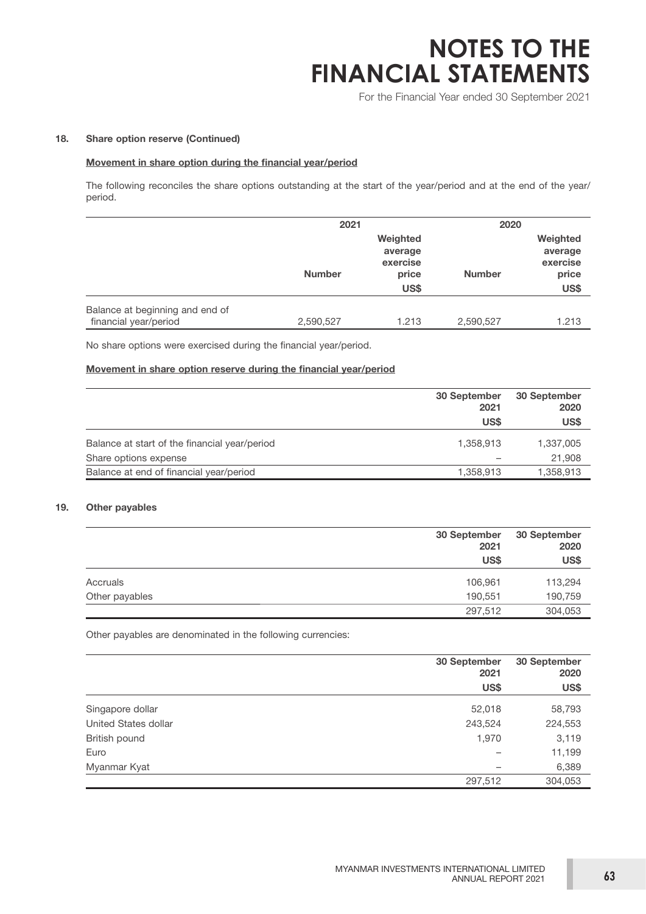For the Financial Year ended 30 September 2021

### **18. Share option reserve (Continued)**

### **Movement in share option during the financial year/period**

 The following reconciles the share options outstanding at the start of the year/period and at the end of the year/ period.

|                                                          | 2021          |                                                         | 2020          |                                                  |
|----------------------------------------------------------|---------------|---------------------------------------------------------|---------------|--------------------------------------------------|
|                                                          | <b>Number</b> | Weighted<br>average<br>exercise<br>price<br><b>US\$</b> | <b>Number</b> | Weighted<br>average<br>exercise<br>price<br>US\$ |
| Balance at beginning and end of<br>financial year/period | 2,590,527     | 1.213                                                   | 2,590,527     | 1.213                                            |

No share options were exercised during the financial year/period.

### **Movement in share option reserve during the financial year/period**

|                                               | 30 September<br>2021<br>US\$ | 30 September<br>2020<br>US\$ |
|-----------------------------------------------|------------------------------|------------------------------|
| Balance at start of the financial year/period | 1,358,913                    | 1,337,005                    |
| Share options expense                         |                              | 21,908                       |
| Balance at end of financial year/period       | 1,358,913                    | 1,358,913                    |

### **19. Other payables**

|                | 30 September<br>2021<br>US\$ | 30 September<br>2020<br>US\$ |
|----------------|------------------------------|------------------------------|
|                |                              |                              |
| Accruals       | 106.961                      | 113,294                      |
| Other payables | 190,551                      | 190,759                      |
|                | 297,512                      | 304,053                      |

Other payables are denominated in the following currencies:

|                      | 30 September<br>2021 | 30 September<br>2020 |
|----------------------|----------------------|----------------------|
|                      | <b>US\$</b>          | <b>US\$</b>          |
| Singapore dollar     | 52,018               | 58,793               |
| United States dollar | 243,524              | 224,553              |
| British pound        | 1,970                | 3,119                |
| Euro                 |                      | 11,199               |
| Myanmar Kyat         | -                    | 6,389                |
|                      | 297,512              | 304,053              |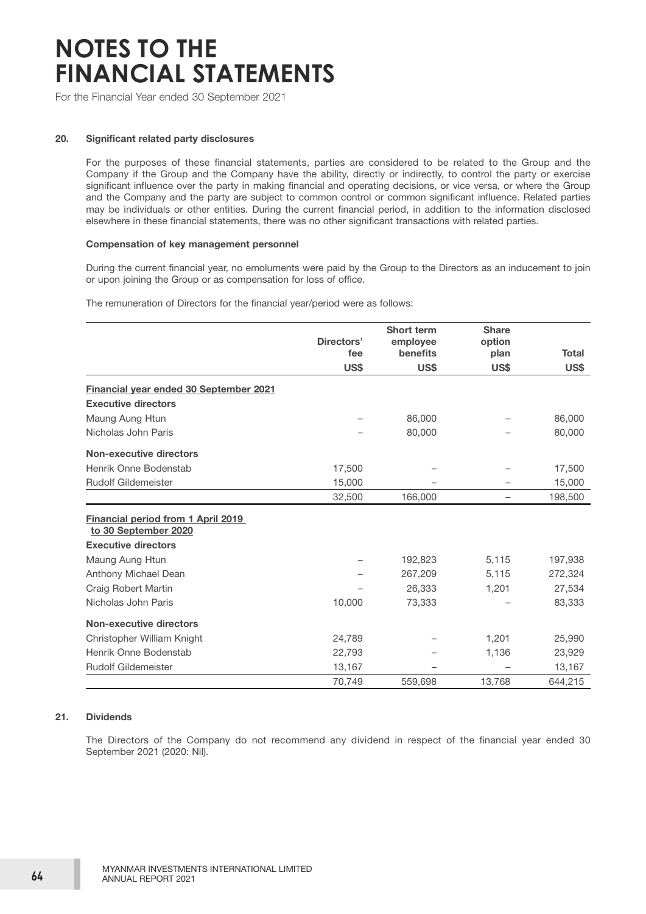For the Financial Year ended 30 September 2021

### **20.** Significant related party disclosures

For the purposes of these financial statements, parties are considered to be related to the Group and the Company if the Group and the Company have the ability, directly or indirectly, to control the party or exercise significant influence over the party in making financial and operating decisions, or vice versa, or where the Group and the Company and the party are subject to common control or common significant influence. Related parties may be individuals or other entities. During the current financial period, in addition to the information disclosed elsewhere in these financial statements, there was no other significant transactions with related parties.

### **Compensation of key management personnel**

During the current financial year, no emoluments were paid by the Group to the Directors as an inducement to join or upon joining the Group or as compensation for loss of office.

The remuneration of Directors for the financial year/period were as follows:

|                                                            |            | <b>Short term</b> | <b>Share</b> |              |
|------------------------------------------------------------|------------|-------------------|--------------|--------------|
|                                                            | Directors' | employee          | option       |              |
|                                                            | fee        | benefits          | plan         | <b>Total</b> |
|                                                            | US\$       | US\$              | US\$         | US\$         |
| <b>Financial year ended 30 September 2021</b>              |            |                   |              |              |
| <b>Executive directors</b>                                 |            |                   |              |              |
| Maung Aung Htun                                            |            | 86,000            |              | 86,000       |
| Nicholas John Paris                                        |            | 80,000            |              | 80,000       |
| <b>Non-executive directors</b>                             |            |                   |              |              |
| Henrik Onne Bodenstab                                      | 17,500     |                   |              | 17,500       |
| <b>Rudolf Gildemeister</b>                                 | 15,000     |                   |              | 15,000       |
|                                                            | 32,500     | 166,000           |              | 198,500      |
| Financial period from 1 April 2019<br>to 30 September 2020 |            |                   |              |              |
| <b>Executive directors</b>                                 |            |                   |              |              |
| Maung Aung Htun                                            |            | 192,823           | 5,115        | 197,938      |
| Anthony Michael Dean                                       |            | 267,209           | 5,115        | 272,324      |
| Craig Robert Martin                                        |            | 26,333            | 1,201        | 27,534       |
| Nicholas John Paris                                        | 10,000     | 73,333            |              | 83,333       |
| <b>Non-executive directors</b>                             |            |                   |              |              |
| Christopher William Knight                                 | 24,789     |                   | 1,201        | 25,990       |
| Henrik Onne Bodenstab                                      | 22,793     |                   | 1,136        | 23,929       |
| <b>Rudolf Gildemeister</b>                                 | 13,167     |                   |              | 13,167       |
|                                                            | 70,749     | 559,698           | 13,768       | 644,215      |

#### **21. Dividends**

The Directors of the Company do not recommend any dividend in respect of the financial year ended 30 September 2021 (2020: Nil).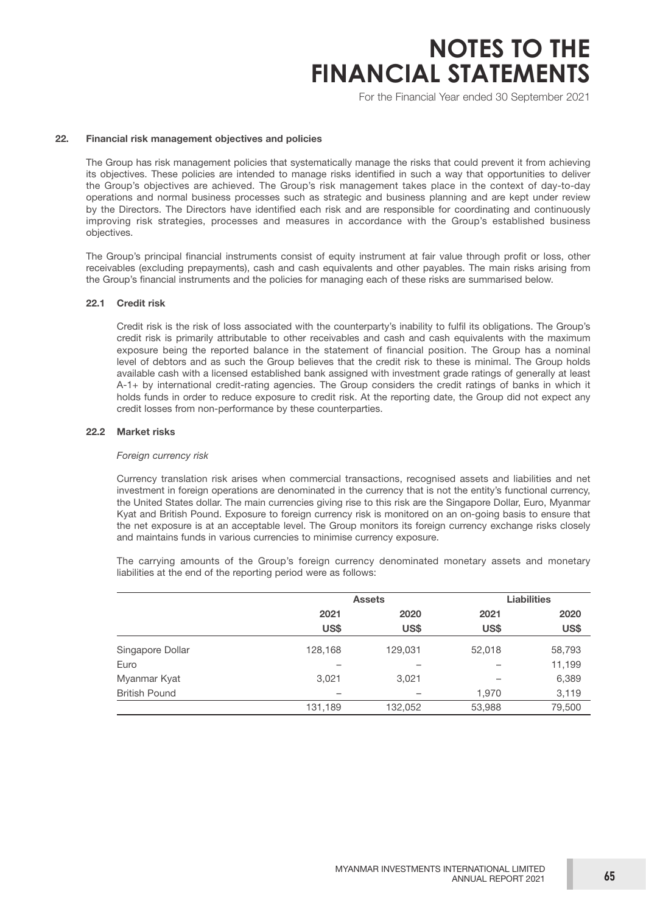For the Financial Year ended 30 September 2021

### **22. Financial risk management objectives and policies**

 The Group has risk management policies that systematically manage the risks that could prevent it from achieving its objectives. These policies are intended to manage risks identified in such a way that opportunities to deliver the Group's objectives are achieved. The Group's risk management takes place in the context of day-to-day operations and normal business processes such as strategic and business planning and are kept under review by the Directors. The Directors have identified each risk and are responsible for coordinating and continuously improving risk strategies, processes and measures in accordance with the Group's established business objectives.

The Group's principal financial instruments consist of equity instrument at fair value through profit or loss, other receivables (excluding prepayments), cash and cash equivalents and other payables. The main risks arising from the Group's financial instruments and the policies for managing each of these risks are summarised below.

#### **22.1 Credit risk**

Credit risk is the risk of loss associated with the counterparty's inability to fulfil its obligations. The Group's credit risk is primarily attributable to other receivables and cash and cash equivalents with the maximum exposure being the reported balance in the statement of financial position. The Group has a nominal level of debtors and as such the Group believes that the credit risk to these is minimal. The Group holds available cash with a licensed established bank assigned with investment grade ratings of generally at least A-1+ by international credit-rating agencies. The Group considers the credit ratings of banks in which it holds funds in order to reduce exposure to credit risk. At the reporting date, the Group did not expect any credit losses from non-performance by these counterparties.

#### **22.2 Market risks**

#### Foreign currency risk

 Currency translation risk arises when commercial transactions, recognised assets and liabilities and net investment in foreign operations are denominated in the currency that is not the entity's functional currency, the United States dollar. The main currencies giving rise to this risk are the Singapore Dollar, Euro, Myanmar Kyat and British Pound. Exposure to foreign currency risk is monitored on an on-going basis to ensure that the net exposure is at an acceptable level. The Group monitors its foreign currency exchange risks closely and maintains funds in various currencies to minimise currency exposure.

 The carrying amounts of the Group's foreign currency denominated monetary assets and monetary liabilities at the end of the reporting period were as follows:

|                      | <b>Assets</b> |             |        | <b>Liabilities</b> |  |
|----------------------|---------------|-------------|--------|--------------------|--|
|                      | 2021          | 2020        | 2021   | 2020               |  |
|                      | US\$          | <b>US\$</b> | US\$   | <b>US\$</b>        |  |
| Singapore Dollar     | 128,168       | 129,031     | 52,018 | 58,793             |  |
| Euro                 |               |             |        | 11,199             |  |
| Myanmar Kyat         | 3,021         | 3,021       |        | 6,389              |  |
| <b>British Pound</b> | -             |             | 1,970  | 3,119              |  |
|                      | 131,189       | 132,052     | 53,988 | 79,500             |  |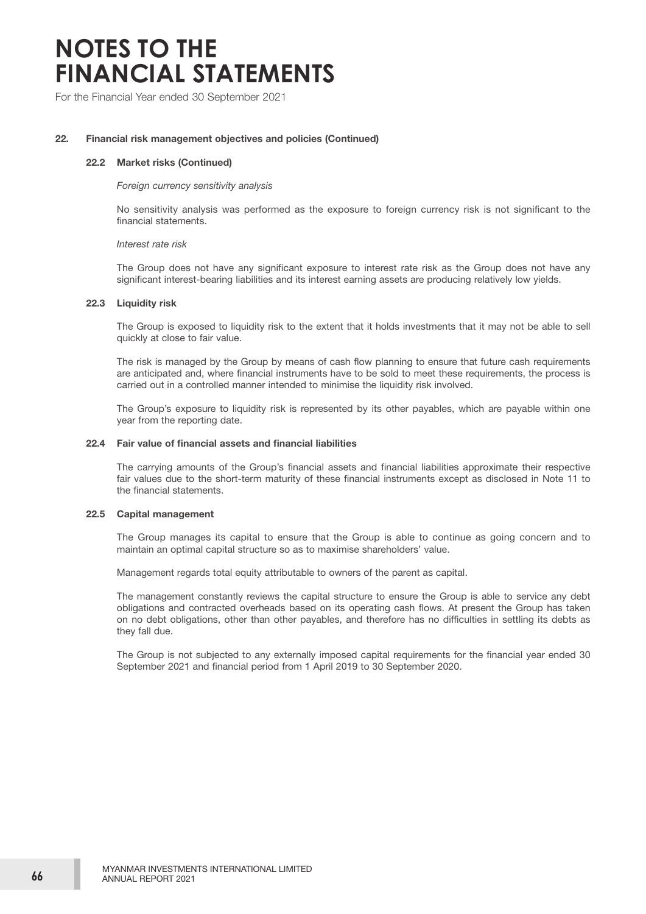For the Financial Year ended 30 September 2021

### **22. Financial risk management objectives and policies (Continued)**

#### **22.2 Market risks (Continued)**

#### Foreign currency sensitivity analysis

No sensitivity analysis was performed as the exposure to foreign currency risk is not significant to the financial statements.

#### Interest rate risk

The Group does not have any significant exposure to interest rate risk as the Group does not have any significant interest-bearing liabilities and its interest earning assets are producing relatively low yields.

#### **22.3 Liquidity risk**

 The Group is exposed to liquidity risk to the extent that it holds investments that it may not be able to sell quickly at close to fair value.

The risk is managed by the Group by means of cash flow planning to ensure that future cash requirements are anticipated and, where financial instruments have to be sold to meet these requirements, the process is carried out in a controlled manner intended to minimise the liquidity risk involved.

 The Group's exposure to liquidity risk is represented by its other payables, which are payable within one year from the reporting date.

#### **22.4 Fair value of financial assets and financial liabilities**

The carrying amounts of the Group's financial assets and financial liabilities approximate their respective fair values due to the short-term maturity of these financial instruments except as disclosed in Note 11 to the financial statements.

#### **22.5 Capital management**

 The Group manages its capital to ensure that the Group is able to continue as going concern and to maintain an optimal capital structure so as to maximise shareholders' value.

Management regards total equity attributable to owners of the parent as capital.

 The management constantly reviews the capital structure to ensure the Group is able to service any debt obligations and contracted overheads based on its operating cash flows. At present the Group has taken on no debt obligations, other than other payables, and therefore has no difficulties in settling its debts as they fall due.

The Group is not subjected to any externally imposed capital requirements for the financial year ended 30 September 2021 and financial period from 1 April 2019 to 30 September 2020.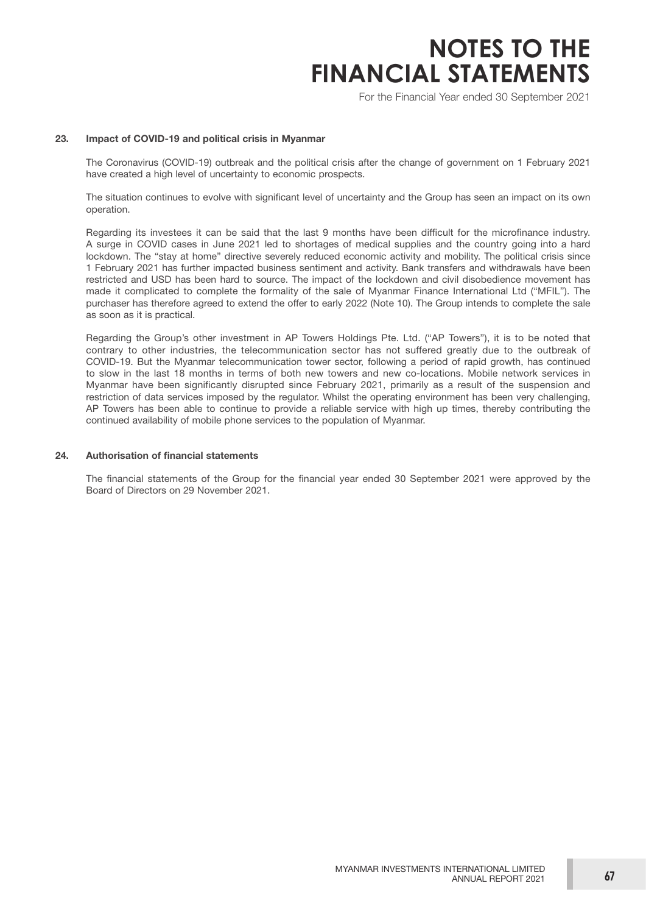For the Financial Year ended 30 September 2021

#### **23. Impact of COVID-19 and political crisis in Myanmar**

 The Coronavirus (COVID-19) outbreak and the political crisis after the change of government on 1 February 2021 have created a high level of uncertainty to economic prospects.

The situation continues to evolve with significant level of uncertainty and the Group has seen an impact on its own operation.

Regarding its investees it can be said that the last 9 months have been difficult for the microfinance industry. A surge in COVID cases in June 2021 led to shortages of medical supplies and the country going into a hard lockdown. The "stay at home" directive severely reduced economic activity and mobility. The political crisis since 1 February 2021 has further impacted business sentiment and activity. Bank transfers and withdrawals have been restricted and USD has been hard to source. The impact of the lockdown and civil disobedience movement has made it complicated to complete the formality of the sale of Myanmar Finance International Ltd ("MFIL"). The purchaser has therefore agreed to extend the offer to early 2022 (Note 10). The Group intends to complete the sale as soon as it is practical.

 Regarding the Group's other investment in AP Towers Holdings Pte. Ltd. ("AP Towers"), it is to be noted that contrary to other industries, the telecommunication sector has not suffered greatly due to the outbreak of COVID-19. But the Myanmar telecommunication tower sector, following a period of rapid growth, has continued to slow in the last 18 months in terms of both new towers and new co-locations. Mobile network services in Myanmar have been significantly disrupted since February 2021, primarily as a result of the suspension and restriction of data services imposed by the regulator. Whilst the operating environment has been very challenging, AP Towers has been able to continue to provide a reliable service with high up times, thereby contributing the continued availability of mobile phone services to the population of Myanmar.

### 24. Authorisation of financial statements

The financial statements of the Group for the financial year ended 30 September 2021 were approved by the Board of Directors on 29 November 2021.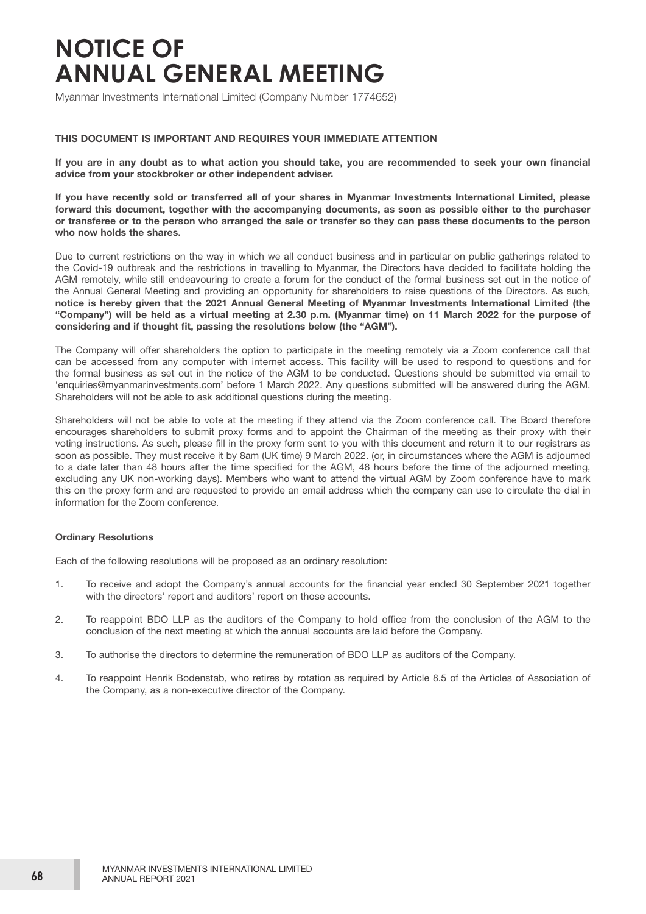# **NOTICE OF ANNUAL GENERAL MEETING**

Myanmar Investments International Limited (Company Number 1774652)

### **THIS DOCUMENT IS IMPORTANT AND REQUIRES YOUR IMMEDIATE ATTENTION**

If you are in any doubt as to what action you should take, you are recommended to seek your own financial **advice from your stockbroker or other independent adviser.**

**If you have recently sold or transferred all of your shares in Myanmar Investments International Limited, please forward this document, together with the accompanying documents, as soon as possible either to the purchaser or transferee or to the person who arranged the sale or transfer so they can pass these documents to the person who now holds the shares.**

Due to current restrictions on the way in which we all conduct business and in particular on public gatherings related to the Covid-19 outbreak and the restrictions in travelling to Myanmar, the Directors have decided to facilitate holding the AGM remotely, while still endeavouring to create a forum for the conduct of the formal business set out in the notice of the Annual General Meeting and providing an opportunity for shareholders to raise questions of the Directors. As such, **notice is hereby given that the 2021 Annual General Meeting of Myanmar Investments International Limited (the "Company") will be held as a virtual meeting at 2.30 p.m. (Myanmar time) on 11 March 2022 for the purpose of**  considering and if thought fit, passing the resolutions below (the "AGM").

The Company will offer shareholders the option to participate in the meeting remotely via a Zoom conference call that can be accessed from any computer with internet access. This facility will be used to respond to questions and for the formal business as set out in the notice of the AGM to be conducted. Questions should be submitted via email to 'enquiries@myanmarinvestments.com' before 1 March 2022. Any questions submitted will be answered during the AGM. Shareholders will not be able to ask additional questions during the meeting.

Shareholders will not be able to vote at the meeting if they attend via the Zoom conference call. The Board therefore encourages shareholders to submit proxy forms and to appoint the Chairman of the meeting as their proxy with their voting instructions. As such, please fill in the proxy form sent to you with this document and return it to our registrars as soon as possible. They must receive it by 8am (UK time) 9 March 2022. (or, in circumstances where the AGM is adjourned to a date later than 48 hours after the time specified for the AGM, 48 hours before the time of the adjourned meeting, excluding any UK non-working days). Members who want to attend the virtual AGM by Zoom conference have to mark this on the proxy form and are requested to provide an email address which the company can use to circulate the dial in information for the Zoom conference.

### **Ordinary Resolutions**

Each of the following resolutions will be proposed as an ordinary resolution:

- 1. To receive and adopt the Company's annual accounts for the financial year ended 30 September 2021 together with the directors' report and auditors' report on those accounts.
- 2. To reappoint BDO LLP as the auditors of the Company to hold office from the conclusion of the AGM to the conclusion of the next meeting at which the annual accounts are laid before the Company.
- 3. To authorise the directors to determine the remuneration of BDO LLP as auditors of the Company.
- 4. To reappoint Henrik Bodenstab, who retires by rotation as required by Article 8.5 of the Articles of Association of the Company, as a non-executive director of the Company.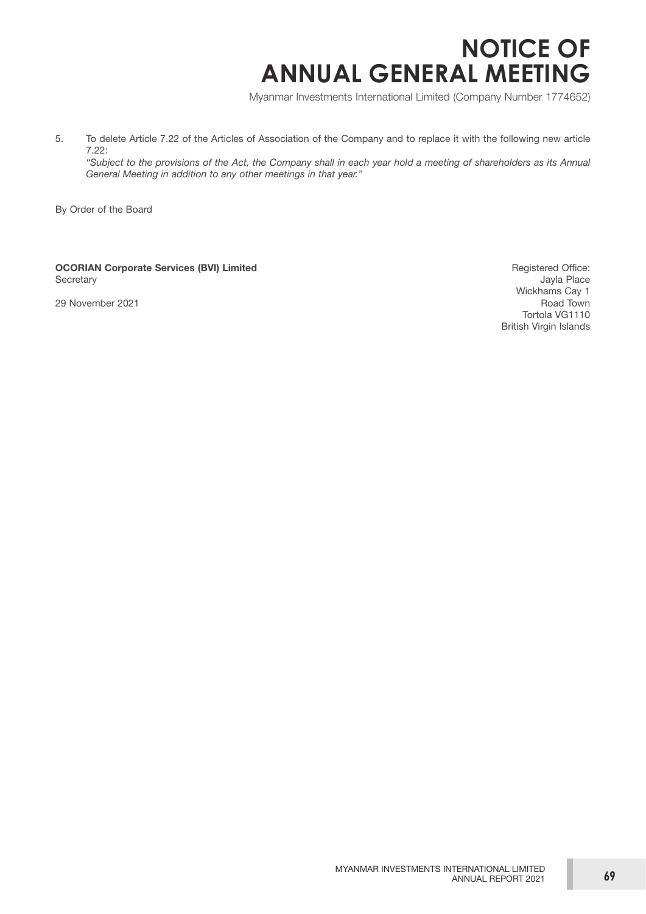# **NOTICE OF ANNUAL GENERAL MEETING**

Myanmar Investments International Limited (Company Number 1774652)

5. To delete Article 7.22 of the Articles of Association of the Company and to replace it with the following new article 7.22:

 "Subject to the provisions of the Act, the Company shall in each year hold a meeting of shareholders as its Annual General Meeting in addition to any other meetings in that year."

By Order of the Board

**OCORIAN Corporate Services (BVI) Limited**<br>Secretary dayla Place Registered Office:<br>Jayla Place Secretary Jayla Place

29 November 2021

Wickhams Cay 1<br>Road Town Tortola VG1110 British Virgin Islands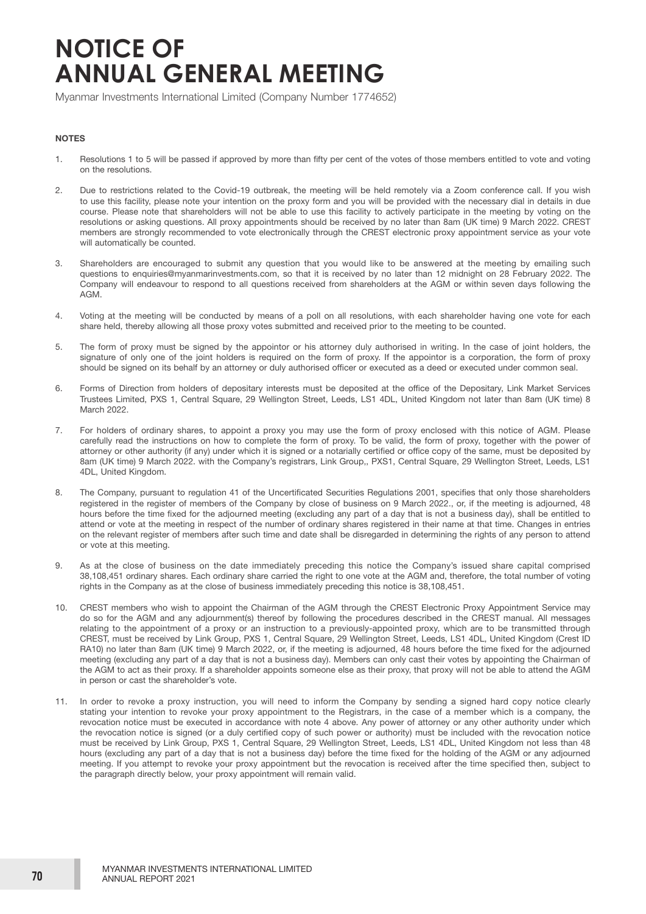# **NOTICE OF ANNUAL GENERAL MEETING**

Myanmar Investments International Limited (Company Number 1774652)

### **NOTES**

- 1. Resolutions 1 to 5 will be passed if approved by more than fifty per cent of the votes of those members entitled to vote and voting on the resolutions.
- 2. Due to restrictions related to the Covid-19 outbreak, the meeting will be held remotely via a Zoom conference call. If you wish to use this facility, please note your intention on the proxy form and you will be provided with the necessary dial in details in due course. Please note that shareholders will not be able to use this facility to actively participate in the meeting by voting on the resolutions or asking questions. All proxy appointments should be received by no later than 8am (UK time) 9 March 2022. CREST members are strongly recommended to vote electronically through the CREST electronic proxy appointment service as your vote will automatically be counted.
- 3. Shareholders are encouraged to submit any question that you would like to be answered at the meeting by emailing such questions to enquiries@myanmarinvestments.com, so that it is received by no later than 12 midnight on 28 February 2022. The Company will endeavour to respond to all questions received from shareholders at the AGM or within seven days following the AGM.
- 4. Voting at the meeting will be conducted by means of a poll on all resolutions, with each shareholder having one vote for each share held, thereby allowing all those proxy votes submitted and received prior to the meeting to be counted.
- 5. The form of proxy must be signed by the appointor or his attorney duly authorised in writing. In the case of joint holders, the signature of only one of the joint holders is required on the form of proxy. If the appointor is a corporation, the form of proxy should be signed on its behalf by an attorney or duly authorised officer or executed as a deed or executed under common seal.
- 6. Forms of Direction from holders of depositary interests must be deposited at the office of the Depositary, Link Market Services Trustees Limited, PXS 1, Central Square, 29 Wellington Street, Leeds, LS1 4DL, United Kingdom not later than 8am (UK time) 8 March 2022.
- 7. For holders of ordinary shares, to appoint a proxy you may use the form of proxy enclosed with this notice of AGM. Please carefully read the instructions on how to complete the form of proxy. To be valid, the form of proxy, together with the power of attorney or other authority (if any) under which it is signed or a notarially certified or office copy of the same, must be deposited by 8am (UK time) 9 March 2022. with the Company's registrars, Link Group,, PXS1, Central Square, 29 Wellington Street, Leeds, LS1 4DL, United Kingdom.
- 8. The Company, pursuant to regulation 41 of the Uncertificated Securities Regulations 2001, specifies that only those shareholders registered in the register of members of the Company by close of business on 9 March 2022., or, if the meeting is adjourned, 48 hours before the time fixed for the adjourned meeting (excluding any part of a day that is not a business day), shall be entitled to attend or vote at the meeting in respect of the number of ordinary shares registered in their name at that time. Changes in entries on the relevant register of members after such time and date shall be disregarded in determining the rights of any person to attend or vote at this meeting.
- 9. As at the close of business on the date immediately preceding this notice the Company's issued share capital comprised 38,108,451 ordinary shares. Each ordinary share carried the right to one vote at the AGM and, therefore, the total number of voting rights in the Company as at the close of business immediately preceding this notice is 38,108,451.
- 10. CREST members who wish to appoint the Chairman of the AGM through the CREST Electronic Proxy Appointment Service may do so for the AGM and any adjournment(s) thereof by following the procedures described in the CREST manual. All messages relating to the appointment of a proxy or an instruction to a previously-appointed proxy, which are to be transmitted through CREST, must be received by Link Group, PXS 1, Central Square, 29 Wellington Street, Leeds, LS1 4DL, United Kingdom (Crest ID RA10) no later than 8am (UK time) 9 March 2022, or, if the meeting is adjourned, 48 hours before the time fixed for the adjourned meeting (excluding any part of a day that is not a business day). Members can only cast their votes by appointing the Chairman of the AGM to act as their proxy. If a shareholder appoints someone else as their proxy, that proxy will not be able to attend the AGM in person or cast the shareholder's vote.
- 11. In order to revoke a proxy instruction, you will need to inform the Company by sending a signed hard copy notice clearly stating your intention to revoke your proxy appointment to the Registrars, in the case of a member which is a company, the revocation notice must be executed in accordance with note 4 above. Any power of attorney or any other authority under which the revocation notice is signed (or a duly certified copy of such power or authority) must be included with the revocation notice must be received by Link Group, PXS 1, Central Square, 29 Wellington Street, Leeds, LS1 4DL, United Kingdom not less than 48 hours (excluding any part of a day that is not a business day) before the time fixed for the holding of the AGM or any adjourned meeting. If you attempt to revoke your proxy appointment but the revocation is received after the time specified then, subject to the paragraph directly below, your proxy appointment will remain valid.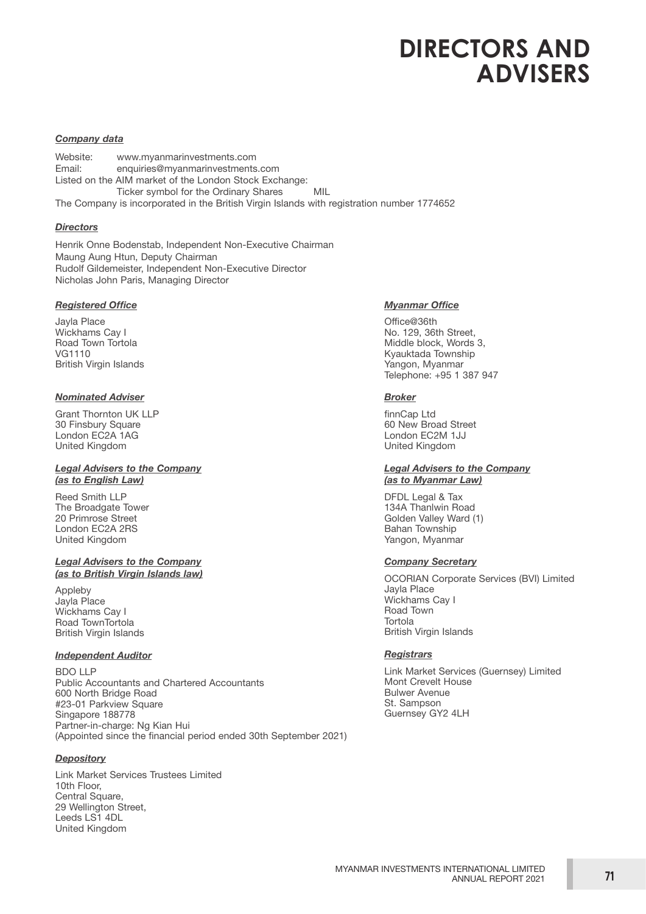# **DIRECTORS AND ADVISERS**

## *Company data*

Website: www.myanmarinvestments.com Email: enquiries@myanmarinvestments.com Listed on the AIM market of the London Stock Exchange: Ticker symbol for the Ordinary Shares MIL The Company is incorporated in the British Virgin Islands with registration number 1774652

## *Directors*

Henrik Onne Bodenstab, Independent Non-Executive Chairman Maung Aung Htun, Deputy Chairman Rudolf Gildemeister, Independent Non-Executive Director Nicholas John Paris, Managing Director

#### **Registered Office**

Jayla Place Wickhams Cay I Road Town Tortola VG1110 British Virgin Islands

## *Nominated Adviser*

Grant Thornton UK LLP 30 Finsbury Square London EC2A 1AG United Kingdom

#### *Legal Advisers to the Company (as to English Law)*

Reed Smith LLP The Broadgate Tower 20 Primrose Street London EC2A 2RS United Kingdom

#### *Legal Advisers to the Company (as to British Virgin Islands law)*

Appleby Jayla Place Wickhams Cay I Road TownTortola British Virgin Islands

#### *Independent Auditor*

BDO LLP Public Accountants and Chartered Accountants 600 North Bridge Road #23-01 Parkview Square Singapore 188778 Partner-in-charge: Ng Kian Hui (Appointed since the financial period ended 30th September 2021)

# *Depository*

Link Market Services Trustees Limited 10th Floor, Central Square, 29 Wellington Street, Leeds LS1 4DL United Kingdom

## *Myanmar Office*

Office@36th No. 129, 36th Street, Middle block, Words 3, Kyauktada Township Yangon, Myanmar Telephone: +95 1 387 947

## *Broker*

finnCap Ltd 60 New Broad Street London EC2M 1JJ United Kingdom

#### *Legal Advisers to the Company (as to Myanmar Law)*

DFDL Legal & Tax 134A Thanlwin Road Golden Valley Ward (1) Bahan Township Yangon, Myanmar

# *Company Secretary*

OCORIAN Corporate Services (BVI) Limited Jayla Place Wickhams Cay I Road Town Tortola British Virgin Islands

# *Registrars*

Link Market Services (Guernsey) Limited Mont Crevelt House Bulwer Avenue St. Sampson Guernsey GY2 4LH